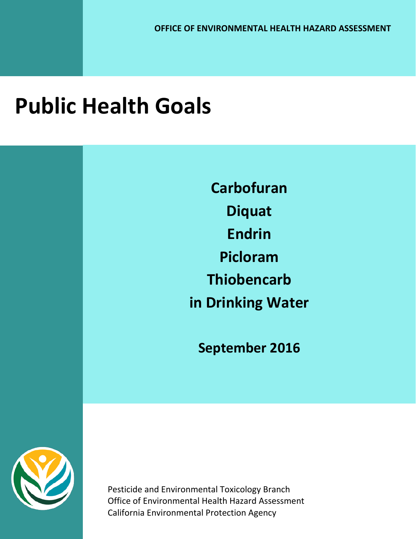# **Public Health Goals**

**Carbofuran Diquat Endrin Picloram Thiobencarb in Drinking Water**

**September 2016**



Pesticide and Environmental Toxicology Branch Office of Environmental Health Hazard Assessment California Environmental Protection Agency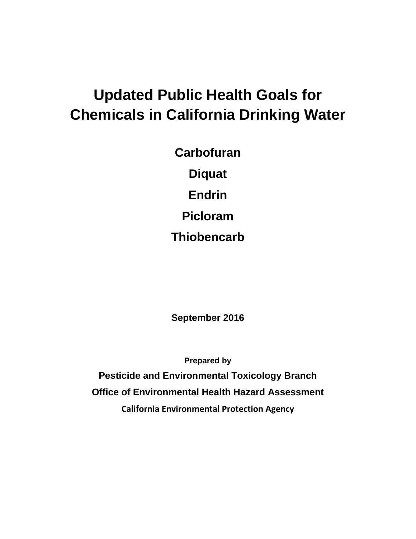# **Updated Public Health Goals for Chemicals in California Drinking Water**

**Carbofuran Diquat Endrin Picloram Thiobencarb**

**September 2016**

**Prepared by Pesticide and Environmental Toxicology Branch Office of Environmental Health Hazard Assessment California Environmental Protection Agency**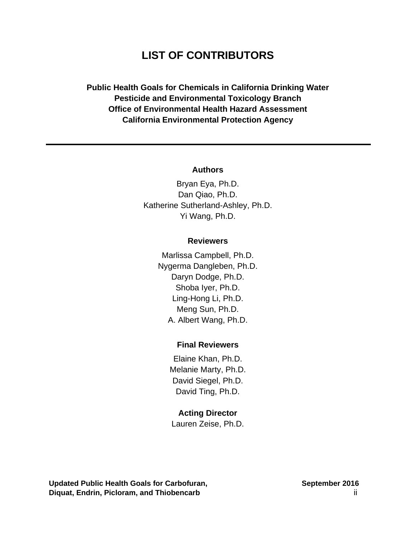# **LIST OF CONTRIBUTORS**

<span id="page-2-0"></span>**Public Health Goals for Chemicals in California Drinking Water Pesticide and Environmental Toxicology Branch Office of Environmental Health Hazard Assessment California Environmental Protection Agency**

#### **Authors**

Bryan Eya, Ph.D. Dan Qiao, Ph.D. Katherine Sutherland-Ashley, Ph.D. Yi Wang, Ph.D.

#### **Reviewers**

Marlissa Campbell, Ph.D. Nygerma Dangleben, Ph.D. Daryn Dodge, Ph.D. Shoba Iyer, Ph.D. Ling-Hong Li, Ph.D. Meng Sun, Ph.D. A. Albert Wang, Ph.D.

#### **Final Reviewers**

Elaine Khan, Ph.D. Melanie Marty, Ph.D. David Siegel, Ph.D. David Ting, Ph.D.

#### **Acting Director**

Lauren Zeise, Ph.D.

Updated Public Health Goals for Carbofuran, September 2016 **Diquat, Endrin, Picloram, and Thiobencarb** ii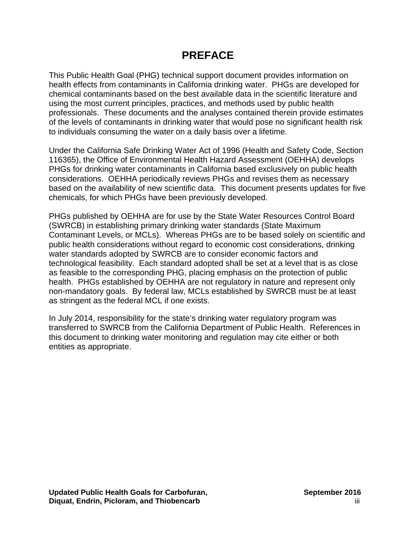# **PREFACE**

<span id="page-3-0"></span>This Public Health Goal (PHG) technical support document provides information on health effects from contaminants in California drinking water. PHGs are developed for chemical contaminants based on the best available data in the scientific literature and using the most current principles, practices, and methods used by public health professionals. These documents and the analyses contained therein provide estimates of the levels of contaminants in drinking water that would pose no significant health risk to individuals consuming the water on a daily basis over a lifetime.

Under the California Safe Drinking Water Act of 1996 (Health and Safety Code, Section 116365), the Office of Environmental Health Hazard Assessment (OEHHA) develops PHGs for drinking water contaminants in California based exclusively on public health considerations. OEHHA periodically reviews PHGs and revises them as necessary based on the availability of new scientific data. This document presents updates for five chemicals, for which PHGs have been previously developed.

PHGs published by OEHHA are for use by the State Water Resources Control Board (SWRCB) in establishing primary drinking water standards (State Maximum Contaminant Levels, or MCLs). Whereas PHGs are to be based solely on scientific and public health considerations without regard to economic cost considerations, drinking water standards adopted by SWRCB are to consider economic factors and technological feasibility. Each standard adopted shall be set at a level that is as close as feasible to the corresponding PHG, placing emphasis on the protection of public health. PHGs established by OEHHA are not regulatory in nature and represent only non-mandatory goals. By federal law, MCLs established by SWRCB must be at least as stringent as the federal MCL if one exists.

In July 2014, responsibility for the state's drinking water regulatory program was transferred to SWRCB from the California Department of Public Health. References in this document to drinking water monitoring and regulation may cite either or both entities as appropriate.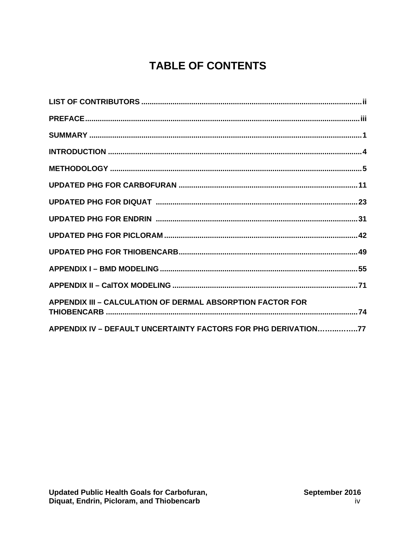# **TABLE OF CONTENTS**

| <b>APPENDIX III - CALCULATION OF DERMAL ABSORPTION FACTOR FOR</b> |  |
|-------------------------------------------------------------------|--|
| APPENDIX IV - DEFAULT UNCERTAINTY FACTORS FOR PHG DERIVATION77    |  |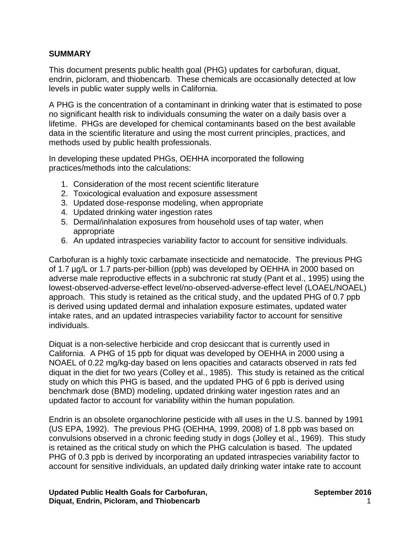#### <span id="page-5-0"></span>**SUMMARY**

This document presents public health goal (PHG) updates for carbofuran, diquat, endrin, picloram, and thiobencarb. These chemicals are occasionally detected at low levels in public water supply wells in California.

A PHG is the concentration of a contaminant in drinking water that is estimated to pose no significant health risk to individuals consuming the water on a daily basis over a lifetime. PHGs are developed for chemical contaminants based on the best available data in the scientific literature and using the most current principles, practices, and methods used by public health professionals.

In developing these updated PHGs, OEHHA incorporated the following practices/methods into the calculations:

- 1. Consideration of the most recent scientific literature
- 2. Toxicological evaluation and exposure assessment
- 3. Updated dose-response modeling, when appropriate
- 4. Updated drinking water ingestion rates
- 5. Dermal/inhalation exposures from household uses of tap water, when appropriate
- 6. An updated intraspecies variability factor to account for sensitive individuals.

Carbofuran is a highly toxic carbamate insecticide and nematocide. The previous PHG of 1.7 µg/L or 1.7 parts-per-billion (ppb) was developed by OEHHA in 2000 based on adverse male reproductive effects in a subchronic rat study (Pant et al., 1995) using the lowest-observed-adverse-effect level/no-observed-adverse-effect level (LOAEL/NOAEL) approach. This study is retained as the critical study, and the updated PHG of 0.7 ppb is derived using updated dermal and inhalation exposure estimates, updated water intake rates, and an updated intraspecies variability factor to account for sensitive individuals.

Diquat is a non-selective herbicide and crop desiccant that is currently used in California. A PHG of 15 ppb for diquat was developed by OEHHA in 2000 using a NOAEL of 0.22 mg/kg-day based on lens opacities and cataracts observed in rats fed diquat in the diet for two years (Colley et al., 1985). This study is retained as the critical study on which this PHG is based, and the updated PHG of 6 ppb is derived using benchmark dose (BMD) modeling, updated drinking water ingestion rates and an updated factor to account for variability within the human population.

Endrin is an obsolete organochlorine pesticide with all uses in the U.S. banned by 1991 (US EPA, 1992). The previous PHG (OEHHA, 1999, 2008) of 1.8 ppb was based on convulsions observed in a chronic feeding study in dogs (Jolley et al., 1969). This study is retained as the critical study on which the PHG calculation is based. The updated PHG of 0.3 ppb is derived by incorporating an updated intraspecies variability factor to account for sensitive individuals, an updated daily drinking water intake rate to account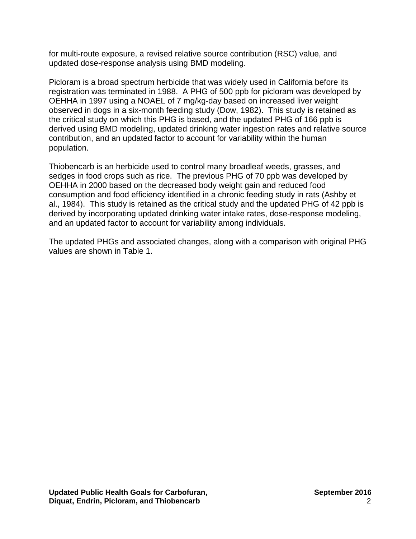for multi-route exposure, a revised relative source contribution (RSC) value, and updated dose-response analysis using BMD modeling.

Picloram is a broad spectrum herbicide that was widely used in California before its registration was terminated in 1988. A PHG of 500 ppb for picloram was developed by OEHHA in 1997 using a NOAEL of 7 mg/kg-day based on increased liver weight observed in dogs in a six-month feeding study (Dow, 1982). This study is retained as the critical study on which this PHG is based, and the updated PHG of 166 ppb is derived using BMD modeling, updated drinking water ingestion rates and relative source contribution, and an updated factor to account for variability within the human population.

Thiobencarb is an herbicide used to control many broadleaf weeds, grasses, and sedges in food crops such as rice. The previous PHG of 70 ppb was developed by OEHHA in 2000 based on the decreased body weight gain and reduced food consumption and food efficiency identified in a chronic feeding study in rats (Ashby et al., 1984). This study is retained as the critical study and the updated PHG of 42 ppb is derived by incorporating updated drinking water intake rates, dose-response modeling, and an updated factor to account for variability among individuals.

The updated PHGs and associated changes, along with a comparison with original PHG values are shown in Table 1.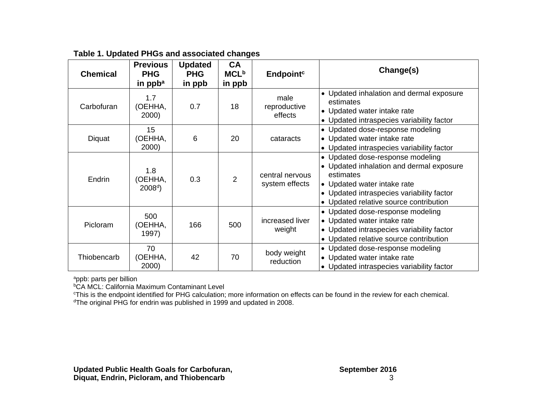| <b>Chemical</b> | <b>Previous</b><br><b>PHG</b><br>in ppb <sup>a</sup> | <b>Updated</b><br><b>PHG</b><br>in ppb | <b>CA</b><br><b>MCLb</b><br>in ppb | Endpoint <sup>c</sup>             | Change(s)                                                                                                                                                                                                       |
|-----------------|------------------------------------------------------|----------------------------------------|------------------------------------|-----------------------------------|-----------------------------------------------------------------------------------------------------------------------------------------------------------------------------------------------------------------|
| Carbofuran      | 1.7<br>(OEHHA,<br>2000)                              | 0.7                                    | 18                                 | male<br>reproductive<br>effects   | • Updated inhalation and dermal exposure<br>estimates<br>• Updated water intake rate<br>• Updated intraspecies variability factor                                                                               |
| Diquat          | 15<br>OEHHA,<br>2000)                                | 6                                      | 20                                 | cataracts                         | • Updated dose-response modeling<br>• Updated water intake rate<br>• Updated intraspecies variability factor                                                                                                    |
| Endrin          | 1.8<br>OEHHA,<br>2008 <sup>d</sup>                   | 0.3                                    | 2                                  | central nervous<br>system effects | • Updated dose-response modeling<br>• Updated inhalation and dermal exposure<br>estimates<br>• Updated water intake rate<br>• Updated intraspecies variability factor<br>• Updated relative source contribution |
| Picloram        | 500<br>(OEHHA,<br>1997)                              | 166                                    | 500                                | increased liver<br>weight         | • Updated dose-response modeling<br>• Updated water intake rate<br>• Updated intraspecies variability factor<br>• Updated relative source contribution                                                          |
| Thiobencarb     | 70<br>(OEHHA,<br>2000)                               | 42                                     | 70                                 | body weight<br>reduction          | • Updated dose-response modeling<br>• Updated water intake rate<br>• Updated intraspecies variability factor                                                                                                    |

**Table 1. Updated PHGs and associated changes**

<sup>a</sup>ppb: parts per billion<br><sup>b</sup>CA MCL: California Maximum Contaminant Level

<sup>c</sup>This is the endpoint identified for PHG calculation; more information on effects can be found in the review for each chemical.<br><sup>d</sup>The original PHG for endrin was published in 1999 and updated in 2008.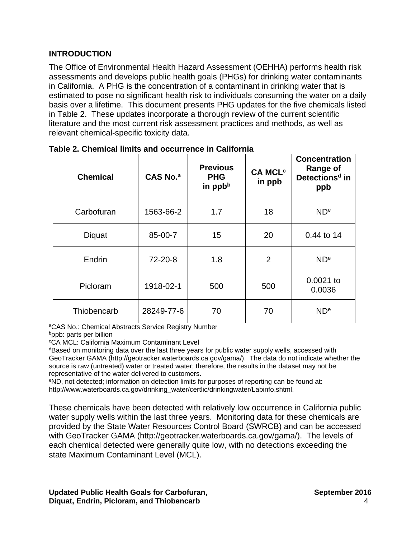# <span id="page-8-0"></span>**INTRODUCTION**

The Office of Environmental Health Hazard Assessment (OEHHA) performs health risk assessments and develops public health goals (PHGs) for drinking water contaminants in California. A PHG is the concentration of a contaminant in drinking water that is estimated to pose no significant health risk to individuals consuming the water on a daily basis over a lifetime. This document presents PHG updates for the five chemicals listed in Table 2. These updates incorporate a thorough review of the current scientific literature and the most current risk assessment practices and methods, as well as relevant chemical-specific toxicity data.

| <b>Chemical</b> | CAS No. <sup>a</sup> | <b>Previous</b><br><b>PHG</b><br>in ppbb | CA MCL <sup>c</sup><br>in ppb | <b>Concentration</b><br>Range of<br>Detections <sup>d</sup> in<br>ppb |
|-----------------|----------------------|------------------------------------------|-------------------------------|-----------------------------------------------------------------------|
| Carbofuran      | 1563-66-2            | 1.7                                      | 18                            | ND <sup>e</sup>                                                       |
| Diquat          | 85-00-7              | 15                                       | 20                            | 0.44 to 14                                                            |
| Endrin          | $72 - 20 - 8$        | 1.8                                      | $\overline{2}$                | ND <sup>e</sup>                                                       |
| Picloram        | 1918-02-1            | 500                                      | 500                           | $0.0021$ to<br>0.0036                                                 |
| Thiobencarb     | 28249-77-6           | 70                                       | 70                            | ND <sup>e</sup>                                                       |

|  | Table 2. Chemical limits and occurrence in California |  |  |  |  |  |
|--|-------------------------------------------------------|--|--|--|--|--|
|--|-------------------------------------------------------|--|--|--|--|--|

<sup>a</sup>CAS No.: Chemical Abstracts Service Registry Number<br><sup>b</sup>ppb: parts per billion

CA MCL: California Maximum Contaminant Level

dBased on monitoring data over the last three years for public water supply wells, accessed with GeoTracker GAMA (http://geotracker.waterboards.ca.gov/gama/). The data do not indicate whether the source is raw (untreated) water or treated water; therefore, the results in the dataset may not be representative of the water delivered to customers.

<sup>e</sup>ND, not detected; information on detection limits for purposes of reporting can be found at: [http://www.waterboards.ca.gov/drinking\\_water/certlic/drinkingwater/Labinfo.shtml.](http://www.waterboards.ca.gov/drinking_water/certlic/drinkingwater/Labinfo.shtml.) 

These chemicals have been detected with relatively low occurrence in California public water supply wells within the last three years. Monitoring data for these chemicals are provided by the State Water Resources Control Board (SWRCB) and can be accessed with GeoTracker GAMA (http://geotracker.waterboards.ca.gov/gama/). The levels of each chemical detected were generally quite low, with no detections exceeding the state Maximum Contaminant Level (MCL).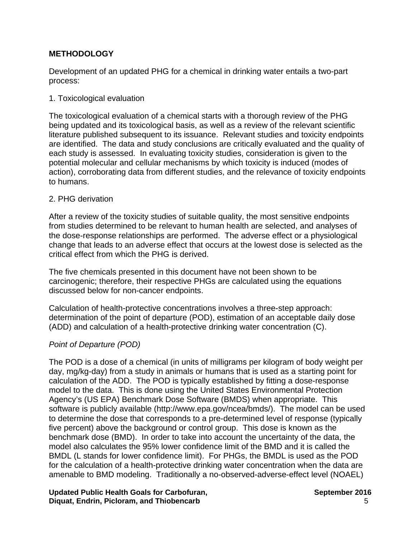# <span id="page-9-0"></span>**METHODOLOGY**

Development of an updated PHG for a chemical in drinking water entails a two-part process:

#### 1. Toxicological evaluation

The toxicological evaluation of a chemical starts with a thorough review of the PHG being updated and its toxicological basis, as well as a review of the relevant scientific literature published subsequent to its issuance. Relevant studies and toxicity endpoints are identified. The data and study conclusions are critically evaluated and the quality of each study is assessed. In evaluating toxicity studies, consideration is given to the potential molecular and cellular mechanisms by which toxicity is induced (modes of action), corroborating data from different studies, and the relevance of toxicity endpoints to humans.

### 2. PHG derivation

After a review of the toxicity studies of suitable quality, the most sensitive endpoints from studies determined to be relevant to human health are selected, and analyses of the dose-response relationships are performed. The adverse effect or a physiological change that leads to an adverse effect that occurs at the lowest dose is selected as the critical effect from which the PHG is derived.

The five chemicals presented in this document have not been shown to be carcinogenic; therefore, their respective PHGs are calculated using the equations discussed below for non-cancer endpoints.

Calculation of health-protective concentrations involves a three-step approach: determination of the point of departure (POD), estimation of an acceptable daily dose (ADD) and calculation of a health-protective drinking water concentration (C).

# *Point of Departure (POD)*

The POD is a dose of a chemical (in units of milligrams per kilogram of body weight per day, mg/kg-day) from a study in animals or humans that is used as a starting point for calculation of the ADD. The POD is typically established by fitting a dose-response model to the data. This is done using the United States Environmental Protection Agency's (US EPA) Benchmark Dose Software (BMDS) when appropriate. This software is publicly available (http://www.epa.gov/ncea/bmds/). The model can be used to determine the dose that corresponds to a pre-determined level of response (typically five percent) above the background or control group. This dose is known as the benchmark dose (BMD). In order to take into account the uncertainty of the data, the model also calculates the 95% lower confidence limit of the BMD and it is called the BMDL (L stands for lower confidence limit). For PHGs, the BMDL is used as the POD for the calculation of a health-protective drinking water concentration when the data are amenable to BMD modeling. Traditionally a no-observed-adverse-effect level (NOAEL)

Updated Public Health Goals for Carbofuran, September 2016 **Diquat, Endrin, Picloram, and Thiobencarb** 5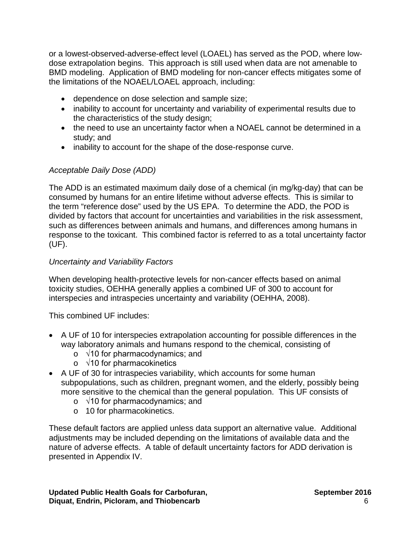or a lowest-observed-adverse-effect level (LOAEL) has served as the POD, where lowdose extrapolation begins. This approach is still used when data are not amenable to BMD modeling. Application of BMD modeling for non-cancer effects mitigates some of the limitations of the NOAEL/LOAEL approach, including:

- dependence on dose selection and sample size;
- inability to account for uncertainty and variability of experimental results due to the characteristics of the study design;
- the need to use an uncertainty factor when a NOAEL cannot be determined in a study; and
- inability to account for the shape of the dose-response curve.

# *Acceptable Daily Dose (ADD)*

The ADD is an estimated maximum daily dose of a chemical (in mg/kg-day) that can be consumed by humans for an entire lifetime without adverse effects. This is similar to the term "reference dose" used by the US EPA. To determine the ADD, the POD is divided by factors that account for uncertainties and variabilities in the risk assessment, such as differences between animals and humans, and differences among humans in response to the toxicant. This combined factor is referred to as a total uncertainty factor (UF).

### *Uncertainty and Variability Factors*

When developing health-protective levels for non-cancer effects based on animal toxicity studies, OEHHA generally applies a combined UF of 300 to account for interspecies and intraspecies uncertainty and variability (OEHHA, 2008).

This combined UF includes:

- A UF of 10 for interspecies extrapolation accounting for possible differences in the way laboratory animals and humans respond to the chemical, consisting of
	- o √10 for pharmacodynamics; and
	- o √10 for pharmacokinetics
- A UF of 30 for intraspecies variability, which accounts for some human subpopulations, such as children, pregnant women, and the elderly, possibly being more sensitive to the chemical than the general population. This UF consists of
	- o √10 for pharmacodynamics; and
	- o 10 for pharmacokinetics.

These default factors are applied unless data support an alternative value. Additional adjustments may be included depending on the limitations of available data and the nature of adverse effects. A table of default uncertainty factors for ADD derivation is presented in Appendix IV.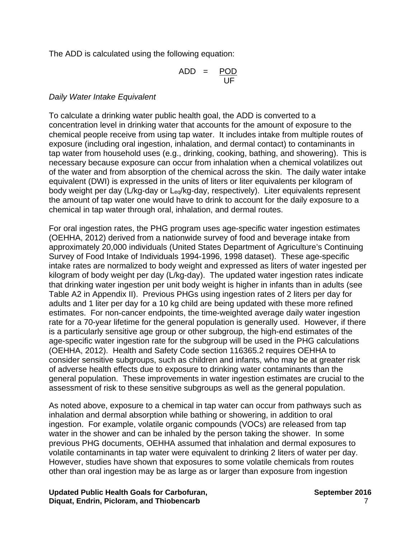The ADD is calculated using the following equation:

$$
ADD = \frac{POD}{UF}
$$

# *Daily Water Intake Equivalent*

To calculate a drinking water public health goal, the ADD is converted to a concentration level in drinking water that accounts for the amount of exposure to the chemical people receive from using tap water. It includes intake from multiple routes of exposure (including oral ingestion, inhalation, and dermal contact) to contaminants in tap water from household uses (e.g., drinking, cooking, bathing, and showering). This is necessary because exposure can occur from inhalation when a chemical volatilizes out of the water and from absorption of the chemical across the skin. The daily water intake equivalent (DWI) is expressed in the units of liters or liter equivalents per kilogram of body weight per day (L/kg-day or Leq/kg-day, respectively). Liter equivalents represent the amount of tap water one would have to drink to account for the daily exposure to a chemical in tap water through oral, inhalation, and dermal routes.

For oral ingestion rates, the PHG program uses age-specific water ingestion estimates (OEHHA, 2012) derived from a nationwide survey of food and beverage intake from approximately 20,000 individuals (United States Department of Agriculture's Continuing Survey of Food Intake of Individuals 1994-1996, 1998 dataset). These age-specific intake rates are normalized to body weight and expressed as liters of water ingested per kilogram of body weight per day (L/kg-day). The updated water ingestion rates indicate that drinking water ingestion per unit body weight is higher in infants than in adults (see Table A2 in Appendix II). Previous PHGs using ingestion rates of 2 liters per day for adults and 1 liter per day for a 10 kg child are being updated with these more refined estimates. For non-cancer endpoints, the time-weighted average daily water ingestion rate for a 70-year lifetime for the general population is generally used. However, if there is a particularly sensitive age group or other subgroup, the high-end estimates of the age-specific water ingestion rate for the subgroup will be used in the PHG calculations (OEHHA, 2012). Health and Safety Code section 116365.2 requires OEHHA to consider sensitive subgroups, such as children and infants, who may be at greater risk of adverse health effects due to exposure to drinking water contaminants than the general population. These improvements in water ingestion estimates are crucial to the assessment of risk to these sensitive subgroups as well as the general population.

As noted above, exposure to a chemical in tap water can occur from pathways such as inhalation and dermal absorption while bathing or showering, in addition to oral ingestion. For example, volatile organic compounds (VOCs) are released from tap water in the shower and can be inhaled by the person taking the shower. In some previous PHG documents, OEHHA assumed that inhalation and dermal exposures to volatile contaminants in tap water were equivalent to drinking 2 liters of water per day. However, studies have shown that exposures to some volatile chemicals from routes other than oral ingestion may be as large as or larger than exposure from ingestion

Updated Public Health Goals for Carbofuran, The Contemporary September 2016 **Diquat, Endrin, Picloram, and Thiobencarb** 7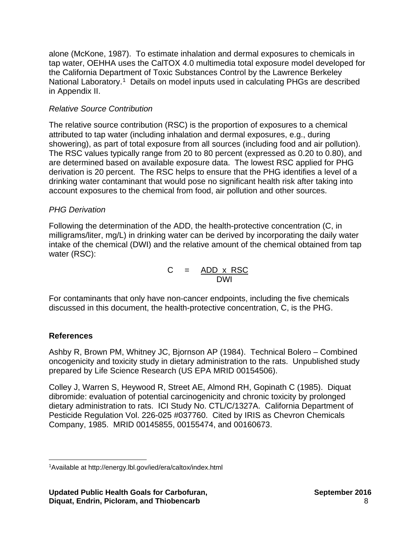alone (McKone, 1987). To estimate inhalation and dermal exposures to chemicals in tap water, OEHHA uses the CalTOX 4.0 multimedia total exposure model developed for the California Department of Toxic Substances Control by the Lawrence Berkeley National Laboratory.<sup>[1](#page-12-0)</sup> Details on model inputs used in calculating PHGs are described in Appendix II.

# *Relative Source Contribution*

The relative source contribution (RSC) is the proportion of exposures to a chemical attributed to tap water (including inhalation and dermal exposures, e.g., during showering), as part of total exposure from all sources (including food and air pollution). The RSC values typically range from 20 to 80 percent (expressed as 0.20 to 0.80), and are determined based on available exposure data. The lowest RSC applied for PHG derivation is 20 percent. The RSC helps to ensure that the PHG identifies a level of a drinking water contaminant that would pose no significant health risk after taking into account exposures to the chemical from food, air pollution and other sources.

# *PHG Derivation*

Following the determination of the ADD, the health-protective concentration (C, in milligrams/liter, mg/L) in drinking water can be derived by incorporating the daily water intake of the chemical (DWI) and the relative amount of the chemical obtained from tap water (RSC):

$$
C = \underline{ADD \times RSC} \over \underline{DWI}
$$

For contaminants that only have non-cancer endpoints, including the five chemicals discussed in this document, the health-protective concentration, C, is the PHG.

# **References**

Ashby R, Brown PM, Whitney JC, Bjornson AP (1984). Technical Bolero – Combined oncogenicity and toxicity study in dietary administration to the rats. Unpublished study prepared by Life Science Research (US EPA MRID 00154506).

Colley J, Warren S, Heywood R, Street AE, Almond RH, Gopinath C (1985). Diquat dibromide: evaluation of potential carcinogenicity and chronic toxicity by prolonged dietary administration to rats. ICI Study No. CTL/C/1327A. California Department of Pesticide Regulation Vol. 226-025 #037760. Cited by IRIS as Chevron Chemicals Company, 1985. MRID 00145855, 00155474, and 00160673.

<span id="page-12-0"></span> $\overline{\phantom{a}}$ 1Available at<http://energy.lbl.gov/ied/era/caltox/index.html>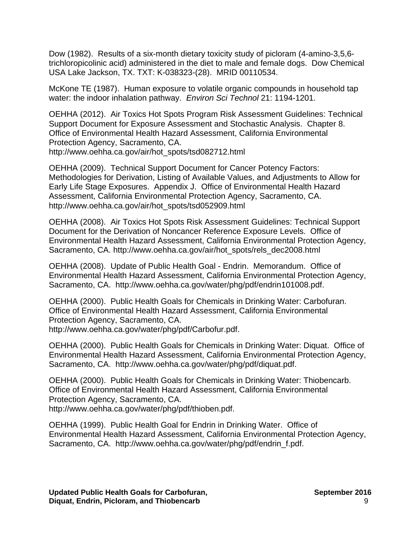Dow (1982). Results of a six-month dietary toxicity study of picloram (4-amino-3,5,6 trichloropicolinic acid) administered in the diet to male and female dogs. Dow Chemical USA Lake Jackson, TX. TXT: K-038323-(28). MRID 00110534.

McKone TE (1987). Human exposure to volatile organic compounds in household tap water: the indoor inhalation pathway. *Environ Sci Technol* 21: 1194-1201.

OEHHA (2012). Air Toxics Hot Spots Program Risk Assessment Guidelines: Technical Support Document for Exposure Assessment and Stochastic Analysis. Chapter 8. Office of Environmental Health Hazard Assessment, California Environmental Protection Agency, Sacramento, CA. [http://www.oehha.ca.gov/air/hot\\_spots/tsd082712.html](http://www.oehha.ca.gov/air/hot_spots/tsd082712.html)

OEHHA (2009). Technical Support Document for Cancer Potency Factors: Methodologies for Derivation, Listing of Available Values, and Adjustments to Allow for Early Life Stage Exposures. Appendix J. Office of Environmental Health Hazard Assessment, California Environmental Protection Agency, Sacramento, CA. [http://www.oehha.ca.gov/air/hot\\_spots/tsd052909.html](http://www.oehha.ca.gov/air/hot_spots/tsd052909.html)

OEHHA (2008). Air Toxics Hot Spots Risk Assessment Guidelines: Technical Support Document for the Derivation of Noncancer Reference Exposure Levels. Office of Environmental Health Hazard Assessment, California Environmental Protection Agency, Sacramento, CA. [http://www.oehha.ca.gov/air/hot\\_spots/rels\\_dec2008.html](http://www.oehha.ca.gov/air/hot_spots/rels_dec2008.html)

OEHHA (2008). Update of Public Health Goal - Endrin. Memorandum. Office of Environmental Health Hazard Assessment, California Environmental Protection Agency, Sacramento, CA. <http://www.oehha.ca.gov/water/phg/pdf/endrin101008.pdf.>

OEHHA (2000). Public Health Goals for Chemicals in Drinking Water: Carbofuran. Office of Environmental Health Hazard Assessment, California Environmental Protection Agency, Sacramento, CA. <http://www.oehha.ca.gov/water/phg/pdf/Carbofur.pdf.>

OEHHA (2000). Public Health Goals for Chemicals in Drinking Water: Diquat. Office of Environmental Health Hazard Assessment, California Environmental Protection Agency, Sacramento, CA. <http://www.oehha.ca.gov/water/phg/pdf/diquat.pdf.>

OEHHA (2000). Public Health Goals for Chemicals in Drinking Water: Thiobencarb. Office of Environmental Health Hazard Assessment, California Environmental Protection Agency, Sacramento, CA. <http://www.oehha.ca.gov/water/phg/pdf/thioben.pdf.>

OEHHA (1999). Public Health Goal for Endrin in Drinking Water. Office of Environmental Health Hazard Assessment, California Environmental Protection Agency, Sacramento, CA. [http://www.oehha.ca.gov/water/phg/pdf/endrin\\_f.pdf.](http://www.oehha.ca.gov/water/phg/pdf/endrin_f.pdf.)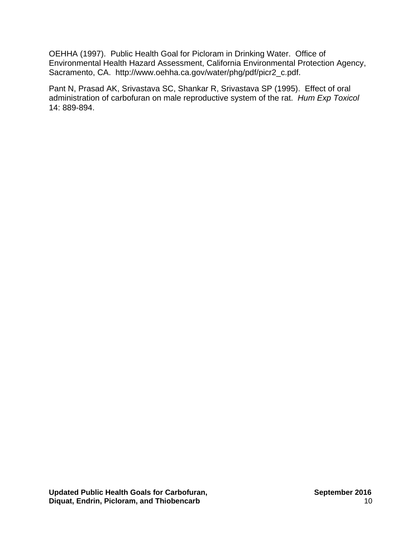OEHHA (1997). Public Health Goal for Picloram in Drinking Water. Office of Environmental Health Hazard Assessment, California Environmental Protection Agency, Sacramento, CA. [http://www.oehha.ca.gov/water/phg/pdf/picr2\\_c.pdf.](http://www.oehha.ca.gov/water/phg/pdf/picr2_c.pdf.) 

Pant N, Prasad AK, Srivastava SC, Shankar R, Srivastava SP (1995). Effect of oral administration of carbofuran on male reproductive system of the rat. *Hum Exp Toxicol* 14: 889-894.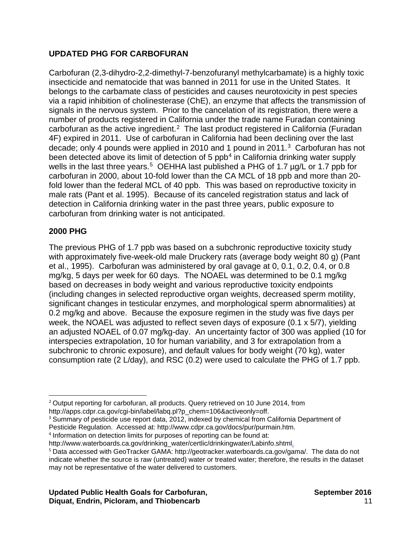# <span id="page-15-0"></span>**UPDATED PHG FOR CARBOFURAN**

Carbofuran (2,3-dihydro-2,2-dimethyl-7-benzofuranyl methylcarbamate) is a highly toxic insecticide and nematocide that was banned in 2011 for use in the United States. It belongs to the carbamate class of pesticides and causes neurotoxicity in pest species via a rapid inhibition of cholinesterase (ChE), an enzyme that affects the transmission of signals in the nervous system. Prior to the cancelation of its registration, there were a number of products registered in California under the trade name Furadan containing carbofuran as the active ingredient.<sup>[2](#page-15-1)</sup> The last product registered in California (Furadan 4F) expired in 2011. Use of carbofuran in California had been declining over the last decade; only 4 pounds were applied in 2010 and 1 pound in 2011.<sup>3</sup> Carbofuran has not been detected above its limit of detection of 5 ppb<sup>[4](#page-15-3)</sup> in California drinking water supply wells in the last three years.<sup>[5](#page-15-4)</sup> OEHHA last published a PHG of 1.7  $\mu$ g/L or 1.7 ppb for carbofuran in 2000, about 10-fold lower than the CA MCL of 18 ppb and more than 20 fold lower than the federal MCL of 40 ppb. This was based on reproductive toxicity in male rats (Pant et al. 1995). Because of its canceled registration status and lack of detection in California drinking water in the past three years, public exposure to carbofuran from drinking water is not anticipated.

# **2000 PHG**

The previous PHG of 1.7 ppb was based on a subchronic reproductive toxicity study with approximately five-week-old male Druckery rats (average body weight 80 g) (Pant et al., 1995). Carbofuran was administered by oral gavage at 0, 0.1, 0.2, 0.4, or 0.8 mg/kg, 5 days per week for 60 days. The NOAEL was determined to be 0.1 mg/kg based on decreases in body weight and various reproductive toxicity endpoints (including changes in selected reproductive organ weights, decreased sperm motility, significant changes in testicular enzymes, and morphological sperm abnormalities) at 0.2 mg/kg and above. Because the exposure regimen in the study was five days per week, the NOAEL was adjusted to reflect seven days of exposure (0.1 x 5/7), yielding an adjusted NOAEL of 0.07 mg/kg-day. An uncertainty factor of 300 was applied (10 for interspecies extrapolation, 10 for human variability, and 3 for extrapolation from a subchronic to chronic exposure), and default values for body weight (70 kg), water consumption rate (2 L/day), and RSC (0.2) were used to calculate the PHG of 1.7 ppb.

<span id="page-15-1"></span> $\overline{\phantom{a}}$ <sup>2</sup> Output reporting for carbofuran, all products. Query retrieved on 10 June 2014, from http://apps.cdpr.ca.gov/cgi-bin/label/labg.pl?p\_chem=106&activeonly=off.

<span id="page-15-2"></span><sup>&</sup>lt;sup>3</sup> Summary of pesticide use report data, 2012, indexed by chemical from California Department of

Pesticide Regulation. Accessed at: <http://www.cdpr.ca.gov/docs/pur/purmain.htm.>

<span id="page-15-3"></span><sup>4</sup> Information on detection limits for purposes of reporting can be found at:

[http://www.waterboards.ca.gov/drinking\\_water/certlic/drinkingwater/Labinfo.shtml.](http://www.waterboards.ca.gov/drinking_water/certlic/drinkingwater/Labinfo.shtml.)

<span id="page-15-4"></span><sup>5</sup> Data accessed with GeoTracker GAMA: <http://geotracker.waterboards.ca.gov/gama/.> The data do not indicate whether the source is raw (untreated) water or treated water; therefore, the results in the dataset may not be representative of the water delivered to customers.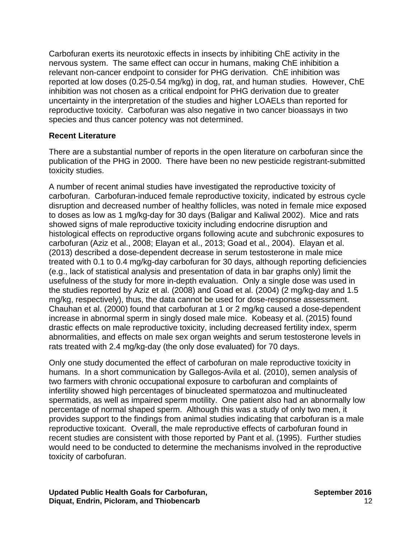Carbofuran exerts its neurotoxic effects in insects by inhibiting ChE activity in the nervous system. The same effect can occur in humans, making ChE inhibition a relevant non-cancer endpoint to consider for PHG derivation. ChE inhibition was reported at low doses (0.25-0.54 mg/kg) in dog, rat, and human studies. However, ChE inhibition was not chosen as a critical endpoint for PHG derivation due to greater uncertainty in the interpretation of the studies and higher LOAELs than reported for reproductive toxicity. Carbofuran was also negative in two cancer bioassays in two species and thus cancer potency was not determined.

### **Recent Literature**

There are a substantial number of reports in the open literature on carbofuran since the publication of the PHG in 2000. There have been no new pesticide registrant-submitted toxicity studies.

A number of recent animal studies have investigated the reproductive toxicity of carbofuran. Carbofuran-induced female reproductive toxicity, indicated by estrous cycle disruption and decreased number of healthy follicles, was noted in female mice exposed to doses as low as 1 mg/kg-day for 30 days (Baligar and Kaliwal 2002). Mice and rats showed signs of male reproductive toxicity including endocrine disruption and histological effects on reproductive organs following acute and subchronic exposures to carbofuran (Aziz et al., 2008; Elayan et al., 2013; Goad et al., 2004). Elayan et al. (2013) described a dose-dependent decrease in serum testosterone in male mice treated with 0.1 to 0.4 mg/kg-day carbofuran for 30 days, although reporting deficiencies (e.g., lack of statistical analysis and presentation of data in bar graphs only) limit the usefulness of the study for more in-depth evaluation. Only a single dose was used in the studies reported by Aziz et al. (2008) and Goad et al. (2004) (2 mg/kg-day and 1.5 mg/kg, respectively), thus, the data cannot be used for dose-response assessment. Chauhan et al. (2000) found that carbofuran at 1 or 2 mg/kg caused a dose-dependent increase in abnormal sperm in singly dosed male mice. Kobeasy et al. (2015) found drastic effects on male reproductive toxicity, including decreased fertility index, sperm abnormalities, and effects on male sex organ weights and serum testosterone levels in rats treated with 2.4 mg/kg-day (the only dose evaluated) for 70 days.

Only one study documented the effect of carbofuran on male reproductive toxicity in humans. In a short communication by Gallegos-Avila et al. (2010), semen analysis of two farmers with chronic occupational exposure to carbofuran and complaints of infertility showed high percentages of binucleated spermatozoa and multinucleated spermatids, as well as impaired sperm motility. One patient also had an abnormally low percentage of normal shaped sperm. Although this was a study of only two men, it provides support to the findings from animal studies indicating that carbofuran is a male reproductive toxicant. Overall, the male reproductive effects of carbofuran found in recent studies are consistent with those reported by Pant et al. (1995). Further studies would need to be conducted to determine the mechanisms involved in the reproductive toxicity of carbofuran.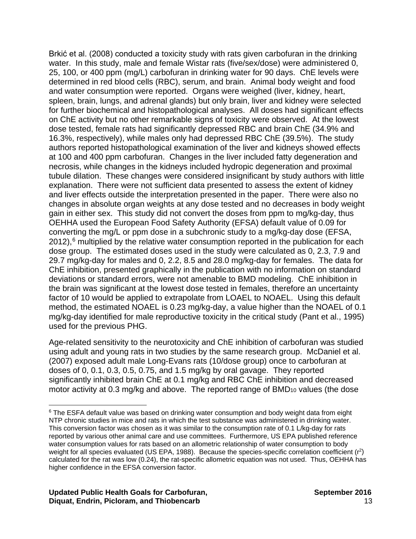Brkić et al. (2008) conducted a toxicity study with rats given carbofuran in the drinking water. In this study, male and female Wistar rats (five/sex/dose) were administered 0, 25, 100, or 400 ppm (mg/L) carbofuran in drinking water for 90 days. ChE levels were determined in red blood cells (RBC), serum, and brain. Animal body weight and food and water consumption were reported. Organs were weighed (liver, kidney, heart, spleen, brain, lungs, and adrenal glands) but only brain, liver and kidney were selected for further biochemical and histopathological analyses. All doses had significant effects on ChE activity but no other remarkable signs of toxicity were observed. At the lowest dose tested, female rats had significantly depressed RBC and brain ChE (34.9% and 16.3%, respectively), while males only had depressed RBC ChE (39.5%). The study authors reported histopathological examination of the liver and kidneys showed effects at 100 and 400 ppm carbofuran. Changes in the liver included fatty degeneration and necrosis, while changes in the kidneys included hydropic degeneration and proximal tubule dilation. These changes were considered insignificant by study authors with little explanation. There were not sufficient data presented to assess the extent of kidney and liver effects outside the interpretation presented in the paper. There were also no changes in absolute organ weights at any dose tested and no decreases in body weight gain in either sex. This study did not convert the doses from ppm to mg/kg-day, thus OEHHA used the European Food Safety Authority (EFSA) default value of 0.09 for converting the mg/L or ppm dose in a subchronic study to a mg/kg-day dose (EFSA, 2012),<sup>[6](#page-17-0)</sup> multiplied by the relative water consumption reported in the publication for each dose group. The estimated doses used in the study were calculated as 0, 2.3, 7.9 and 29.7 mg/kg-day for males and 0, 2.2, 8.5 and 28.0 mg/kg-day for females. The data for ChE inhibition, presented graphically in the publication with no information on standard deviations or standard errors, were not amenable to BMD modeling. ChE inhibition in the brain was significant at the lowest dose tested in females, therefore an uncertainty factor of 10 would be applied to extrapolate from LOAEL to NOAEL. Using this default method, the estimated NOAEL is 0.23 mg/kg-day, a value higher than the NOAEL of 0.1 mg/kg-day identified for male reproductive toxicity in the critical study (Pant et al., 1995) used for the previous PHG.

Age-related sensitivity to the neurotoxicity and ChE inhibition of carbofuran was studied using adult and young rats in two studies by the same research group. McDaniel et al. (2007) exposed adult male Long-Evans rats (10/dose group) once to carbofuran at doses of 0, 0.1, 0.3, 0.5, 0.75, and 1.5 mg/kg by oral gavage. They reported significantly inhibited brain ChE at 0.1 mg/kg and RBC ChE inhibition and decreased motor activity at 0.3 mg/kg and above. The reported range of BMD<sub>10</sub> values (the dose

<span id="page-17-0"></span> $\overline{\phantom{a}}$  $6$  The ESFA default value was based on drinking water consumption and body weight data from eight NTP chronic studies in mice and rats in which the test substance was administered in drinking water. This conversion factor was chosen as it was similar to the consumption rate of 0.1 L/kg-day for rats reported by various other animal care and use committees. Furthermore, US EPA published reference water consumption values for rats based on an allometric relationship of water consumption to body weight for all species evaluated (US EPA, 1988). Because the species-specific correlation coefficient  $(r^2)$ calculated for the rat was low (0.24), the rat-specific allometric equation was not used. Thus, OEHHA has higher confidence in the EFSA conversion factor.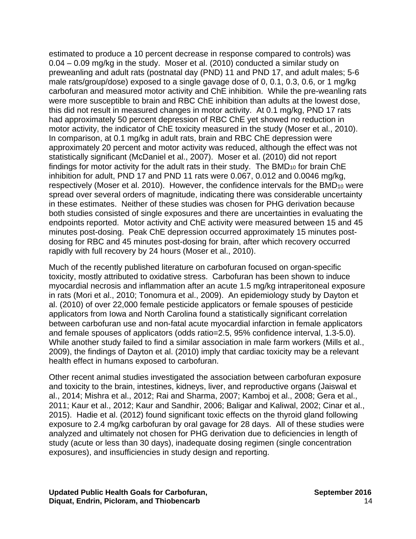estimated to produce a 10 percent decrease in response compared to controls) was 0.04 – 0.09 mg/kg in the study. Moser et al. (2010) conducted a similar study on preweanling and adult rats (postnatal day (PND) 11 and PND 17, and adult males; 5-6 male rats/group/dose) exposed to a single gavage dose of 0, 0.1, 0.3, 0.6, or 1 mg/kg carbofuran and measured motor activity and ChE inhibition. While the pre-weanling rats were more susceptible to brain and RBC ChE inhibition than adults at the lowest dose, this did not result in measured changes in motor activity. At 0.1 mg/kg, PND 17 rats had approximately 50 percent depression of RBC ChE yet showed no reduction in motor activity, the indicator of ChE toxicity measured in the study (Moser et al., 2010). In comparison, at 0.1 mg/kg in adult rats, brain and RBC ChE depression were approximately 20 percent and motor activity was reduced, although the effect was not statistically significant (McDaniel et al., 2007). Moser et al. (2010) did not report findings for motor activity for the adult rats in their study. The  $BMD_{10}$  for brain  $Che$ inhibition for adult, PND 17 and PND 11 rats were 0.067, 0.012 and 0.0046 mg/kg, respectively (Moser et al. 2010). However, the confidence intervals for the BMD<sub>10</sub> were spread over several orders of magnitude, indicating there was considerable uncertainty in these estimates. Neither of these studies was chosen for PHG derivation because both studies consisted of single exposures and there are uncertainties in evaluating the endpoints reported. Motor activity and ChE activity were measured between 15 and 45 minutes post-dosing. Peak ChE depression occurred approximately 15 minutes postdosing for RBC and 45 minutes post-dosing for brain, after which recovery occurred rapidly with full recovery by 24 hours (Moser et al., 2010).

Much of the recently published literature on carbofuran focused on organ-specific toxicity, mostly attributed to oxidative stress. Carbofuran has been shown to induce myocardial necrosis and inflammation after an acute 1.5 mg/kg intraperitoneal exposure in rats (Mori et al., 2010; Tonomura et al., 2009). An epidemiology study by Dayton et al. (2010) of over 22,000 female pesticide applicators or female spouses of pesticide applicators from Iowa and North Carolina found a statistically significant correlation between carbofuran use and non-fatal acute myocardial infarction in female applicators and female spouses of applicators (odds ratio=2.5, 95% confidence interval, 1.3-5.0). While another study failed to find a similar association in male farm workers (Mills et al., 2009), the findings of Dayton et al. (2010) imply that cardiac toxicity may be a relevant health effect in humans exposed to carbofuran.

Other recent animal studies investigated the association between carbofuran exposure and toxicity to the brain, intestines, kidneys, liver, and reproductive organs (Jaiswal et al., 2014; Mishra et al., 2012; Rai and Sharma, 2007; Kamboj et al., 2008; Gera et al., 2011; Kaur et al., 2012; Kaur and Sandhir, 2006; Baligar and Kaliwal, 2002; Cinar et al., 2015). Hadie et al. (2012) found significant toxic effects on the thyroid gland following exposure to 2.4 mg/kg carbofuran by oral gavage for 28 days. All of these studies were analyzed and ultimately not chosen for PHG derivation due to deficiencies in length of study (acute or less than 30 days), inadequate dosing regimen (single concentration exposures), and insufficiencies in study design and reporting.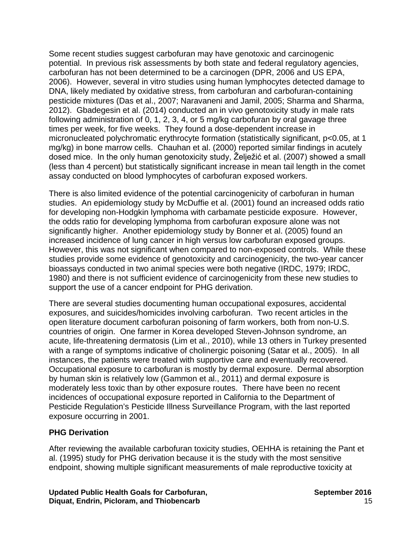Some recent studies suggest carbofuran may have genotoxic and carcinogenic potential. In previous risk assessments by both state and federal regulatory agencies, carbofuran has not been determined to be a carcinogen (DPR, 2006 and US EPA, 2006). However, several in vitro studies using human lymphocytes detected damage to DNA, likely mediated by oxidative stress, from carbofuran and carbofuran-containing pesticide mixtures (Das et al., 2007; Naravaneni and Jamil, 2005; Sharma and Sharma, 2012). Gbadegesin et al. (2014) conducted an in vivo genotoxicity study in male rats following administration of 0, 1, 2, 3, 4, or 5 mg/kg carbofuran by oral gavage three times per week, for five weeks. They found a dose-dependent increase in micronucleated polychromatic erythrocyte formation (statistically significant, p<0.05, at 1 mg/kg) in bone marrow cells. Chauhan et al. (2000) reported similar findings in acutely dosed mice. In the only human genotoxicity study, Želježić et al. (2007) showed a small (less than 4 percent) but statistically significant increase in mean tail length in the comet assay conducted on blood lymphocytes of carbofuran exposed workers.

There is also limited evidence of the potential carcinogenicity of carbofuran in human studies. An epidemiology study by McDuffie et al. (2001) found an increased odds ratio for developing non-Hodgkin lymphoma with carbamate pesticide exposure. However, the odds ratio for developing lymphoma from carbofuran exposure alone was not significantly higher. Another epidemiology study by Bonner et al. (2005) found an increased incidence of lung cancer in high versus low carbofuran exposed groups. However, this was not significant when compared to non-exposed controls. While these studies provide some evidence of genotoxicity and carcinogenicity, the two-year cancer bioassays conducted in two animal species were both negative (IRDC, 1979; IRDC, 1980) and there is not sufficient evidence of carcinogenicity from these new studies to support the use of a cancer endpoint for PHG derivation.

There are several studies documenting human occupational exposures, accidental exposures, and suicides/homicides involving carbofuran. Two recent articles in the open literature document carbofuran poisoning of farm workers, both from non-U.S. countries of origin. One farmer in Korea developed Steven-Johnson syndrome, an acute, life-threatening dermatosis (Lim et al., 2010), while 13 others in Turkey presented with a range of symptoms indicative of cholinergic poisoning (Satar et al., 2005). In all instances, the patients were treated with supportive care and eventually recovered. Occupational exposure to carbofuran is mostly by dermal exposure. Dermal absorption by human skin is relatively low (Gammon et al., 2011) and dermal exposure is moderately less toxic than by other exposure routes. There have been no recent incidences of occupational exposure reported in California to the Department of Pesticide Regulation's Pesticide Illness Surveillance Program, with the last reported exposure occurring in 2001.

# **PHG Derivation**

After reviewing the available carbofuran toxicity studies, OEHHA is retaining the Pant et al. (1995) study for PHG derivation because it is the study with the most sensitive endpoint, showing multiple significant measurements of male reproductive toxicity at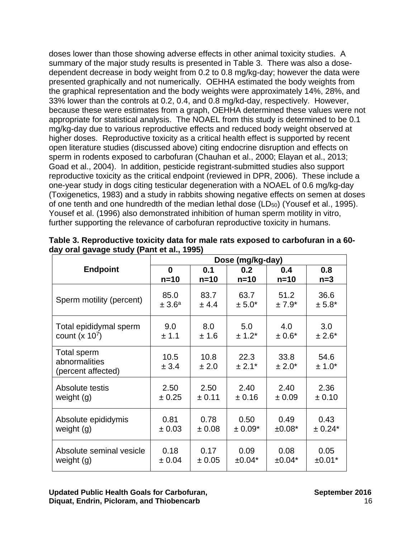doses lower than those showing adverse effects in other animal toxicity studies. A summary of the major study results is presented in Table 3. There was also a dosedependent decrease in body weight from 0.2 to 0.8 mg/kg-day; however the data were presented graphically and not numerically. OEHHA estimated the body weights from the graphical representation and the body weights were approximately 14%, 28%, and 33% lower than the controls at 0.2, 0.4, and 0.8 mg/kd-day, respectively. However, because these were estimates from a graph, OEHHA determined these values were not appropriate for statistical analysis. The NOAEL from this study is determined to be 0.1 mg/kg-day due to various reproductive effects and reduced body weight observed at higher doses. Reproductive toxicity as a critical health effect is supported by recent open literature studies (discussed above) citing endocrine disruption and effects on sperm in rodents exposed to carbofuran (Chauhan et al., 2000; Elayan et al., 2013; Goad et al., 2004). In addition, pesticide registrant-submitted studies also support reproductive toxicity as the critical endpoint (reviewed in DPR, 2006). These include a one-year study in dogs citing testicular degeneration with a NOAEL of 0.6 mg/kg-day (Toxigenetics, 1983) and a study in rabbits showing negative effects on semen at doses of one tenth and one hundredth of the median lethal dose  $(LD_{50})$  (Yousef et al., 1995). Yousef et al. (1996) also demonstrated inhibition of human sperm motility in vitro, further supporting the relevance of carbofuran reproductive toxicity in humans.

|                                                    | Dose (mg/kg-day)   |               |                  |                     |                  |
|----------------------------------------------------|--------------------|---------------|------------------|---------------------|------------------|
| <b>Endpoint</b>                                    | 0                  | 0.1           | 0.2              | 0.4                 | 0.8              |
|                                                    | n=10               | $n=10$        | $n=10$           | $n=10$              | $n=3$            |
| Sperm motility (percent)                           | 85.0               | 83.7          | 63.7             | 51.2                | 36.6             |
|                                                    | ± 3.6 <sup>a</sup> | ± 4.4         | $± 5.0*$         | $±7.9*$             | $± 5.8*$         |
| Total epididymal sperm                             | 9.0                | 8.0           | 5.0              | 4.0                 | 3.0              |
| count $(x 10^7)$                                   | ± 1.1              | ± 1.6         | $± 1.2*$         | $\pm 0.6^*$         | $± 2.6*$         |
| Total sperm<br>abnormalities<br>(percent affected) | 10.5<br>± 3.4      | 10.8<br>± 2.0 | 22.3<br>$± 2.1*$ | 33.8<br>$\pm 2.0^*$ | 54.6<br>$± 1.0*$ |
| Absolute testis                                    | 2.50               | 2.50          | 2.40             | 2.40                | 2.36             |
| weight $(g)$                                       | ± 0.25             | ± 0.11        | ± 0.16           | ± 0.09              | ± 0.10           |
| Absolute epididymis                                | 0.81               | 0.78          | 0.50             | 0.49                | 0.43             |
| weight $(q)$                                       | ± 0.03             | ± 0.08        | $± 0.09*$        | $±0.08*$            | $± 0.24*$        |
| Absolute seminal vesicle                           | 0.18               | 0.17          | 0.09             | 0.08                | 0.05             |
| weight $(g)$                                       | ± 0.04             | ± 0.05        | $±0.04*$         | $±0.04*$            | $±0.01*$         |

|                                           | Table 3. Reproductive toxicity data for male rats exposed to carbofuran in a 60- |
|-------------------------------------------|----------------------------------------------------------------------------------|
| day oral gavage study (Pant et al., 1995) |                                                                                  |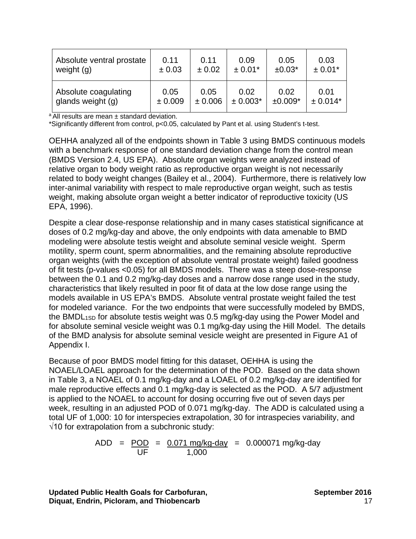| Absolute ventral prostate | 0.11    | 0.11    | 0.09       | 0.05      | 0.03       |
|---------------------------|---------|---------|------------|-----------|------------|
| weight $(g)$              | ± 0.03  | ± 0.02  | $± 0.01*$  | $±0.03*$  | $± 0.01*$  |
| Absolute coagulating      | 0.05    | 0.05    | 0.02       | 0.02      | 0.01       |
| glands weight (g)         | ± 0.009 | ± 0.006 | $± 0.003*$ | $±0.009*$ | $± 0.014*$ |

 $a$  All results are mean  $\pm$  standard deviation.

\*Significantly different from control, p<0.05, calculated by Pant et al. using Student's t-test.

OEHHA analyzed all of the endpoints shown in Table 3 using BMDS continuous models with a benchmark response of one standard deviation change from the control mean (BMDS Version 2.4, US EPA). Absolute organ weights were analyzed instead of relative organ to body weight ratio as reproductive organ weight is not necessarily related to body weight changes (Bailey et al., 2004). Furthermore, there is relatively low inter-animal variability with respect to male reproductive organ weight, such as testis weight, making absolute organ weight a better indicator of reproductive toxicity (US EPA, 1996).

Despite a clear dose-response relationship and in many cases statistical significance at doses of 0.2 mg/kg-day and above, the only endpoints with data amenable to BMD modeling were absolute testis weight and absolute seminal vesicle weight. Sperm motility, sperm count, sperm abnormalities, and the remaining absolute reproductive organ weights (with the exception of absolute ventral prostate weight) failed goodness of fit tests (p-values <0.05) for all BMDS models. There was a steep dose-response between the 0.1 and 0.2 mg/kg-day doses and a narrow dose range used in the study, characteristics that likely resulted in poor fit of data at the low dose range using the models available in US EPA's BMDS. Absolute ventral prostate weight failed the test for modeled variance. For the two endpoints that were successfully modeled by BMDS, the BMDL1SD for absolute testis weight was 0.5 mg/kg-day using the Power Model and for absolute seminal vesicle weight was 0.1 mg/kg-day using the Hill Model. The details of the BMD analysis for absolute seminal vesicle weight are presented in Figure A1 of Appendix I.

Because of poor BMDS model fitting for this dataset, OEHHA is using the NOAEL/LOAEL approach for the determination of the POD. Based on the data shown in Table 3, a NOAEL of 0.1 mg/kg-day and a LOAEL of 0.2 mg/kg-day are identified for male reproductive effects and 0.1 mg/kg-day is selected as the POD. A 5/7 adjustment is applied to the NOAEL to account for dosing occurring five out of seven days per week, resulting in an adjusted POD of 0.071 mg/kg-day. The ADD is calculated using a total UF of 1,000: 10 for interspecies extrapolation, 30 for intraspecies variability, and √10 for extrapolation from a subchronic study:

ADD = <u>POD</u> = <u>0.071 mg/kg-day</u> = 0.000071 mg/kg-day  $\overline{\textsf{U}}$  to the  $\overline{\textsf{U}}$  to the  $1,000$ 

Updated Public Health Goals for Carbofuran, Network September 2016 **Diquat, Endrin, Picloram, and Thiobencarb** 17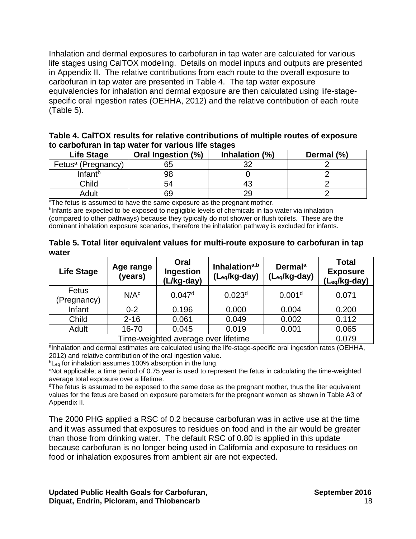Inhalation and dermal exposures to carbofuran in tap water are calculated for various life stages using CalTOX modeling. Details on model inputs and outputs are presented in Appendix II. The relative contributions from each route to the overall exposure to carbofuran in tap water are presented in Table 4. The tap water exposure equivalencies for inhalation and dermal exposure are then calculated using life-stagespecific oral ingestion rates (OEHHA, 2012) and the relative contribution of each route (Table 5).

| Table 4. CalTOX results for relative contributions of multiple routes of exposure |  |
|-----------------------------------------------------------------------------------|--|
| to carbofuran in tap water for various life stages                                |  |

| <b>Life Stage</b>              | Oral Ingestion (%) | Inhalation (%) | Dermal (%) |
|--------------------------------|--------------------|----------------|------------|
| Fetus <sup>a</sup> (Pregnancy) | 65                 | າ              |            |
| Infant <sup>b</sup>            | 98                 |                |            |
| Child                          | 54                 |                |            |
| Adult                          | 69                 | 29             |            |

<sup>a</sup>The fetus is assumed to have the same exposure as the pregnant mother.

bInfants are expected to be exposed to negligible levels of chemicals in tap water via inhalation (compared to other pathways) because they typically do not shower or flush toilets. These are the dominant inhalation exposure scenarios, therefore the inhalation pathway is excluded for infants.

|       | Table 5. Total liter equivalent values for multi-route exposure to carbofuran in tap |
|-------|--------------------------------------------------------------------------------------|
| water |                                                                                      |

| <b>Life Stage</b>    | Age range<br>(years) | Oral<br><b>Ingestion</b><br>(L/kg-day) | Inhalation <sup>a,b</sup><br>$(L_{eq}/kg$ -day) | <b>Dermal</b> <sup>a</sup><br>(L <sub>eq</sub> /kg-day) | <b>Total</b><br><b>Exposure</b><br>(Leq/kg-day) |
|----------------------|----------------------|----------------------------------------|-------------------------------------------------|---------------------------------------------------------|-------------------------------------------------|
| Fetus<br>(Pregnancy) | N/A <sup>c</sup>     | 0.047 <sup>d</sup>                     | 0.023 <sup>d</sup>                              | 0.001 <sup>d</sup>                                      | 0.071                                           |
| Infant               | $0 - 2$              | 0.196                                  | 0.000                                           | 0.004                                                   | 0.200                                           |
| Child                | $2 - 16$             | 0.061                                  | 0.049                                           | 0.002                                                   | 0.112                                           |
| Adult                | 16-70                | 0.045                                  | 0.019                                           | 0.001                                                   | 0.065                                           |
|                      | 0.079                |                                        |                                                 |                                                         |                                                 |

aInhalation and dermal estimates are calculated using the life-stage-specific oral ingestion rates (OEHHA, 2012) and relative contribution of the oral ingestion value.

 $bL_{eq}$  for inhalation assumes 100% absorption in the lung.

c Not applicable; a time period of 0.75 year is used to represent the fetus in calculating the time-weighted average total exposure over a lifetime.

 $d$ The fetus is assumed to be exposed to the same dose as the pregnant mother, thus the liter equivalent values for the fetus are based on exposure parameters for the pregnant woman as shown in Table A3 of Appendix II.

The 2000 PHG applied a RSC of 0.2 because carbofuran was in active use at the time and it was assumed that exposures to residues on food and in the air would be greater than those from drinking water. The default RSC of 0.80 is applied in this update because carbofuran is no longer being used in California and exposure to residues on food or inhalation exposures from ambient air are not expected.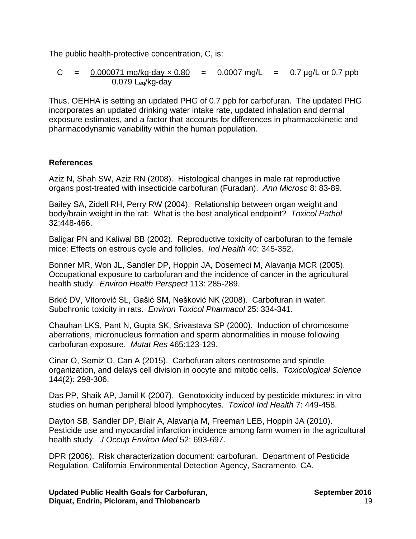The public health-protective concentration, C, is:

C = 
$$
\frac{0.000071 \text{ mg/kg-day} \times 0.80}{0.079 \text{ Leg/kg-day}}
$$
 = 0.0007 mg/L = 0.7 \text{ µg/L or 0.7 ppb

Thus, OEHHA is setting an updated PHG of 0.7 ppb for carbofuran. The updated PHG incorporates an updated drinking water intake rate, updated inhalation and dermal exposure estimates, and a factor that accounts for differences in pharmacokinetic and pharmacodynamic variability within the human population.

# **References**

Aziz N, Shah SW, Aziz RN (2008). Histological changes in male rat reproductive organs post-treated with insecticide carbofuran (Furadan). *Ann Microsc* 8: 83-89.

Bailey SA, Zidell RH, Perry RW (2004). Relationship between organ weight and body/brain weight in the rat: What is the best analytical endpoint? *Toxicol Pathol* 32:448-466.

Baligar PN and Kaliwal BB (2002). Reproductive toxicity of carbofuran to the female mice: Effects on estrous cycle and follicles. *Ind Health* 40: 345-352.

Bonner MR, Won JL, Sandler DP, Hoppin JA, Dosemeci M, Alavanja MCR (2005). Occupational exposure to carbofuran and the incidence of cancer in the agricultural health study. *Environ Health Perspect* 113: 285-289.

Brkić DV, Vitorović SL, Gašić SM, Nešković NK (2008). Carbofuran in water: Subchronic toxicity in rats. *Environ Toxicol Pharmacol* 25: 334-341.

Chauhan LKS, Pant N, Gupta SK, Srivastava SP (2000). Induction of chromosome aberrations, micronucleus formation and sperm abnormalities in mouse following carbofuran exposure. *Mutat Res* 465:123-129.

Cinar O, Semiz O, Can A (2015). Carbofuran alters centrosome and spindle organization, and delays cell division in oocyte and mitotic cells. *Toxicological Science*  144(2): 298-306.

Das PP, Shaik AP, Jamil K (2007). Genotoxicity induced by pesticide mixtures: in-vitro studies on human peripheral blood lymphocytes. *Toxicol Ind Health* 7: 449-458.

Dayton SB, Sandler DP, Blair A, Alavanja M, Freeman LEB, Hoppin JA (2010). Pesticide use and myocardial infarction incidence among farm women in the agricultural health study. *J Occup Environ Med* 52: 693-697.

DPR (2006). Risk characterization document: carbofuran. Department of Pesticide Regulation, California Environmental Detection Agency, Sacramento, CA.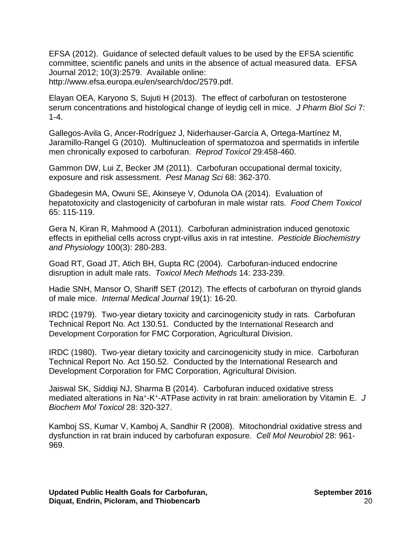EFSA (2012). Guidance of selected default values to be used by the EFSA scientific committee, scientific panels and units in the absence of actual measured data. EFSA Journal 2012; 10(3):2579. Available online: <http://www.efsa.europa.eu/en/search/doc/2579.pdf.>

Elayan OEA, Karyono S, Sujuti H (2013). The effect of carbofuran on testosterone serum concentrations and histological change of leydig cell in mice. *J Pharm Biol Sci* 7: 1-4.

Gallegos-Avila G, Ancer-Rodríguez J, Niderhauser-García A, Ortega-Martínez M, Jaramillo-Rangel G (2010). Multinucleation of spermatozoa and spermatids in infertile men chronically exposed to carbofuran. *Reprod Toxicol* 29:458-460.

Gammon DW, Lui Z, Becker JM (2011). Carbofuran occupational dermal toxicity, exposure and risk assessment. *Pest Manag Sci* 68: 362-370.

Gbadegesin MA, Owuni SE, Akinseye V, Odunola OA (2014). Evaluation of hepatotoxicity and clastogenicity of carbofuran in male wistar rats. *Food Chem Toxicol* 65: 115-119.

Gera N, Kiran R, Mahmood A (2011). Carbofuran administration induced genotoxic effects in epithelial cells across crypt-villus axis in rat intestine. *Pesticide Biochemistry and Physiology* 100(3): 280-283.

Goad RT, Goad JT, Atich BH, Gupta RC (2004). Carbofuran-induced endocrine disruption in adult male rats. *Toxicol Mech Methods* 14: 233-239.

Hadie SNH, Mansor O, Shariff SET (2012). The effects of carbofuran on thyroid glands of male mice. *Internal Medical Journal* 19(1): 16-20.

IRDC (1979). Two-year dietary toxicity and carcinogenicity study in rats. Carbofuran Technical Report No. Act 130.51. Conducted by the International Research and Development Corporation for FMC Corporation, Agricultural Division.

IRDC (1980). Two-year dietary toxicity and carcinogenicity study in mice. Carbofuran Technical Report No. Act 150.52. Conducted by the International Research and Development Corporation for FMC Corporation, Agricultural Division.

Jaiswal SK, Siddiqi NJ, Sharma B (2014). Carbofuran induced oxidative stress mediated alterations in Na+-K+-ATPase activity in rat brain: amelioration by Vitamin E. *J Biochem Mol Toxicol* 28: 320-327.

Kamboj SS, Kumar V, Kamboj A, Sandhir R (2008). Mitochondrial oxidative stress and dysfunction in rat brain induced by carbofuran exposure. *Cell Mol Neurobiol* 28: 961- 969.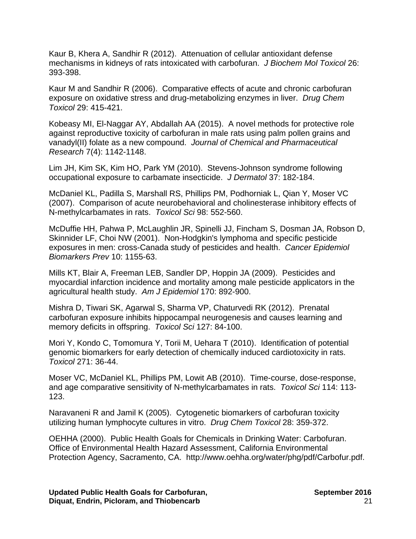Kaur B, Khera A, Sandhir R (2012). Attenuation of cellular antioxidant defense mechanisms in kidneys of rats intoxicated with carbofuran. *J Biochem Mol Toxicol* 26: 393-398.

Kaur M and Sandhir R (2006). Comparative effects of acute and chronic carbofuran exposure on oxidative stress and drug-metabolizing enzymes in liver. *Drug Chem Toxicol* 29: 415-421.

Kobeasy MI, El-Naggar AY, Abdallah AA (2015). A novel methods for protective role against reproductive toxicity of carbofuran in male rats using palm pollen grains and vanadyl(II) folate as a new compound.*Journal of Chemical and Pharmaceutical Research* 7(4): 1142-1148.

Lim JH, Kim SK, Kim HO, Park YM (2010). Stevens-Johnson syndrome following occupational exposure to carbamate insecticide. *J Dermatol* 37: 182-184.

McDaniel KL, Padilla S, Marshall RS, Phillips PM, Podhorniak L, Qian Y, Moser VC (2007). Comparison of acute neurobehavioral and cholinesterase inhibitory effects of N-methylcarbamates in rats. *Toxicol Sci* 98: 552-560.

McDuffie HH, Pahwa P, McLaughlin JR, Spinelli JJ, Fincham S, Dosman JA, Robson D, Skinnider LF, Choi NW (2001). Non-Hodgkin's lymphoma and specific pesticide exposures in men: cross-Canada study of pesticides and health. *Cancer Epidemiol Biomarkers Prev* 10: 1155-63.

Mills KT, Blair A, Freeman LEB, Sandler DP, Hoppin JA (2009). Pesticides and myocardial infarction incidence and mortality among male pesticide applicators in the agricultural health study. *Am J Epidemiol* 170: 892-900.

Mishra D, Tiwari SK, Agarwal S, Sharma VP, Chaturvedi RK (2012). Prenatal carbofuran exposure inhibits hippocampal neurogenesis and causes learning and memory deficits in offspring. *Toxicol Sci* 127: 84-100.

Mori Y, Kondo C, Tomomura Y, Torii M, Uehara T (2010). Identification of potential genomic biomarkers for early detection of chemically induced cardiotoxicity in rats. *Toxicol* 271: 36-44.

Moser VC, McDaniel KL, Phillips PM, Lowit AB (2010). Time-course, dose-response, and age comparative sensitivity of N-methylcarbamates in rats. *Toxicol Sci* 114: 113- 123.

Naravaneni R and Jamil K (2005). Cytogenetic biomarkers of carbofuran toxicity utilizing human lymphocyte cultures in vitro. *Drug Chem Toxicol* 28: 359-372.

OEHHA (2000). Public Health Goals for Chemicals in Drinking Water: Carbofuran. Office of Environmental Health Hazard Assessment, California Environmental Protection Agency, Sacramento, CA. <http://www.oehha.org/water/phg/pdf/Carbofur.pdf.>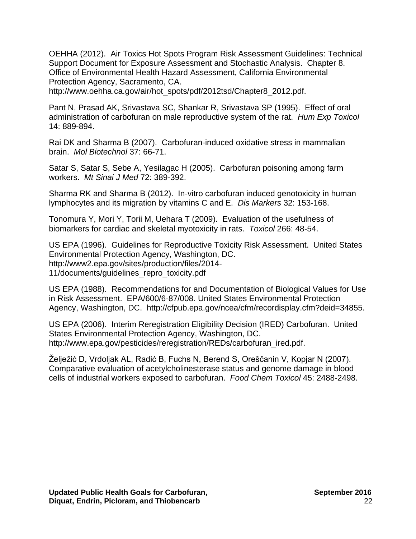OEHHA (2012). Air Toxics Hot Spots Program Risk Assessment Guidelines: Technical Support Document for Exposure Assessment and Stochastic Analysis. Chapter 8. Office of Environmental Health Hazard Assessment, California Environmental Protection Agency, Sacramento, CA.

[http://www.oehha.ca.gov/air/hot\\_spots/pdf/2012tsd/Chapter8\\_2012.pdf.](http://www.oehha.ca.gov/air/hot_spots/pdf/2012tsd/Chapter8_2012.pdf)

Pant N, Prasad AK, Srivastava SC, Shankar R, Srivastava SP (1995). Effect of oral administration of carbofuran on male reproductive system of the rat. *Hum Exp Toxicol* 14: 889-894.

Rai DK and Sharma B (2007). Carbofuran-induced oxidative stress in mammalian brain. *Mol Biotechnol* 37: 66-71.

Satar S, Satar S, Sebe A, Yesilagac H (2005). Carbofuran poisoning among farm workers. *Mt Sinai J Med* 72: 389-392.

Sharma RK and Sharma B (2012). In-vitro carbofuran induced genotoxicity in human lymphocytes and its migration by vitamins C and E. *Dis Markers* 32: 153-168.

Tonomura Y, Mori Y, Torii M, Uehara T (2009). Evaluation of the usefulness of biomarkers for cardiac and skeletal myotoxicity in rats. *Toxicol* 266: 48-54.

US EPA (1996). Guidelines for Reproductive Toxicity Risk Assessment. United States Environmental Protection Agency, Washington, DC. [http://www2.epa.gov/sites/production/files/2014-](http://www2.epa.gov/sites/production/files/2014-11/documents/guidelines_repro_toxicity.pdf) 11/documents/guidelines\_repro\_toxicity.pdf

US EPA (1988). Recommendations for and Documentation of Biological Values for Use in Risk Assessment. EPA/600/6-87/008. United States Environmental Protection Agency, Washington, DC. <http://cfpub.epa.gov/ncea/cfm/recordisplay.cfm?deid=34855.>

US EPA (2006). Interim Reregistration Eligibility Decision (IRED) Carbofuran. United States Environmental Protection Agency, Washington, DC. [http://www.epa.gov/pesticides/reregistration/REDs/carbofuran\\_ired.pdf.](http://www.epa.gov/pesticides/reregistration/REDs/carbofuran_ired.pdf.) 

Želježić D, Vrdoljak AL, Radić B, Fuchs N, Berend S, Oreščanin V, Kopjar N (2007). Comparative evaluation of acetylcholinesterase status and genome damage in blood cells of industrial workers exposed to carbofuran. *Food Chem Toxicol* 45: 2488-2498.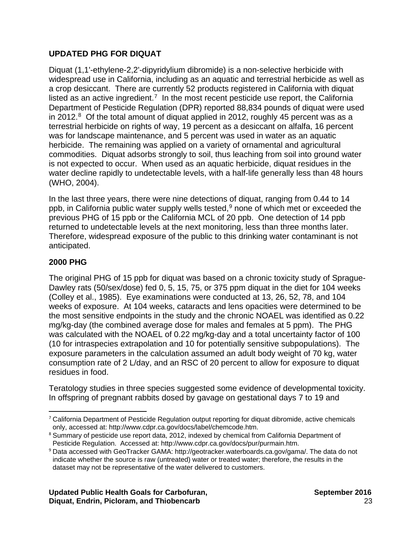# <span id="page-27-0"></span>**UPDATED PHG FOR DIQUAT**

Diquat (1,1'-ethylene-2,2'-dipyridylium dibromide) is a non-selective herbicide with widespread use in California, including as an aquatic and terrestrial herbicide as well as a crop desiccant. There are currently 52 products registered in California with diquat listed as an active ingredient.<sup>7</sup> In the most recent pesticide use report, the California Department of Pesticide Regulation (DPR) reported 88,834 pounds of diquat were used in 2012. $8$  Of the total amount of diquat applied in 2012, roughly 45 percent was as a terrestrial herbicide on rights of way, 19 percent as a desiccant on alfalfa, 16 percent was for landscape maintenance, and 5 percent was used in water as an aquatic herbicide. The remaining was applied on a variety of ornamental and agricultural commodities. Diquat adsorbs strongly to soil, thus leaching from soil into ground water is not expected to occur. When used as an aquatic herbicide, diquat residues in the water decline rapidly to undetectable levels, with a half-life generally less than 48 hours (WHO, 2004).

In the last three years, there were nine detections of diquat, ranging from 0.44 to 14 ppb, in California public water supply wells tested, [9](#page-27-3) none of which met or exceeded the previous PHG of 15 ppb or the California MCL of 20 ppb. One detection of 14 ppb returned to undetectable levels at the next monitoring, less than three months later. Therefore, widespread exposure of the public to this drinking water contaminant is not anticipated.

# **2000 PHG**

The original PHG of 15 ppb for diquat was based on a chronic toxicity study of Sprague-Dawley rats (50/sex/dose) fed 0, 5, 15, 75, or 375 ppm diquat in the diet for 104 weeks (Colley et al., 1985). Eye examinations were conducted at 13, 26, 52, 78, and 104 weeks of exposure. At 104 weeks, cataracts and lens opacities were determined to be the most sensitive endpoints in the study and the chronic NOAEL was identified as 0.22 mg/kg-day (the combined average dose for males and females at 5 ppm). The PHG was calculated with the NOAEL of 0.22 mg/kg-day and a total uncertainty factor of 100 (10 for intraspecies extrapolation and 10 for potentially sensitive subpopulations). The exposure parameters in the calculation assumed an adult body weight of 70 kg, water consumption rate of 2 L/day, and an RSC of 20 percent to allow for exposure to diquat residues in food.

Teratology studies in three species suggested some evidence of developmental toxicity. In offspring of pregnant rabbits dosed by gavage on gestational days 7 to 19 and

<span id="page-27-1"></span> $\overline{\phantom{a}}$ <sup>7</sup> California Department of Pesticide Regulation output reporting for diquat dibromide, active chemicals only, accessed at:<http://www.cdpr.ca.gov/docs/label/chemcode.htm.>

<span id="page-27-2"></span><sup>8</sup> Summary of pesticide use report data, 2012, indexed by chemical from California Department of Pesticide Regulation. Accessed at:<http://www.cdpr.ca.gov/docs/pur/purmain.htm.>

<span id="page-27-3"></span><sup>9</sup> Data accessed with GeoTracker GAMA: <http://geotracker.waterboards.ca.gov/gama/.>The data do not indicate whether the source is raw (untreated) water or treated water; therefore, the results in the dataset may not be representative of the water delivered to customers.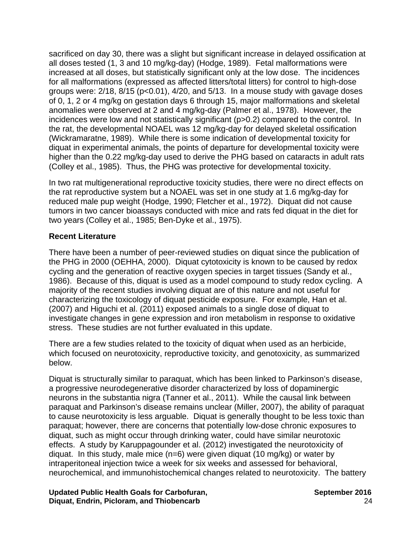sacrificed on day 30, there was a slight but significant increase in delayed ossification at all doses tested (1, 3 and 10 mg/kg-day) (Hodge, 1989). Fetal malformations were increased at all doses, but statistically significant only at the low dose. The incidences for all malformations (expressed as affected litters/total litters) for control to high-dose groups were: 2/18, 8/15 (p<0.01), 4/20, and 5/13. In a mouse study with gavage doses of 0, 1, 2 or 4 mg/kg on gestation days 6 through 15, major malformations and skeletal anomalies were observed at 2 and 4 mg/kg-day (Palmer et al., 1978). However, the incidences were low and not statistically significant (p>0.2) compared to the control. In the rat, the developmental NOAEL was 12 mg/kg-day for delayed skeletal ossification (Wickramaratne, 1989). While there is some indication of developmental toxicity for diquat in experimental animals, the points of departure for developmental toxicity were higher than the 0.22 mg/kg-day used to derive the PHG based on cataracts in adult rats (Colley et al., 1985). Thus, the PHG was protective for developmental toxicity.

In two rat multigenerational reproductive toxicity studies, there were no direct effects on the rat reproductive system but a NOAEL was set in one study at 1.6 mg/kg-day for reduced male pup weight (Hodge, 1990; Fletcher et al., 1972). Diquat did not cause tumors in two cancer bioassays conducted with mice and rats fed diquat in the diet for two years (Colley et al., 1985; Ben-Dyke et al., 1975).

### **Recent Literature**

There have been a number of peer-reviewed studies on diquat since the publication of the PHG in 2000 (OEHHA, 2000). Diquat cytotoxicity is known to be caused by redox cycling and the generation of reactive oxygen species in target tissues (Sandy et al., 1986). Because of this, diquat is used as a model compound to study redox cycling. A majority of the recent studies involving diquat are of this nature and not useful for characterizing the toxicology of diquat pesticide exposure. For example, Han et al. (2007) and Higuchi et al. (2011) exposed animals to a single dose of diquat to investigate changes in gene expression and iron metabolism in response to oxidative stress. These studies are not further evaluated in this update.

There are a few studies related to the toxicity of diquat when used as an herbicide, which focused on neurotoxicity, reproductive toxicity, and genotoxicity, as summarized below.

Diquat is structurally similar to paraquat, which has been linked to Parkinson's disease, a progressive neurodegenerative disorder characterized by loss of dopaminergic neurons in the substantia nigra (Tanner et al., 2011). While the causal link between paraquat and Parkinson's disease remains unclear (Miller, 2007), the ability of paraquat to cause neurotoxicity is less arguable. Diquat is generally thought to be less toxic than paraquat; however, there are concerns that potentially low-dose chronic exposures to diquat, such as might occur through drinking water, could have similar neurotoxic effects. A study by Karuppagounder et al. (2012) investigated the neurotoxicity of diquat. In this study, male mice (n=6) were given diquat (10 mg/kg) or water by intraperitoneal injection twice a week for six weeks and assessed for behavioral, neurochemical, and immunohistochemical changes related to neurotoxicity. The battery

Updated Public Health Goals for Carbofuran, The Contemporary September 2016 **Diquat, Endrin, Picloram, and Thiobencarb** 24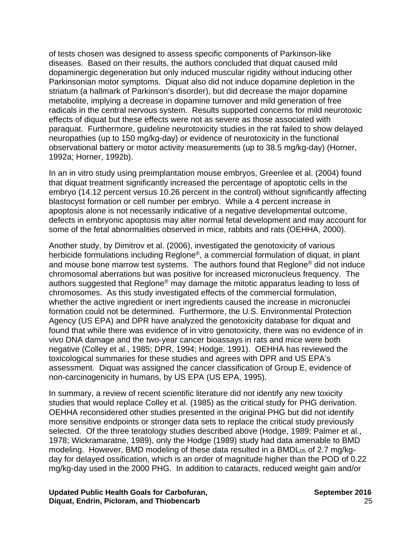of tests chosen was designed to assess specific components of Parkinson-like diseases. Based on their results, the authors concluded that diquat caused mild dopaminergic degeneration but only induced muscular rigidity without inducing other Parkinsonian motor symptoms. Diquat also did not induce dopamine depletion in the striatum (a hallmark of Parkinson's disorder), but did decrease the major dopamine metabolite, implying a decrease in dopamine turnover and mild generation of free radicals in the central nervous system. Results supported concerns for mild neurotoxic effects of diquat but these effects were not as severe as those associated with paraquat. Furthermore, guideline neurotoxicity studies in the rat failed to show delayed neuropathies (up to 150 mg/kg-day) or evidence of neurotoxicity in the functional observational battery or motor activity measurements (up to 38.5 mg/kg-day) (Horner, 1992a; Horner, 1992b).

In an in vitro study using preimplantation mouse embryos, Greenlee et al. (2004) found that diquat treatment significantly increased the percentage of apoptotic cells in the embryo (14.12 percent versus 10.26 percent in the control) without significantly affecting blastocyst formation or cell number per embryo. While a 4 percent increase in apoptosis alone is not necessarily indicative of a negative developmental outcome, defects in embryonic apoptosis may alter normal fetal development and may account for some of the fetal abnormalities observed in mice, rabbits and rats (OEHHA, 2000).

Another study, by Dimitrov et al. (2006), investigated the genotoxicity of various herbicide formulations including Reglone®, a commercial formulation of diquat, in plant and mouse bone marrow test systems. The authors found that Reglone® did not induce chromosomal aberrations but was positive for increased micronucleus frequency. The authors suggested that Reglone® may damage the mitotic apparatus leading to loss of chromosomes. As this study investigated effects of the commercial formulation, whether the active ingredient or inert ingredients caused the increase in micronuclei formation could not be determined. Furthermore, the U.S. Environmental Protection Agency (US EPA) and DPR have analyzed the genotoxicity database for diquat and found that while there was evidence of in vitro genotoxicity, there was no evidence of in vivo DNA damage and the two-year cancer bioassays in rats and mice were both negative (Colley et al., 1985; DPR, 1994; Hodge, 1991). OEHHA has reviewed the toxicological summaries for these studies and agrees with DPR and US EPA's assessment. Diquat was assigned the cancer classification of Group E, evidence of non-carcinogenicity in humans, by US EPA (US EPA, 1995).

In summary, a review of recent scientific literature did not identify any new toxicity studies that would replace Colley et al. (1985) as the critical study for PHG derivation. OEHHA reconsidered other studies presented in the original PHG but did not identify more sensitive endpoints or stronger data sets to replace the critical study previously selected. Of the three teratology studies described above (Hodge, 1989; Palmer et al., 1978; Wickramaratne, 1989), only the Hodge (1989) study had data amenable to BMD modeling. However, BMD modeling of these data resulted in a BMDL<sub>05</sub> of 2.7 mg/kgday for delayed ossification, which is an order of magnitude higher than the POD of 0.22 mg/kg-day used in the 2000 PHG. In addition to cataracts, reduced weight gain and/or

Updated Public Health Goals for Carbofuran, The Contemporary September 2016 **Diquat, Endrin, Picloram, and Thiobencarb** 25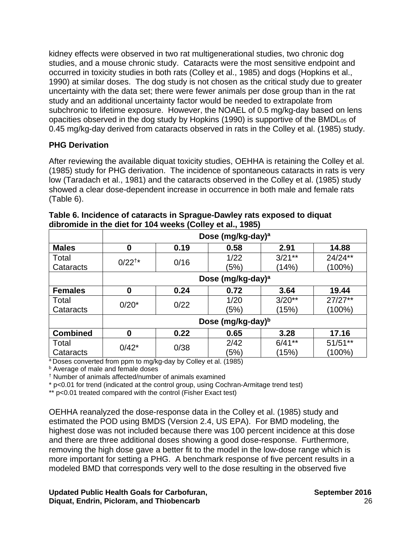kidney effects were observed in two rat multigenerational studies, two chronic dog studies, and a mouse chronic study. Cataracts were the most sensitive endpoint and occurred in toxicity studies in both rats (Colley et al., 1985) and dogs (Hopkins et al., 1990) at similar doses. The dog study is not chosen as the critical study due to greater uncertainty with the data set; there were fewer animals per dose group than in the rat study and an additional uncertainty factor would be needed to extrapolate from subchronic to lifetime exposure. However, the NOAEL of 0.5 mg/kg-day based on lens opacities observed in the dog study by Hopkins (1990) is supportive of the BMDL05 of 0.45 mg/kg-day derived from cataracts observed in rats in the Colley et al. (1985) study.

# **PHG Derivation**

After reviewing the available diquat toxicity studies, OEHHA is retaining the Colley et al. (1985) study for PHG derivation. The incidence of spontaneous cataracts in rats is very low (Taradach et al., 1981) and the cataracts observed in the Colley et al. (1985) study showed a clear dose-dependent increase in occurrence in both male and female rats (Table 6).

|                 | Dose (mg/kg-day) <sup>a</sup> |      |      |          |            |  |  |
|-----------------|-------------------------------|------|------|----------|------------|--|--|
| <b>Males</b>    | 0                             | 0.19 | 0.58 | 2.91     | 14.88      |  |  |
| Total           | $0/22^{+*}$                   | 0/16 | 1/22 | $3/21**$ | $24/24**$  |  |  |
| Cataracts       |                               |      | (5%) | (14%)    | $(100\%)$  |  |  |
|                 | Dose (mg/kg-day) <sup>a</sup> |      |      |          |            |  |  |
| <b>Females</b>  | 0                             | 0.24 | 0.72 | 3.64     | 19.44      |  |  |
| Total           | $0/20*$                       | 0/22 | 1/20 | $3/20**$ | $27/27**$  |  |  |
| Cataracts       |                               |      | (5%) | (15%)    | $(100\%)$  |  |  |
|                 | Dose (mg/kg-day) <sup>b</sup> |      |      |          |            |  |  |
| <b>Combined</b> | 0                             | 0.22 | 0.65 | 3.28     | 17.16      |  |  |
| Total           | $0/42*$                       | 0/38 | 2/42 | $6/41**$ | $51/51***$ |  |  |
| Cataracts       |                               |      | (5%) | (15%)    | (100%)     |  |  |

**Table 6. Incidence of cataracts in Sprague-Dawley rats exposed to diquat dibromide in the diet for 104 weeks (Colley et al., 1985)**

a Doses converted from ppm to mg/kg-day by Colley et al. (1985)

**b** Average of male and female doses

† Number of animals affected/number of animals examined

\* p<0.01 for trend (indicated at the control group, using Cochran-Armitage trend test)

\*\* p<0.01 treated compared with the control (Fisher Exact test)

OEHHA reanalyzed the dose-response data in the Colley et al. (1985) study and estimated the POD using BMDS (Version 2.4, US EPA). For BMD modeling, the highest dose was not included because there was 100 percent incidence at this dose and there are three additional doses showing a good dose-response. Furthermore, removing the high dose gave a better fit to the model in the low-dose range which is more important for setting a PHG. A benchmark response of five percent results in a modeled BMD that corresponds very well to the dose resulting in the observed five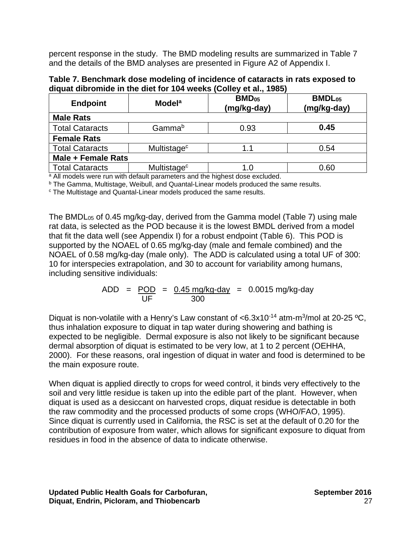percent response in the study. The BMD modeling results are summarized in Table 7 and the details of the BMD analyses are presented in Figure A2 of Appendix I.

| Table 7. Benchmark dose modeling of incidence of cataracts in rats exposed to |  |
|-------------------------------------------------------------------------------|--|
| diquat dibromide in the diet for 104 weeks (Colley et al., 1985)              |  |

| <b>Endpoint</b>        | <b>Modela</b>           | BMD <sub>05</sub><br>(mg/kg-day) | <b>BMDL</b> <sub>05</sub><br>(mg/kg-day) |  |  |
|------------------------|-------------------------|----------------------------------|------------------------------------------|--|--|
| <b>Male Rats</b>       |                         |                                  |                                          |  |  |
| <b>Total Cataracts</b> | Gamma <sup>b</sup>      | 0.93                             | 0.45                                     |  |  |
| <b>Female Rats</b>     |                         |                                  |                                          |  |  |
| <b>Total Cataracts</b> | Multistage <sup>c</sup> | 1.1                              | 0.54                                     |  |  |
| Male + Female Rats     |                         |                                  |                                          |  |  |
| <b>Total Cataracts</b> | Multistage <sup>c</sup> | 1. በ                             | 0.60                                     |  |  |

<sup>a</sup> All models were run with default parameters and the highest dose excluded.

**b** The Gamma, Multistage, Weibull, and Quantal-Linear models produced the same results.

<sup>c</sup> The Multistage and Quantal-Linear models produced the same results.

The BMDL $_{05}$  of 0.45 mg/kg-day, derived from the Gamma model (Table 7) using male rat data, is selected as the POD because it is the lowest BMDL derived from a model that fit the data well (see Appendix I) for a robust endpoint (Table 6). This POD is supported by the NOAEL of 0.65 mg/kg-day (male and female combined) and the NOAEL of 0.58 mg/kg-day (male only). The ADD is calculated using a total UF of 300: 10 for interspecies extrapolation, and 30 to account for variability among humans, including sensitive individuals:

ADD = <u>POD</u> = <u>0.45 mg/kg-day</u> = 0.0015 mg/kg-day **UF** 300

Diquat is non-volatile with a Henry's Law constant of  $< 6.3 \times 10^{-14}$  atm-m<sup>3</sup>/mol at 20-25 °C, thus inhalation exposure to diquat in tap water during showering and bathing is expected to be negligible. Dermal exposure is also not likely to be significant because dermal absorption of diquat is estimated to be very low, at 1 to 2 percent (OEHHA, 2000). For these reasons, oral ingestion of diquat in water and food is determined to be the main exposure route.

When diquat is applied directly to crops for weed control, it binds very effectively to the soil and very little residue is taken up into the edible part of the plant. However, when diquat is used as a desiccant on harvested crops, diquat residue is detectable in both the raw commodity and the processed products of some crops (WHO/FAO, 1995). Since diquat is currently used in California, the RSC is set at the default of 0.20 for the contribution of exposure from water, which allows for significant exposure to diquat from residues in food in the absence of data to indicate otherwise.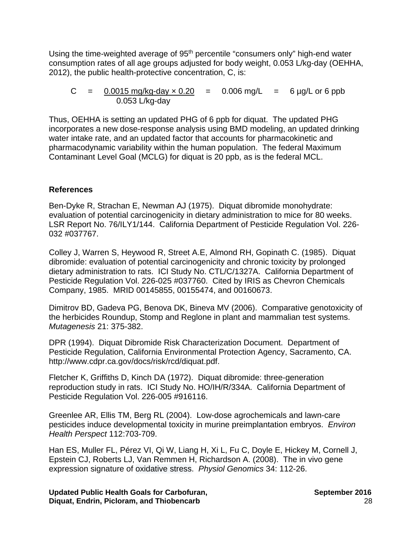Using the time-weighted average of 95<sup>th</sup> percentile "consumers only" high-end water consumption rates of all age groups adjusted for body weight, 0.053 L/kg-day (OEHHA, 2012), the public health-protective concentration, C, is:

$$
C = \frac{0.0015 \text{ mg/kg-day} \times 0.20}{0.053 \text{ L/kg-day}} = 0.006 \text{ mg/L} = 6 \text{ µg/L or } 6 \text{ pb}
$$

Thus, OEHHA is setting an updated PHG of 6 ppb for diquat. The updated PHG incorporates a new dose-response analysis using BMD modeling, an updated drinking water intake rate, and an updated factor that accounts for pharmacokinetic and pharmacodynamic variability within the human population. The federal Maximum Contaminant Level Goal (MCLG) for diquat is 20 ppb, as is the federal MCL.

# **References**

Ben-Dyke R, Strachan E, Newman AJ (1975). Diquat dibromide monohydrate: evaluation of potential carcinogenicity in dietary administration to mice for 80 weeks. LSR Report No. 76/ILY1/144. California Department of Pesticide Regulation Vol. 226- 032 #037767.

Colley J, Warren S, Heywood R, Street A.E, Almond RH, Gopinath C. (1985). Diquat dibromide: evaluation of potential carcinogenicity and chronic toxicity by prolonged dietary administration to rats. ICI Study No. CTL/C/1327A. California Department of Pesticide Regulation Vol. 226-025 #037760. Cited by IRIS as Chevron Chemicals Company, 1985. MRID 00145855, 00155474, and 00160673.

Dimitrov BD, Gadeva PG, Benova DK, Bineva MV (2006). Comparative genotoxicity of the herbicides Roundup, Stomp and Reglone in plant and mammalian test systems. *Mutagenesis* 21: 375-382.

DPR (1994). Diquat Dibromide Risk Characterization Document. Department of Pesticide Regulation, California Environmental Protection Agency, Sacramento, CA. <http://www.cdpr.ca.gov/docs/risk/rcd/diquat.pdf.>

Fletcher K, Griffiths D, Kinch DA (1972). Diquat dibromide: three-generation reproduction study in rats. ICI Study No. HO/IH/R/334A. California Department of Pesticide Regulation Vol. 226-005 #916116.

Greenlee AR, Ellis TM, Berg RL (2004). Low-dose agrochemicals and lawn-care pesticides induce developmental toxicity in murine preimplantation embryos. *Environ Health Perspect* 112:703-709.

Han ES, Muller FL, Pérez VI, Qi W, Liang H, Xi L, Fu C, Doyle E, Hickey M, Cornell J, Epstein CJ, Roberts LJ, Van Remmen H, Richardson A. (2008). The in vivo gene expression signature of oxidative stress. *Physiol Genomics* 34: 112-26.

Updated Public Health Goals for Carbofuran, The Contemporary September 2016 **Diquat, Endrin, Picloram, and Thiobencarb** 28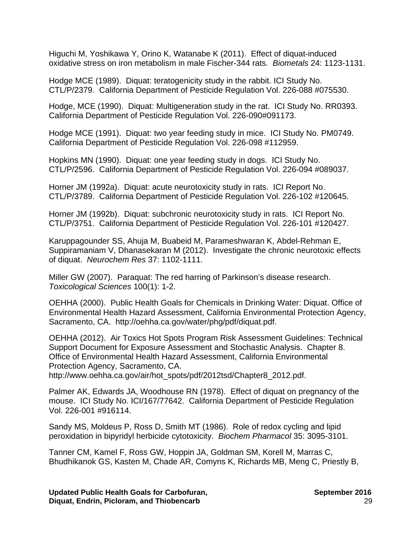Higuchi M, Yoshikawa Y, Orino K, Watanabe K (2011). Effect of diquat-induced oxidative stress on iron metabolism in male Fischer-344 rats. *Biometals* 24: 1123-1131.

Hodge MCE (1989). Diquat: teratogenicity study in the rabbit. ICI Study No. CTL/P/2379. California Department of Pesticide Regulation Vol. 226-088 #075530.

Hodge, MCE (1990). Diquat: Multigeneration study in the rat. ICI Study No. RR0393. California Department of Pesticide Regulation Vol. 226-090#091173.

Hodge MCE (1991). Diquat: two year feeding study in mice. ICI Study No. PM0749. California Department of Pesticide Regulation Vol. 226-098 #112959.

Hopkins MN (1990). Diquat: one year feeding study in dogs. ICI Study No. CTL/P/2596. California Department of Pesticide Regulation Vol. 226-094 #089037.

Horner JM (1992a). Diquat: acute neurotoxicity study in rats. ICI Report No. CTL/P/3789. California Department of Pesticide Regulation Vol. 226-102 #120645.

Horner JM (1992b). Diquat: subchronic neurotoxicity study in rats. ICI Report No. CTL/P/3751. California Department of Pesticide Regulation Vol. 226-101 #120427.

Karuppagounder SS, Ahuja M, Buabeid M, Parameshwaran K, Abdel-Rehman E, Suppiramaniam V, Dhanasekaran M (2012). Investigate the chronic neurotoxic effects of diquat. *Neurochem Res* 37: 1102-1111.

Miller GW (2007). Paraquat: The red harring of Parkinson's disease research. *Toxicological Sciences* 100(1): 1-2.

OEHHA (2000). Public Health Goals for Chemicals in Drinking Water: Diquat. Office of Environmental Health Hazard Assessment, California Environmental Protection Agency, Sacramento, CA. <http://oehha.ca.gov/water/phg/pdf/diquat.pdf.>

OEHHA (2012). Air Toxics Hot Spots Program Risk Assessment Guidelines: Technical Support Document for Exposure Assessment and Stochastic Analysis. Chapter 8. Office of Environmental Health Hazard Assessment, California Environmental Protection Agency, Sacramento, CA.

http://www.oehha.ca.gov/air/hot\_spots/pdf/2012tsd/Chapter8\_2012.pdf.

Palmer AK, Edwards JA, Woodhouse RN (1978). Effect of diquat on pregnancy of the mouse. ICI Study No. ICI/167/77642. California Department of Pesticide Regulation Vol. 226-001 #916114.

Sandy MS, Moldeus P, Ross D, Smith MT (1986). Role of redox cycling and lipid peroxidation in bipyridyl herbicide cytotoxicity. *Biochem Pharmacol* 35: 3095-3101.

Tanner CM, Kamel F, Ross GW, Hoppin JA, Goldman SM, Korell M, Marras C, Bhudhikanok GS, Kasten M, Chade AR, Comyns K, Richards MB, Meng C, Priestly B,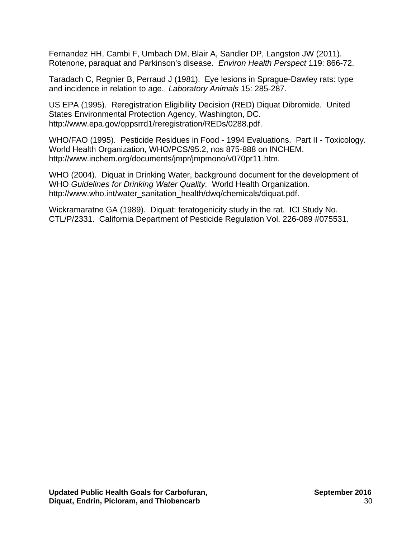Fernandez HH, Cambi F, Umbach DM, Blair A, Sandler DP, Langston JW (2011). Rotenone, paraquat and Parkinson's disease. *Environ Health Perspect* 119: 866-72.

Taradach C, Regnier B, Perraud J (1981). Eye lesions in Sprague-Dawley rats: type and incidence in relation to age. *Laboratory Animals* 15: 285-287.

US EPA (1995). Reregistration Eligibility Decision (RED) Diquat Dibromide. United States Environmental Protection Agency, Washington, DC. <http://www.epa.gov/oppsrrd1/reregistration/REDs/0288.pdf.>

WHO/FAO (1995). Pesticide Residues in Food - 1994 Evaluations. Part II - Toxicology. World Health Organization, WHO/PCS/95.2, nos 875-888 on INCHEM. <http://www.inchem.org/documents/jmpr/jmpmono/v070pr11.htm.>

WHO (2004). Diquat in Drinking Water, background document for the development of WHO *Guidelines for Drinking Water Quality.* World Health Organization. http://www.who.int/water\_sanitation\_health/dwq/chemicals/diquat.pdf.

Wickramaratne GA (1989). Diquat: teratogenicity study in the rat. ICI Study No. CTL/P/2331. California Department of Pesticide Regulation Vol. 226-089 #075531.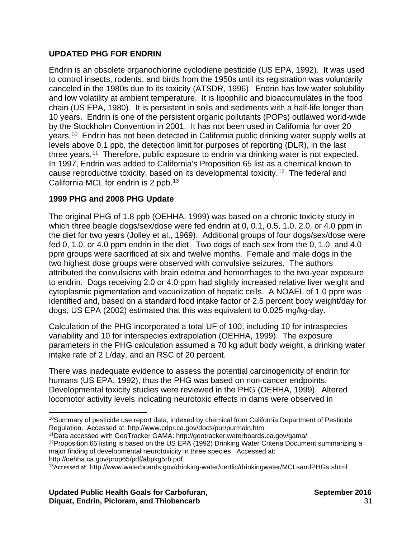# <span id="page-35-0"></span>**UPDATED PHG FOR ENDRIN**

Endrin is an obsolete organochlorine cyclodiene pesticide (US EPA, 1992). It was used to control insects, rodents, and birds from the 1950s until its registration was voluntarily canceled in the 1980s due to its toxicity (ATSDR, 1996). Endrin has low water solubility and low volatility at ambient temperature. It is lipophilic and bioaccumulates in the food chain (US EPA, 1980). It is persistent in soils and sediments with a half-life longer than 10 years. Endrin is one of the persistent organic pollutants (POPs) outlawed world-wide by the Stockholm Convention in 2001. It has not been used in California for over 20 years.[10](#page-35-1) Endrin has not been detected in California public drinking water supply wells at levels above 0.1 ppb, the detection limit for purposes of reporting (DLR), in the last three years.<sup>11</sup> Therefore, public exposure to endrin via drinking water is not expected. In 1997, Endrin was added to California's Proposition 65 list as a chemical known to cause reproductive toxicity, based on its developmental toxicity.[12](#page-35-3) The federal and California MCL for endrin is 2 ppb.<sup>[13](#page-35-4)</sup>

# **1999 PHG and 2008 PHG Update**

The original PHG of 1.8 ppb (OEHHA, 1999) was based on a chronic toxicity study in which three beagle dogs/sex/dose were fed endrin at 0, 0.1, 0.5, 1.0, 2.0, or 4.0 ppm in the diet for two years (Jolley et al., 1969). Additional groups of four dogs/sex/dose were fed 0, 1.0, or 4.0 ppm endrin in the diet. Two dogs of each sex from the 0, 1.0, and 4.0 ppm groups were sacrificed at six and twelve months. Female and male dogs in the two highest dose groups were observed with convulsive seizures. The authors attributed the convulsions with brain edema and hemorrhages to the two-year exposure to endrin. Dogs receiving 2.0 or 4.0 ppm had slightly increased relative liver weight and cytoplasmic pigmentation and vacuolization of hepatic cells. A NOAEL of 1.0 ppm was identified and, based on a standard food intake factor of 2.5 percent body weight/day for dogs, US EPA (2002) estimated that this was equivalent to 0.025 mg/kg-day.

Calculation of the PHG incorporated a total UF of 100, including 10 for intraspecies variability and 10 for interspecies extrapolation (OEHHA, 1999). The exposure parameters in the PHG calculation assumed a 70 kg adult body weight, a drinking water intake rate of 2 L/day, and an RSC of 20 percent.

There was inadequate evidence to assess the potential carcinogenicity of endrin for humans (US EPA, 1992), thus the PHG was based on non-cancer endpoints. Developmental toxicity studies were reviewed in the PHG (OEHHA, 1999). Altered locomotor activity levels indicating neurotoxic effects in dams were observed in

<span id="page-35-3"></span><span id="page-35-2"></span><sup>12</sup>Proposition 65 listing is based on the US EPA (1992) Drinking Water Criteria Document summarizing a major finding of developmental neurotoxicity in three species. Accessed at: <http://oehha.ca.gov/prop65/pdf/abpkg5rb.pdf.>

<span id="page-35-4"></span>13Accessed at:<http://www.waterboards.gov/drinking-water/certlic/drinkingwater/MCLsandPHGs.shtml>

<span id="page-35-1"></span> $\overline{\phantom{a}}$ 10Summary of pesticide use report data, indexed by chemical from California Department of Pesticide Regulation. Accessed at[: http://www.cdpr.ca.gov/docs/pur/purmain.htm.](http://www.cdpr.ca.gov/docs/pur/purmain.htm.)<br><sup>11</sup>Data accessed with GeoTracker GAMA: http://geotracker.waterboards.ca.gov/gama/.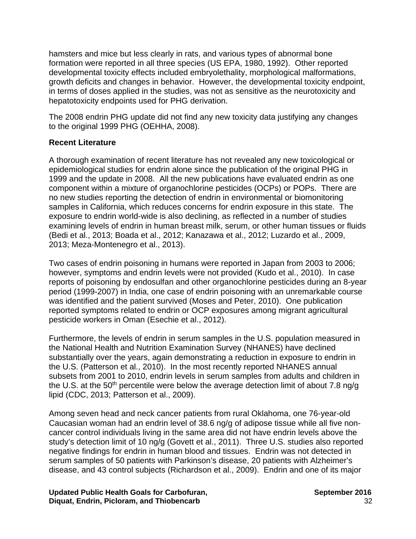hamsters and mice but less clearly in rats, and various types of abnormal bone formation were reported in all three species (US EPA, 1980, 1992). Other reported developmental toxicity effects included embryolethality, morphological malformations, growth deficits and changes in behavior. However, the developmental toxicity endpoint, in terms of doses applied in the studies, was not as sensitive as the neurotoxicity and hepatotoxicity endpoints used for PHG derivation.

The 2008 endrin PHG update did not find any new toxicity data justifying any changes to the original 1999 PHG (OEHHA, 2008).

## **Recent Literature**

A thorough examination of recent literature has not revealed any new toxicological or epidemiological studies for endrin alone since the publication of the original PHG in 1999 and the update in 2008. All the new publications have evaluated endrin as one component within a mixture of organochlorine pesticides (OCPs) or POPs. There are no new studies reporting the detection of endrin in environmental or biomonitoring samples in California, which reduces concerns for endrin exposure in this state. The exposure to endrin world-wide is also declining, as reflected in a number of studies examining levels of endrin in human breast milk, serum, or other human tissues or fluids (Bedi et al., 2013; Boada et al., 2012; Kanazawa et al., 2012; Luzardo et al., 2009, 2013; Meza-Montenegro et al., 2013).

Two cases of endrin poisoning in humans were reported in Japan from 2003 to 2006; however, symptoms and endrin levels were not provided (Kudo et al., 2010). In case reports of poisoning by endosulfan and other organochlorine pesticides during an 8-year period (1999-2007) in India, one case of endrin poisoning with an unremarkable course was identified and the patient survived (Moses and Peter, 2010). One publication reported symptoms related to endrin or OCP exposures among migrant agricultural pesticide workers in Oman (Esechie et al., 2012).

Furthermore, the levels of endrin in serum samples in the U.S. population measured in the National Health and Nutrition Examination Survey (NHANES) have declined substantially over the years, again demonstrating a reduction in exposure to endrin in the U.S. (Patterson et al., 2010). In the most recently reported NHANES annual subsets from 2001 to 2010, endrin levels in serum samples from adults and children in the U.S. at the 50<sup>th</sup> percentile were below the average detection limit of about 7.8 ng/g lipid (CDC, 2013; Patterson et al., 2009).

Among seven head and neck cancer patients from rural Oklahoma, one 76-year-old Caucasian woman had an endrin level of 38.6 ng/g of adipose tissue while all five noncancer control individuals living in the same area did not have endrin levels above the study's detection limit of 10 ng/g (Govett et al., 2011). Three U.S. studies also reported negative findings for endrin in human blood and tissues. Endrin was not detected in serum samples of 50 patients with Parkinson's disease, 20 patients with Alzheimer's disease, and 43 control subjects (Richardson et al., 2009). Endrin and one of its major

Updated Public Health Goals for Carbofuran, The Contrast Contrast September 2016 **Diquat, Endrin, Picloram, and Thiobencarb** 32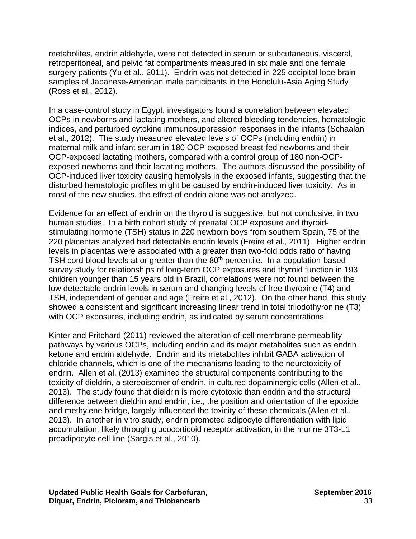metabolites, endrin aldehyde, were not detected in serum or subcutaneous, visceral, retroperitoneal, and pelvic fat compartments measured in six male and one female surgery patients (Yu et al., 2011). Endrin was not detected in 225 occipital lobe brain samples of Japanese-American male participants in the Honolulu-Asia Aging Study (Ross et al., 2012).

In a case-control study in Egypt, investigators found a correlation between elevated OCPs in newborns and lactating mothers, and altered bleeding tendencies, hematologic indices, and perturbed cytokine immunosuppression responses in the infants (Schaalan et al., 2012). The study measured elevated levels of OCPs (including endrin) in maternal milk and infant serum in 180 OCP-exposed breast-fed newborns and their OCP-exposed lactating mothers, compared with a control group of 180 non-OCPexposed newborns and their lactating mothers. The authors discussed the possibility of OCP-induced liver toxicity causing hemolysis in the exposed infants, suggesting that the disturbed hematologic profiles might be caused by endrin-induced liver toxicity. As in most of the new studies, the effect of endrin alone was not analyzed.

Evidence for an effect of endrin on the thyroid is suggestive, but not conclusive, in two human studies. In a birth cohort study of prenatal OCP exposure and thyroidstimulating hormone (TSH) status in 220 newborn boys from southern Spain, 75 of the 220 placentas analyzed had detectable endrin levels (Freire et al., 2011). Higher endrin levels in placentas were associated with a greater than two-fold odds ratio of having TSH cord blood levels at or greater than the 80<sup>th</sup> percentile. In a population-based survey study for relationships of long-term OCP exposures and thyroid function in 193 children younger than 15 years old in Brazil, correlations were not found between the low detectable endrin levels in serum and changing levels of free thyroxine (T4) and TSH, independent of gender and age (Freire et al., 2012). On the other hand, this study showed a consistent and significant increasing linear trend in total triiodothyronine (T3) with OCP exposures, including endrin, as indicated by serum concentrations.

Kinter and Pritchard (2011) reviewed the alteration of cell membrane permeability pathways by various OCPs, including endrin and its major metabolites such as endrin ketone and endrin aldehyde. Endrin and its metabolites inhibit GABA activation of chloride channels, which is one of the mechanisms leading to the neurotoxicity of endrin. Allen et al. (2013) examined the structural components contributing to the toxicity of dieldrin, a stereoisomer of endrin, in cultured dopaminergic cells (Allen et al., 2013). The study found that dieldrin is more cytotoxic than endrin and the structural difference between dieldrin and endrin, i.e., the position and orientation of the epoxide and methylene bridge, largely influenced the toxicity of these chemicals (Allen et al., 2013). In another in vitro study, endrin promoted adipocyte differentiation with lipid accumulation, likely through glucocorticoid receptor activation, in the murine 3T3-L1 preadipocyte cell line (Sargis et al., 2010).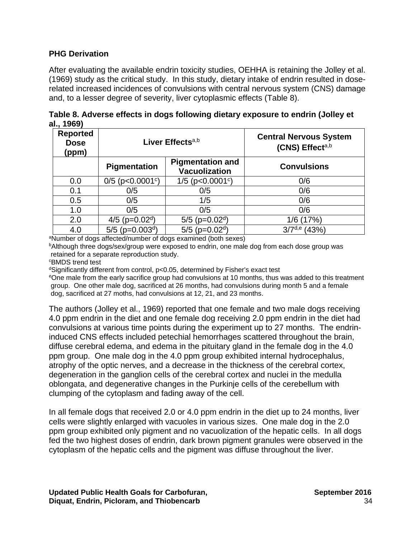## **PHG Derivation**

After evaluating the available endrin toxicity studies, OEHHA is retaining the Jolley et al. (1969) study as the critical study. In this study, dietary intake of endrin resulted in doserelated increased incidences of convulsions with central nervous system (CNS) damage and, to a lesser degree of severity, liver cytoplasmic effects (Table 8).

| <b>Reported</b><br><b>Dose</b><br>(ppm) | Liver Effects <sup>a,b</sup>  |                                                 | <b>Central Nervous System</b><br>(CNS) Effecta,b |
|-----------------------------------------|-------------------------------|-------------------------------------------------|--------------------------------------------------|
|                                         | <b>Pigmentation</b>           | <b>Pigmentation and</b><br><b>Vacuolization</b> | <b>Convulsions</b>                               |
| 0.0                                     | $0/5$ (p<0.0001°)             | $1/5$ (p<0.0001 $\circ$ )                       | 0/6                                              |
| 0.1                                     | 0/5                           | 0/5                                             | 0/6                                              |
| 0.5                                     | 0/5                           | 1/5                                             | 0/6                                              |
| 1.0                                     | 0/5                           | 0/5                                             | 0/6                                              |
| 2.0                                     | 4/5 ( $p=0.02d$ )             | 5/5 ( $p=0.02d$ )                               | 1/6 (17%)                                        |
| 4.0                                     | $5/5$ (p=0.003 <sup>d</sup> ) | $5/5$ (p=0.02 <sup>d</sup> )                    | $3/7^{d,e}$ (43%)                                |

**Table 8. Adverse effects in dogs following dietary exposure to endrin (Jolley et al., 1969)**

aNumber of dogs affected/number of dogs examined (both sexes)

bAlthough three dogs/sex/group were exposed to endrin, one male dog from each dose group was retained for a separate reproduction study.

c BMDS trend test

dSignificantly different from control, p<0.05, determined by Fisher's exact test

eOne male from the early sacrifice group had convulsions at 10 months, thus was added to this treatment group. One other male dog, sacrificed at 26 months, had convulsions during month 5 and a female dog, sacrificed at 27 moths, had convulsions at 12, 21, and 23 months.

The authors (Jolley et al., 1969) reported that one female and two male dogs receiving 4.0 ppm endrin in the diet and one female dog receiving 2.0 ppm endrin in the diet had convulsions at various time points during the experiment up to 27 months. The endrininduced CNS effects included petechial hemorrhages scattered throughout the brain, diffuse cerebral edema, and edema in the pituitary gland in the female dog in the 4.0 ppm group. One male dog in the 4.0 ppm group exhibited internal hydrocephalus, atrophy of the optic nerves, and a decrease in the thickness of the cerebral cortex, degeneration in the ganglion cells of the cerebral cortex and nuclei in the medulla oblongata, and degenerative changes in the Purkinje cells of the cerebellum with clumping of the cytoplasm and fading away of the cell.

In all female dogs that received 2.0 or 4.0 ppm endrin in the diet up to 24 months, liver cells were slightly enlarged with vacuoles in various sizes. One male dog in the 2.0 ppm group exhibited only pigment and no vacuolization of the hepatic cells. In all dogs fed the two highest doses of endrin, dark brown pigment granules were observed in the cytoplasm of the hepatic cells and the pigment was diffuse throughout the liver.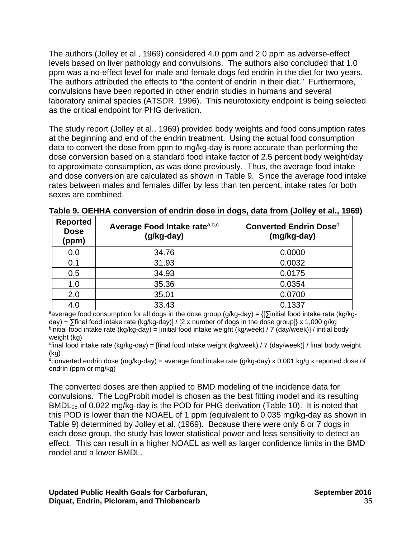The authors (Jolley et al., 1969) considered 4.0 ppm and 2.0 ppm as adverse-effect levels based on liver pathology and convulsions. The authors also concluded that 1.0 ppm was a no-effect level for male and female dogs fed endrin in the diet for two years. The authors attributed the effects to "the content of endrin in their diet." Furthermore, convulsions have been reported in other endrin studies in humans and several laboratory animal species (ATSDR, 1996). This neurotoxicity endpoint is being selected as the critical endpoint for PHG derivation.

The study report (Jolley et al., 1969) provided body weights and food consumption rates at the beginning and end of the endrin treatment. Using the actual food consumption data to convert the dose from ppm to mg/kg-day is more accurate than performing the dose conversion based on a standard food intake factor of 2.5 percent body weight/day to approximate consumption, as was done previously. Thus, the average food intake and dose conversion are calculated as shown in Table 9. Since the average food intake rates between males and females differ by less than ten percent, intake rates for both sexes are combined.

| <b>Reported</b><br><b>Dose</b><br>(ppm) | Average Food Intake ratea,b,c<br>(g/kg-day) | Converted Endrin Dose <sup>d</sup><br>(mg/kg-day) |
|-----------------------------------------|---------------------------------------------|---------------------------------------------------|
| 0.0                                     | 34.76                                       | 0.0000                                            |
| 0.1                                     | 31.93                                       | 0.0032                                            |
| 0.5                                     | 34.93                                       | 0.0175                                            |
| 1.0                                     | 35.36                                       | 0.0354                                            |
| 2.0                                     | 35.01                                       | 0.0700                                            |
| 4.0                                     | 33.43                                       | 0.1337                                            |

**Table 9. OEHHA conversion of endrin dose in dogs, data from (Jolley et al., 1969)**

aaverage food consumption for all dogs in the dose group (g/kg-day) =  $\{[\overline{\Sigma}]$ initial food intake rate (kg/kgday) + ∑final food intake rate (kg/kg-day)] / [2 x number of dogs in the dose group]} x 1,000 g/kg  $\phi$ initial food intake rate (kg/kg-day) = [initial food intake weight (kg/week) / 7 (day/week)] / initial body weight (kg)

c final food intake rate (kg/kg-day) = [final food intake weight (kg/week) / 7 (day/week)] / final body weight (kg)

 $\sigma$ <sup>d</sup>converted endrin dose (mg/kg-day) = average food intake rate (g/kg-day) x 0.001 kg/g x reported dose of endrin (ppm or mg/kg)

The converted doses are then applied to BMD modeling of the incidence data for convulsions. The LogProbit model is chosen as the best fitting model and its resulting BMDL05 of 0.022 mg/kg-day is the POD for PHG derivation (Table 10). It is noted that this POD is lower than the NOAEL of 1 ppm (equivalent to 0.035 mg/kg-day as shown in Table 9) determined by Jolley et al. (1969). Because there were only 6 or 7 dogs in each dose group, the study has lower statistical power and less sensitivity to detect an effect. This can result in a higher NOAEL as well as larger confidence limits in the BMD model and a lower BMDL.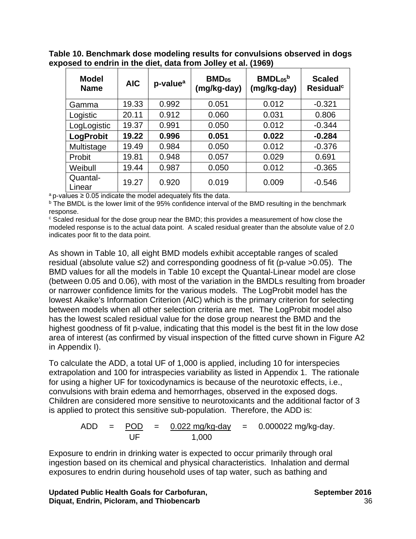| <b>Model</b><br><b>Name</b> | <b>AIC</b> | p-value <sup>a</sup> | BMD <sub>05</sub><br>(mg/kg-day) | $BMDL_{05}$ b<br>(mg/kg-day) | <b>Scaled</b><br><b>Residual<sup>c</sup></b> |
|-----------------------------|------------|----------------------|----------------------------------|------------------------------|----------------------------------------------|
| Gamma                       | 19.33      | 0.992                | 0.051                            | 0.012                        | $-0.321$                                     |
| Logistic                    | 20.11      | 0.912                | 0.060                            | 0.031                        | 0.806                                        |
| LogLogistic                 | 19.37      | 0.991                | 0.050                            | 0.012                        | $-0.344$                                     |
| <b>LogProbit</b>            | 19.22      | 0.996                | 0.051                            | 0.022                        | $-0.284$                                     |
| Multistage                  | 19.49      | 0.984                | 0.050                            | 0.012                        | $-0.376$                                     |
| Probit                      | 19.81      | 0.948                | 0.057                            | 0.029                        | 0.691                                        |
| Weibull                     | 19.44      | 0.987                | 0.050                            | 0.012                        | $-0.365$                                     |
| Quantal-<br>Linear          | 19.27      | 0.920                | 0.019                            | 0.009                        | $-0.546$                                     |

**Table 10. Benchmark dose modeling results for convulsions observed in dogs exposed to endrin in the diet, data from Jolley et al. (1969)**

 $a$  p-values  $\geq$  0.05 indicate the model adequately fits the data.

**b** The BMDL is the lower limit of the 95% confidence interval of the BMD resulting in the benchmark response.

 $\textdegree$  Scaled residual for the dose group near the BMD; this provides a measurement of how close the modeled response is to the actual data point. A scaled residual greater than the absolute value of 2.0 indicates poor fit to the data point.

As shown in Table 10, all eight BMD models exhibit acceptable ranges of scaled residual (absolute value ≤2) and corresponding goodness of fit (p-value >0.05). The BMD values for all the models in Table 10 except the Quantal-Linear model are close (between 0.05 and 0.06), with most of the variation in the BMDLs resulting from broader or narrower confidence limits for the various models. The LogProbit model has the lowest Akaike's Information Criterion (AIC) which is the primary criterion for selecting between models when all other selection criteria are met. The LogProbit model also has the lowest scaled residual value for the dose group nearest the BMD and the highest goodness of fit p-value, indicating that this model is the best fit in the low dose area of interest (as confirmed by visual inspection of the fitted curve shown in Figure A2 in Appendix I).

To calculate the ADD, a total UF of 1,000 is applied, including 10 for interspecies extrapolation and 100 for intraspecies variability as listed in Appendix 1. The rationale for using a higher UF for toxicodynamics is because of the neurotoxic effects, i.e., convulsions with brain edema and hemorrhages, observed in the exposed dogs. Children are considered more sensitive to neurotoxicants and the additional factor of 3 is applied to protect this sensitive sub-population. Therefore, the ADD is:

$$
ADD = \frac{POD}{UF} = \frac{0.022 \text{ mg/kg-day}}{1,000} = 0.000022 \text{ mg/kg-day}.
$$

Exposure to endrin in drinking water is expected to occur primarily through oral ingestion based on its chemical and physical characteristics. Inhalation and dermal exposures to endrin during household uses of tap water, such as bathing and

Updated Public Health Goals for Carbofuran, The Contemporary September 2016 **Diquat, Endrin, Picloram, and Thiobencarb** 36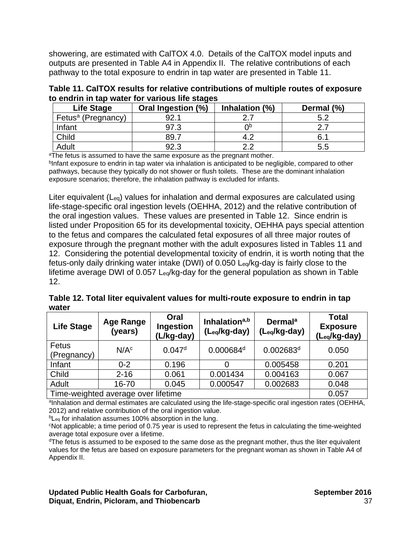showering, are estimated with CalTOX 4.0. Details of the CalTOX model inputs and outputs are presented in Table A4 in Appendix II. The relative contributions of each pathway to the total exposure to endrin in tap water are presented in Table 11.

**Table 11. CalTOX results for relative contributions of multiple routes of exposure to endrin in tap water for various life stages**

| <b>Life Stage</b>              | <b>Oral Ingestion (%)</b> | Inhalation (%) | Dermal (%) |
|--------------------------------|---------------------------|----------------|------------|
| Fetus <sup>a</sup> (Pregnancy) | 92.                       | ົາ 7           | 5.2        |
| Infant                         | 97.3                      | n¤             |            |
| Child                          | 89.7                      |                | 6.1        |
| <b>Adult</b>                   | 92.3                      | ററ             | 5.5        |

<sup>a</sup>The fetus is assumed to have the same exposure as the pregnant mother.

bInfant exposure to endrin in tap water via inhalation is anticipated to be negligible, compared to other pathways, because they typically do not shower or flush toilets. These are the dominant inhalation exposure scenarios; therefore, the inhalation pathway is excluded for infants.

Liter equivalent  $(L_{eq})$  values for inhalation and dermal exposures are calculated using life-stage-specific oral ingestion levels (OEHHA, 2012) and the relative contribution of the oral ingestion values. These values are presented in Table 12. Since endrin is listed under Proposition 65 for its developmental toxicity, OEHHA pays special attention to the fetus and compares the calculated fetal exposures of all three major routes of exposure through the pregnant mother with the adult exposures listed in Tables 11 and 12. Considering the potential developmental toxicity of endrin, it is worth noting that the fetus-only daily drinking water intake (DWI) of 0.050 Leq/kg-day is fairly close to the lifetime average DWI of 0.057 Leq/kg-day for the general population as shown in Table 12.

|       |  | Table 12. Total liter equivalent values for multi-route exposure to endrin in tap |  |
|-------|--|-----------------------------------------------------------------------------------|--|
| water |  |                                                                                   |  |
|       |  |                                                                                   |  |

| <b>Life Stage</b>                   | <b>Age Range</b><br>(years) | Oral<br>Ingestion<br>(L/kg-day) | Inhalation <sup>a,b</sup><br>$(L_{eq}/kg$ -day) | <b>Dermal</b> <sup>a</sup><br>(L <sub>eq</sub> /kg-day) | <b>Total</b><br><b>Exposure</b><br>(Leq/kg-day) |
|-------------------------------------|-----------------------------|---------------------------------|-------------------------------------------------|---------------------------------------------------------|-------------------------------------------------|
| Fetus<br>(Pregnancy)                | N/A <sup>c</sup>            | 0.047d                          | 0.000684 <sup>d</sup>                           | 0.002683d                                               | 0.050                                           |
| Infant                              | $0 - 2$                     | 0.196                           |                                                 | 0.005458                                                | 0.201                                           |
| Child                               | $2 - 16$                    | 0.061                           | 0.001434                                        | 0.004163                                                | 0.067                                           |
| Adult                               | 16-70                       | 0.045                           | 0.000547                                        | 0.002683                                                | 0.048                                           |
| Time-weighted average over lifetime |                             |                                 |                                                 |                                                         | 0.057                                           |

aInhalation and dermal estimates are calculated using the life-stage-specific oral ingestion rates (OEHHA, 2012) and relative contribution of the oral ingestion value.

 $bL_{eq}$  for inhalation assumes 100% absorption in the lung.

<sup>c</sup>Not applicable; a time period of 0.75 year is used to represent the fetus in calculating the time-weighted average total exposure over a lifetime.

 $\text{d}$ The fetus is assumed to be exposed to the same dose as the pregnant mother, thus the liter equivalent values for the fetus are based on exposure parameters for the pregnant woman as shown in Table A4 of Appendix II.

Updated Public Health Goals for Carbofuran, Network September 2016 **Diquat, Endrin, Picloram, and Thiobencarb** 37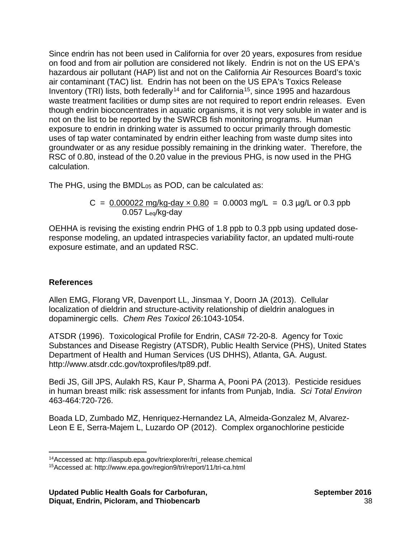Since endrin has not been used in California for over 20 years, exposures from residue on food and from air pollution are considered not likely. Endrin is not on the US EPA's hazardous air pollutant (HAP) list and not on the California Air Resources Board's toxic air contaminant (TAC) list. Endrin has not been on the US EPA's Toxics Release Inventory (TRI) lists, both federally<sup>[14](#page-42-0)</sup> and for California<sup>[15](#page-42-1)</sup>, since 1995 and hazardous waste treatment facilities or dump sites are not required to report endrin releases. Even though endrin bioconcentrates in aquatic organisms, it is not very soluble in water and is not on the list to be reported by the SWRCB fish monitoring programs. Human exposure to endrin in drinking water is assumed to occur primarily through domestic uses of tap water contaminated by endrin either leaching from waste dump sites into groundwater or as any residue possibly remaining in the drinking water. Therefore, the RSC of 0.80, instead of the 0.20 value in the previous PHG, is now used in the PHG calculation.

The PHG, using the BMDL05 as POD, can be calculated as:

$$
C = \frac{0.000022 \text{ mg/kg-day} \times 0.80}{0.057 \text{ Leq/kg-day}}
$$
 = 0.0003 mg/L = 0.3 \text{ µg/L or 0.3 ppb

OEHHA is revising the existing endrin PHG of 1.8 ppb to 0.3 ppb using updated doseresponse modeling, an updated intraspecies variability factor, an updated multi-route exposure estimate, and an updated RSC.

# **References**

Allen EMG, Florang VR, Davenport LL, Jinsmaa Y, Doorn JA (2013). Cellular localization of dieldrin and structure-activity relationship of dieldrin analogues in dopaminergic cells. *Chem Res Toxicol* 26:1043-1054.

ATSDR (1996). Toxicological Profile for Endrin, CAS# 72-20-8. Agency for Toxic Substances and Disease Registry (ATSDR), Public Health Service (PHS), United States Department of Health and Human Services (US DHHS), Atlanta, GA. August. <http://www.atsdr.cdc.gov/toxprofiles/tp89.pdf.>

Bedi JS, Gill JPS, Aulakh RS, Kaur P, Sharma A, Pooni PA (2013). Pesticide residues in human breast milk: risk assessment for infants from Punjab, India. *Sci Total Environ* 463-464:720-726.

Boada LD, Zumbado MZ, Henriquez-Hernandez LA, Almeida-Gonzalez M, Alvarez-Leon E E, Serra-Majem L, Luzardo OP (2012). Complex organochlorine pesticide

 $\overline{\phantom{a}}$ <sup>14</sup>Accessed at: [http://iaspub.epa.gov/triexplorer/tri\\_release.chemical](http://iaspub.epa.gov/triexplorer/tri_release.chemical)

<span id="page-42-1"></span><span id="page-42-0"></span><sup>15</sup>Accessed at:<http://www.epa.gov/region9/tri/report/11/tri-ca.html>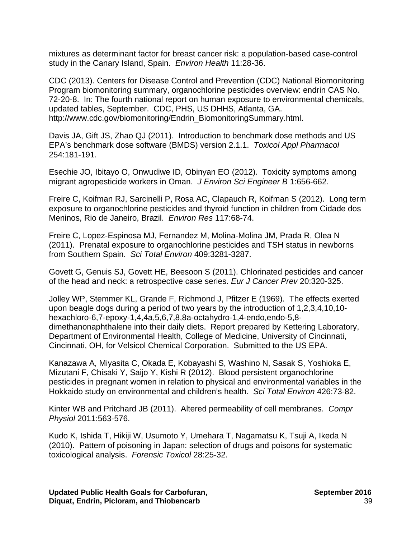mixtures as determinant factor for breast cancer risk: a population-based case-control study in the Canary Island, Spain. *Environ Health* 11:28-36.

CDC (2013). Centers for Disease Control and Prevention (CDC) National Biomonitoring Program biomonitoring summary, organochlorine pesticides overview: endrin CAS No. 72-20-8. In: The fourth national report on human exposure to environmental chemicals, updated tables, September. CDC, PHS, US DHHS, Atlanta, GA. [http://www.cdc.gov/biomonitoring/Endrin\\_BiomonitoringSummary.html.](http://www.cdc.gov/biomonitoring/Endrin_BiomonitoringSummary.html.) 

Davis JA, Gift JS, Zhao QJ (2011). Introduction to benchmark dose methods and US EPA's benchmark dose software (BMDS) version 2.1.1. *Toxicol Appl Pharmacol*  254:181-191.

Esechie JO, Ibitayo O, Onwudiwe ID, Obinyan EO (2012). Toxicity symptoms among migrant agropesticide workers in Oman. *J Environ Sci Engineer B* 1:656-662.

Freire C, Koifman RJ, Sarcinelli P, Rosa AC, Clapauch R, Koifman S (2012). Long term exposure to organochlorine pesticides and thyroid function in children from Cidade dos Meninos, Rio de Janeiro, Brazil. *Environ Res* 117:68-74.

Freire C, Lopez-Espinosa MJ, Fernandez M, Molina-Molina JM, Prada R, Olea N (2011). Prenatal exposure to organochlorine pesticides and TSH status in newborns from Southern Spain. *Sci Total Environ* 409:3281-3287.

Govett G, Genuis SJ, Govett HE, Beesoon S (2011). Chlorinated pesticides and cancer of the head and neck: a retrospective case series. *Eur J Cancer Prev* 20:320-325.

Jolley WP, Stemmer KL, Grande F, Richmond J, Pfitzer E (1969). The effects exerted upon beagle dogs during a period of two years by the introduction of 1,2,3,4,10,10 hexachloro-6,7-epoxy-1,4,4a,5,6,7,8,8a-octahydro-1,4-endo,endo-5,8 dimethanonaphthalene into their daily diets. Report prepared by Kettering Laboratory, Department of Environmental Health, College of Medicine, University of Cincinnati, Cincinnati, OH, for Velsicol Chemical Corporation. Submitted to the US EPA.

Kanazawa A, Miyasita C, Okada E, Kobayashi S, Washino N, Sasak S, Yoshioka E, Mizutani F, Chisaki Y, Saijo Y, Kishi R (2012). Blood persistent organochlorine pesticides in pregnant women in relation to physical and environmental variables in the Hokkaido study on environmental and children's health. *Sci Total Environ* 426:73-82.

Kinter WB and Pritchard JB (2011). Altered permeability of cell membranes. *Compr Physiol* 2011:563-576.

Kudo K, Ishida T, Hikiji W, Usumoto Y, Umehara T, Nagamatsu K, Tsuji A, Ikeda N (2010). Pattern of poisoning in Japan: selection of drugs and poisons for systematic toxicological analysis. *Forensic Toxicol* 28:25-32.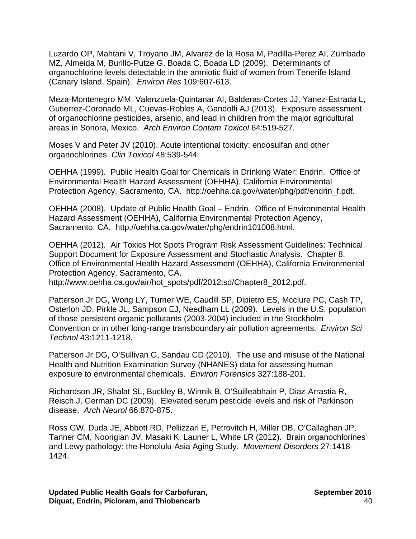Luzardo OP, Mahtani V, Troyano JM, Alvarez de la Rosa M, Padilla-Perez AI, Zumbado MZ, Almeida M, Burillo-Putze G, Boada C, Boada LD (2009). Determinants of organochlorine levels detectable in the amniotic fluid of women from Tenerife Island (Canary Island, Spain). *Environ Res* 109:607-613.

Meza-Montenegro MM, Valenzuela-Quintanar AI, Balderas-Cortes JJ, Yanez-Estrada L, Gutierrez-Coronado ML, Cuevas-Robles A, Gandolfi AJ (2013). Exposure assessment of organochlorine pesticides, arsenic, and lead in children from the major agricultural areas in Sonora, Mexico. *Arch Environ Contam Toxicol* 64:519-527.

Moses V and Peter JV (2010). Acute intentional toxicity: endosulfan and other organochlorines. *Clin Toxicol* 48:539-544.

OEHHA (1999). Public Health Goal for Chemicals in Drinking Water: Endrin. Office of Environmental Health Hazard Assessment (OEHHA), California Environmental Protection Agency, Sacramento, CA. [http://oehha.ca.gov/water/phg/pdf/endrin\\_f.pdf.](http://oehha.ca.gov/water/phg/pdf/endrin_f.pdf.)

OEHHA (2008). Update of Public Health Goal – Endrin. Office of Environmental Health Hazard Assessment (OEHHA), California Environmental Protection Agency, Sacramento, CA. <http://oehha.ca.gov/water/phg/endrin101008.html.>

OEHHA (2012). Air Toxics Hot Spots Program Risk Assessment Guidelines: Technical Support Document for Exposure Assessment and Stochastic Analysis. Chapter 8. Office of Environmental Health Hazard Assessment (OEHHA), California Environmental Protection Agency, Sacramento, CA.

http://www.oehha.ca.gov/air/hot\_spots/pdf/2012tsd/Chapter8\_2012.pdf.

Patterson Jr DG, Wong LY, Turner WE, Caudill SP, Dipietro ES, Mcclure PC, Cash TP, Osterloh JD, Pirkle JL, Sampson EJ, Needham LL (2009). Levels in the U.S. population of those persistent organic pollutants (2003-2004) included in the Stockholm Convention or in other long-range transboundary air pollution agreements. *Environ Sci Technol* 43:1211-1218.

Patterson Jr DG, O'Sullivan G, Sandau CD (2010). The use and misuse of the National Health and Nutrition Examination Survey (NHANES) data for assessing human exposure to environmental chemicals. *Environ Forensics* 327:188-201.

Richardson JR, Shalat SL, Buckley B, Winnik B, O'Suilleabhain P, Diaz-Arrastia R, Reisch J, German DC (2009). Elevated serum pesticide levels and risk of Parkinson disease. *Arch Neurol* 66:870-875.

Ross GW, Duda JE, Abbott RD, Pellizzari E, Petrovitch H, Miller DB, O'Callaghan JP, Tanner CM, Noorigian JV, Masaki K, Launer L, White LR (2012). Brain organochlorines and Lewy pathology: the Honolulu-Asia Aging Study. *Movement Disorders* 27:1418- 1424.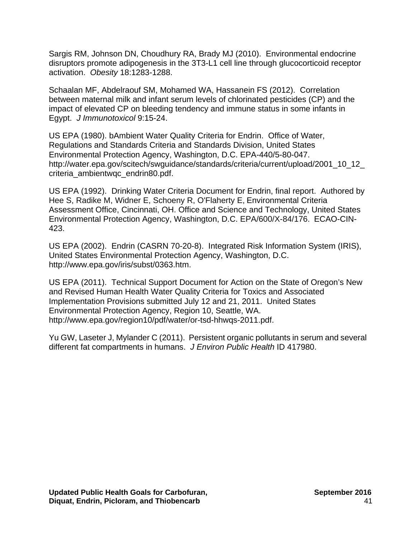Sargis RM, Johnson DN, Choudhury RA, Brady MJ (2010). Environmental endocrine disruptors promote adipogenesis in the 3T3-L1 cell line through glucocorticoid receptor activation. *Obesity* 18:1283-1288.

Schaalan MF, Abdelraouf SM, Mohamed WA, Hassanein FS (2012). Correlation between maternal milk and infant serum levels of chlorinated pesticides (CP) and the impact of elevated CP on bleeding tendency and immune status in some infants in Egypt. *J Immunotoxicol* 9:15-24.

US EPA (1980). bAmbient Water Quality Criteria for Endrin. Office of Water, Regulations and Standards Criteria and Standards Division, United States Environmental Protection Agency, Washington, D.C. EPA-440/5-80-047. http://water.epa.gov/scitech/swguidance/standards/criteria/current/upload/2001\_10\_12 criteria\_ambientwqc\_endrin80.pdf.

US EPA (1992). Drinking Water Criteria Document for Endrin, final report. Authored by Hee S, Radike M, Widner E, Schoeny R, O'Flaherty E, Environmental Criteria Assessment Office, Cincinnati, OH. Office and Science and Technology, United States Environmental Protection Agency, Washington, D.C. EPA/600/X-84/176. ECAO-CIN-423.

US EPA (2002). Endrin (CASRN 70-20-8). Integrated Risk Information System (IRIS), United States Environmental Protection Agency, Washington, D.C. <http://www.epa.gov/iris/subst/0363.htm.>

US EPA (2011). Technical Support Document for Action on the State of Oregon's New and Revised Human Health Water Quality Criteria for Toxics and Associated Implementation Provisions submitted July 12 and 21, 2011. United States Environmental Protection Agency, Region 10, Seattle, WA. <http://www.epa.gov/region10/pdf/water/or-tsd-hhwqs-2011.pdf.>

Yu GW, Laseter J, Mylander C (2011). Persistent organic pollutants in serum and several different fat compartments in humans. *J Environ Public Health* ID 417980.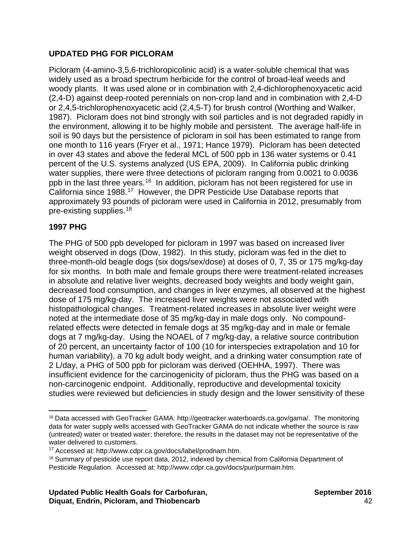# **UPDATED PHG FOR PICLORAM**

Picloram (4-amino-3,5,6-trichloropicolinic acid) is a water-soluble chemical that was widely used as a broad spectrum herbicide for the control of broad-leaf weeds and woody plants. It was used alone or in combination with 2,4-dichlorophenoxyacetic acid (2,4-D) against deep-rooted perennials on non-crop land and in combination with 2,4-D or 2,4,5-trichlorophenoxyacetic acid (2,4,5-T) for brush control (Worthing and Walker, 1987). Picloram does not bind strongly with soil particles and is not degraded rapidly in the environment, allowing it to be highly mobile and persistent. The average half-life in soil is 90 days but the persistence of picloram in soil has been estimated to range from one month to 116 years (Fryer et al., 1971; Hance 1979). Picloram has been detected in over 43 states and above the federal MCL of 500 ppb in 136 water systems or 0.41 percent of the U.S. systems analyzed (US EPA, 2009). In California public drinking water supplies, there were three detections of picloram ranging from 0.0021 to 0.0036 ppb in the last three years.<sup>16</sup> In addition, picloram has not been registered for use in California since 1988.[17](#page-46-1) However, the DPR Pesticide Use Database reports that approximately 93 pounds of picloram were used in California in 2012, presumably from pre-existing supplies.[18](#page-46-2)

## **1997 PHG**

The PHG of 500 ppb developed for picloram in 1997 was based on increased liver weight observed in dogs (Dow, 1982). In this study, picloram was fed in the diet to three-month-old beagle dogs (six dogs/sex/dose) at doses of 0, 7, 35 or 175 mg/kg-day for six months. In both male and female groups there were treatment-related increases in absolute and relative liver weights, decreased body weights and body weight gain, decreased food consumption, and changes in liver enzymes, all observed at the highest dose of 175 mg/kg-day. The increased liver weights were not associated with histopathological changes. Treatment-related increases in absolute liver weight were noted at the intermediate dose of 35 mg/kg-day in male dogs only. No compoundrelated effects were detected in female dogs at 35 mg/kg-day and in male or female dogs at 7 mg/kg-day. Using the NOAEL of 7 mg/kg-day, a relative source contribution of 20 percent, an uncertainty factor of 100 (10 for interspecies extrapolation and 10 for human variability), a 70 kg adult body weight, and a drinking water consumption rate of 2 L/day, a PHG of 500 ppb for picloram was derived (OEHHA, 1997). There was insufficient evidence for the carcinogenicity of picloram, thus the PHG was based on a non-carcinogenic endpoint. Additionally, reproductive and developmental toxicity studies were reviewed but deficiencies in study design and the lower sensitivity of these

<span id="page-46-0"></span> $\overline{\phantom{a}}$ <sup>16</sup> Data accessed with GeoTracker GAMA: http://geotracker.waterboards.ca.gov/gama/. The monitoring data for water supply wells accessed with GeoTracker GAMA do not indicate whether the source is raw (untreated) water or treated water; therefore, the results in the dataset may not be representative of the water delivered to customers.

<span id="page-46-1"></span><sup>&</sup>lt;sup>17</sup> Accessed at: <http://www.cdpr.ca.gov/docs/label/prodnam.htm.>

<span id="page-46-2"></span><sup>&</sup>lt;sup>18</sup> Summary of pesticide use report data, 2012, indexed by chemical from California Department of Pesticide Regulation. Accessed at: <http://www.cdpr.ca.gov/docs/pur/purmain.htm.>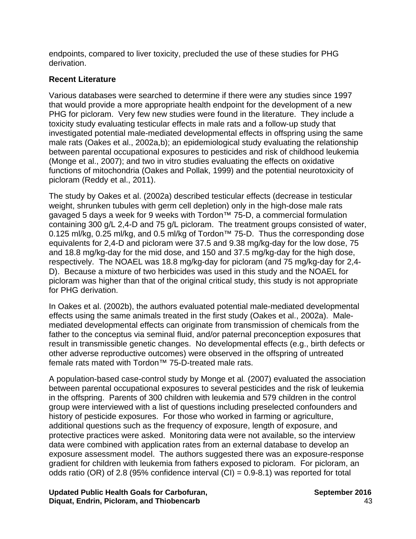endpoints, compared to liver toxicity, precluded the use of these studies for PHG derivation.

## **Recent Literature**

Various databases were searched to determine if there were any studies since 1997 that would provide a more appropriate health endpoint for the development of a new PHG for picloram. Very few new studies were found in the literature. They include a toxicity study evaluating testicular effects in male rats and a follow-up study that investigated potential male-mediated developmental effects in offspring using the same male rats (Oakes et al., 2002a,b); an epidemiological study evaluating the relationship between parental occupational exposures to pesticides and risk of childhood leukemia (Monge et al., 2007); and two in vitro studies evaluating the effects on oxidative functions of mitochondria (Oakes and Pollak, 1999) and the potential neurotoxicity of picloram (Reddy et al., 2011).

The study by Oakes et al. (2002a) described testicular effects (decrease in testicular weight, shrunken tubules with germ cell depletion) only in the high-dose male rats gavaged 5 days a week for 9 weeks with Tordon<sup>™</sup> 75-D, a commercial formulation containing 300 g/L 2,4-D and 75 g/L picloram. The treatment groups consisted of water, 0.125 ml/kg, 0.25 ml/kg, and 0.5 ml/kg of Tordon™ 75-D. Thus the corresponding dose equivalents for 2,4-D and picloram were 37.5 and 9.38 mg/kg-day for the low dose, 75 and 18.8 mg/kg-day for the mid dose, and 150 and 37.5 mg/kg-day for the high dose, respectively. The NOAEL was 18.8 mg/kg-day for picloram (and 75 mg/kg-day for 2,4- D). Because a mixture of two herbicides was used in this study and the NOAEL for picloram was higher than that of the original critical study, this study is not appropriate for PHG derivation.

In Oakes et al. (2002b), the authors evaluated potential male-mediated developmental effects using the same animals treated in the first study (Oakes et al., 2002a). Malemediated developmental effects can originate from transmission of chemicals from the father to the conceptus via seminal fluid, and/or paternal preconception exposures that result in transmissible genetic changes. No developmental effects (e.g., birth defects or other adverse reproductive outcomes) were observed in the offspring of untreated female rats mated with Tordon™ 75-D-treated male rats.

A population-based case-control study by Monge et al*.* (2007) evaluated the association between parental occupational exposures to several pesticides and the risk of leukemia in the offspring. Parents of 300 children with leukemia and 579 children in the control group were interviewed with a list of questions including preselected confounders and history of pesticide exposures. For those who worked in farming or agriculture, additional questions such as the frequency of exposure, length of exposure, and protective practices were asked. Monitoring data were not available, so the interview data were combined with application rates from an external database to develop an exposure assessment model. The authors suggested there was an exposure-response gradient for children with leukemia from fathers exposed to picloram. For picloram, an odds ratio (OR) of 2.8 (95% confidence interval  $(Cl) = 0.9-8.1$ ) was reported for total

Updated Public Health Goals for Carbofuran, The Contemporary September 2016 **Diquat, Endrin, Picloram, and Thiobencarb** 43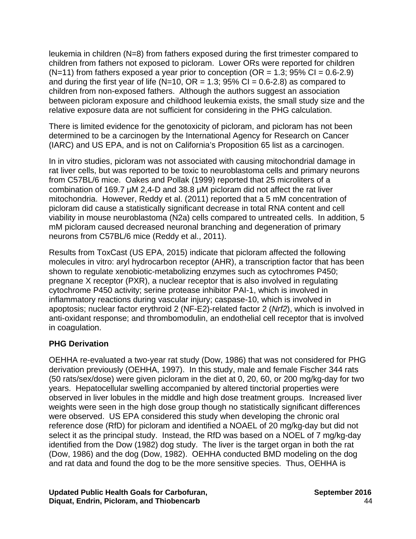leukemia in children (N=8) from fathers exposed during the first trimester compared to children from fathers not exposed to picloram. Lower ORs were reported for children  $(N=11)$  from fathers exposed a year prior to conception  $(OR = 1.3; 95\% CI = 0.6-2.9)$ and during the first year of life (N=10, OR = 1.3;  $95\%$  CI = 0.6-2.8) as compared to children from non-exposed fathers. Although the authors suggest an association between picloram exposure and childhood leukemia exists, the small study size and the relative exposure data are not sufficient for considering in the PHG calculation.

There is limited evidence for the genotoxicity of picloram, and picloram has not been determined to be a carcinogen by the International Agency for Research on Cancer (IARC) and US EPA, and is not on California's Proposition 65 list as a carcinogen.

In in vitro studies, picloram was not associated with causing mitochondrial damage in rat liver cells, but was reported to be toxic to neuroblastoma cells and primary neurons from C57BL/6 mice. Oakes and Pollak (1999) reported that 25 microliters of a combination of 169.7 µM 2,4-D and 38.8 µM picloram did not affect the rat liver mitochondria. However, Reddy et al. (2011) reported that a 5 mM concentration of picloram did cause a statistically significant decrease in total RNA content and cell viability in mouse neuroblastoma (N2a) cells compared to untreated cells. In addition, 5 mM picloram caused decreased neuronal branching and degeneration of primary neurons from C57BL/6 mice (Reddy et al., 2011).

Results from ToxCast (US EPA, 2015) indicate that picloram affected the following molecules in vitro: aryl hydrocarbon receptor (AHR), a transcription factor that has been shown to regulate xenobiotic-metabolizing enzymes such as cytochromes P450; pregnane X receptor (PXR), a nuclear receptor that is also involved in regulating cytochrome P450 activity; serine protease inhibitor PAI-1, which is involved in inflammatory reactions during vascular injury; caspase-10, which is involved in apoptosis; nuclear factor erythroid 2 (NF-E2)-related factor 2 (*Nrf2*), which is involved in anti-oxidant response; and thrombomodulin, an endothelial cell receptor that is involved in coagulation.

## **PHG Derivation**

OEHHA re-evaluated a two-year rat study (Dow, 1986) that was not considered for PHG derivation previously (OEHHA, 1997). In this study, male and female Fischer 344 rats (50 rats/sex/dose) were given picloram in the diet at 0, 20, 60, or 200 mg/kg-day for two years. Hepatocellular swelling accompanied by altered tinctorial properties were observed in liver lobules in the middle and high dose treatment groups. Increased liver weights were seen in the high dose group though no statistically significant differences were observed. US EPA considered this study when developing the chronic oral reference dose (RfD) for picloram and identified a NOAEL of 20 mg/kg-day but did not select it as the principal study. Instead, the RfD was based on a NOEL of 7 mg/kg-day identified from the Dow (1982) dog study. The liver is the target organ in both the rat (Dow, 1986) and the dog (Dow, 1982). OEHHA conducted BMD modeling on the dog and rat data and found the dog to be the more sensitive species. Thus, OEHHA is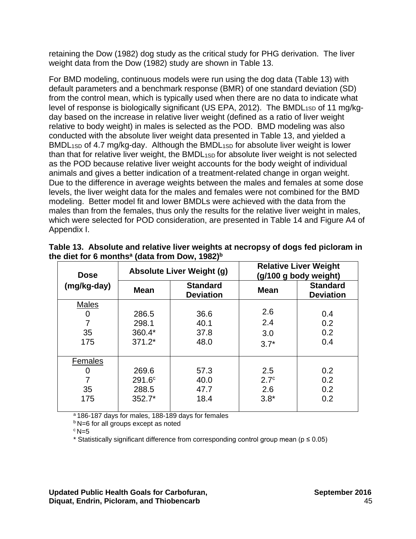retaining the Dow (1982) dog study as the critical study for PHG derivation. The liver weight data from the Dow (1982) study are shown in Table 13.

For BMD modeling, continuous models were run using the dog data (Table 13) with default parameters and a benchmark response (BMR) of one standard deviation (SD) from the control mean, which is typically used when there are no data to indicate what level of response is biologically significant (US EPA, 2012). The BMDL<sub>1SD</sub> of 11 mg/kgday based on the increase in relative liver weight (defined as a ratio of liver weight relative to body weight) in males is selected as the POD. BMD modeling was also conducted with the absolute liver weight data presented in Table 13, and yielded a BMDL<sub>1SD</sub> of 4.7 mg/kg-day. Although the BMDL<sub>1SD</sub> for absolute liver weight is lower than that for relative liver weight, the BMDL<sub>1SD</sub> for absolute liver weight is not selected as the POD because relative liver weight accounts for the body weight of individual animals and gives a better indication of a treatment-related change in organ weight. Due to the difference in average weights between the males and females at some dose levels, the liver weight data for the males and females were not combined for the BMD modeling. Better model fit and lower BMDLs were achieved with the data from the males than from the females, thus only the results for the relative liver weight in males, which were selected for POD consideration, are presented in Table 14 and Figure A4 of Appendix I.

| <b>Dose</b>  |                                                    | <b>Absolute Liver Weight (g)</b> | <b>Relative Liver Weight</b><br>(g/100 g body weight) |                                     |  |
|--------------|----------------------------------------------------|----------------------------------|-------------------------------------------------------|-------------------------------------|--|
| (mg/kg-day)  | <b>Standard</b><br><b>Mean</b><br><b>Deviation</b> |                                  | <b>Mean</b>                                           | <b>Standard</b><br><b>Deviation</b> |  |
| <b>Males</b> |                                                    |                                  |                                                       |                                     |  |
| 0            | 286.5                                              | 36.6                             | 2.6                                                   | 0.4                                 |  |
|              | 298.1                                              | 40.1                             | 2.4                                                   | 0.2                                 |  |
| 35           | 360.4*                                             | 37.8                             | 3.0                                                   | 0.2                                 |  |
| 175          | $371.2*$                                           | 48.0                             | $3.7*$                                                | 0.4                                 |  |
| Females      |                                                    |                                  |                                                       |                                     |  |
| 0            | 269.6                                              | 57.3                             | 2.5                                                   | 0.2                                 |  |
|              | 291.6 <sup>c</sup>                                 | 40.0                             | 2.7 <sup>c</sup>                                      | 0.2                                 |  |
| 35           | 288.5                                              | 47.7                             | 2.6                                                   | 0.2                                 |  |
| 175          | $352.7*$                                           | 18.4                             | $3.8*$                                                | 0.2                                 |  |

**Table 13. Absolute and relative liver weights at necropsy of dogs fed picloram in**  the diet for 6 months<sup>a</sup> (data from Dow, 1982)<sup>b</sup>

a 186-187 days for males, 188-189 days for females

**b** N=6 for all groups except as noted

 $c$  N=5

\* Statistically significant difference from corresponding control group mean (p ≤ 0.05)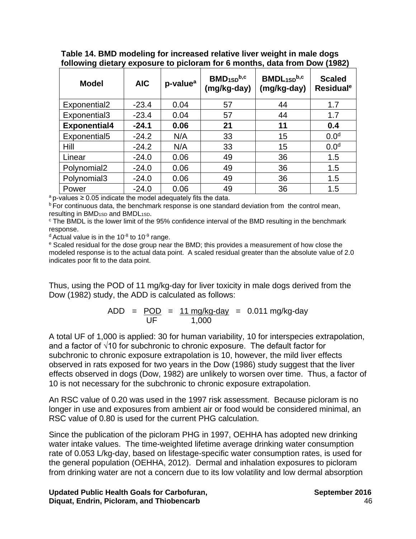| <b>Model</b>             | <b>AIC</b> | p-value <sup>a</sup> | $BMD_{1SD}^{b,c}$<br>(mg/kg-day) | BMDL <sub>1SD</sub> b,c<br>(mg/kg-day) | <b>Scaled</b><br><b>Residual<sup>e</sup></b> |
|--------------------------|------------|----------------------|----------------------------------|----------------------------------------|----------------------------------------------|
| Exponential2             | $-23.4$    | 0.04                 | 57                               | 44                                     | 1.7                                          |
| Exponential3             | $-23.4$    | 0.04                 | 57                               | 44                                     | 1.7                                          |
| <b>Exponential4</b>      | $-24.1$    | 0.06                 | 21                               | 11                                     | 0.4                                          |
| Exponential <sub>5</sub> | $-24.2$    | N/A                  | 33                               | 15                                     | 0.0 <sup>d</sup>                             |
| Hill                     | $-24.2$    | N/A                  | 33                               | 15                                     | 0.0 <sup>d</sup>                             |
| Linear                   | $-24.0$    | 0.06                 | 49                               | 36                                     | 1.5                                          |
| Polynomial <sub>2</sub>  | $-24.0$    | 0.06                 | 49                               | 36                                     | 1.5                                          |
| Polynomial3              | $-24.0$    | 0.06                 | 49                               | 36                                     | 1.5                                          |
| Power                    | $-24.0$    | 0.06                 | 49                               | 36                                     | 1.5                                          |

**Table 14. BMD modeling for increased relative liver weight in male dogs following dietary exposure to picloram for 6 months, data from Dow (1982)**

 $a$  p-values  $\geq 0.05$  indicate the model adequately fits the data.

 $\overline{P}$  For continuous data, the benchmark response is one standard deviation from the control mean, resulting in BMD<sub>1SD</sub> and BMDL<sub>1SD</sub>.

 $\degree$  The BMDL is the lower limit of the 95% confidence interval of the BMD resulting in the benchmark response.

 $d$  Actual value is in the 10<sup>-8</sup> to 10<sup>-9</sup> range.

<sup>e</sup> Scaled residual for the dose group near the BMD; this provides a measurement of how close the modeled response is to the actual data point. A scaled residual greater than the absolute value of 2.0 indicates poor fit to the data point.

Thus, using the POD of 11 mg/kg-day for liver toxicity in male dogs derived from the Dow (1982) study, the ADD is calculated as follows:

ADD = <u>POD</u> = <u>11 mg/kg-day</u> = 0.011 mg/kg-day  $\mathsf{UF}$  1,000

A total UF of 1,000 is applied: 30 for human variability, 10 for interspecies extrapolation, and a factor of √10 for subchronic to chronic exposure. The default factor for subchronic to chronic exposure extrapolation is 10, however, the mild liver effects observed in rats exposed for two years in the Dow (1986) study suggest that the liver effects observed in dogs (Dow, 1982) are unlikely to worsen over time. Thus, a factor of 10 is not necessary for the subchronic to chronic exposure extrapolation.

An RSC value of 0.20 was used in the 1997 risk assessment. Because picloram is no longer in use and exposures from ambient air or food would be considered minimal, an RSC value of 0.80 is used for the current PHG calculation.

Since the publication of the picloram PHG in 1997, OEHHA has adopted new drinking water intake values. The time-weighted lifetime average drinking water consumption rate of 0.053 L/kg-day, based on lifestage-specific water consumption rates, is used for the general population (OEHHA, 2012). Dermal and inhalation exposures to picloram from drinking water are not a concern due to its low volatility and low dermal absorption

Updated Public Health Goals for Carbofuran, The Contemporary September 2016 **Diquat, Endrin, Picloram, and Thiobencarb** 46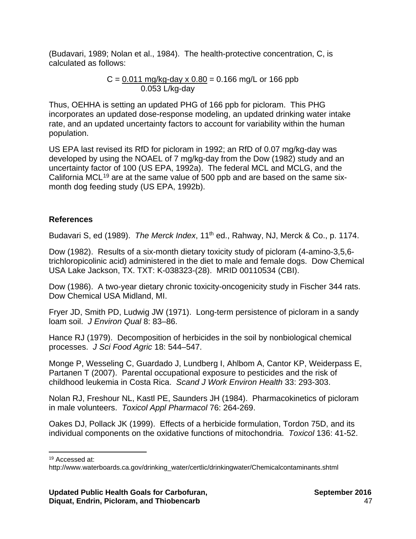(Budavari, 1989; Nolan et al., 1984). The health-protective concentration, C, is calculated as follows:

> $C = 0.011$  mg/kg-day x  $0.80 = 0.166$  mg/L or 166 ppb 0.053 L/kg-day

Thus, OEHHA is setting an updated PHG of 166 ppb for picloram. This PHG incorporates an updated dose-response modeling, an updated drinking water intake rate, and an updated uncertainty factors to account for variability within the human population.

US EPA last revised its RfD for picloram in 1992; an RfD of 0.07 mg/kg-day was developed by using the NOAEL of 7 mg/kg-day from the Dow (1982) study and an uncertainty factor of 100 (US EPA, 1992a). The federal MCL and MCLG, and the California MCL[19](#page-51-0) are at the same value of 500 ppb and are based on the same sixmonth dog feeding study (US EPA, 1992b).

# **References**

Budavari S, ed (1989). *The Merck Index*, 11<sup>th</sup> ed., Rahway, NJ, Merck & Co., p. 1174.

Dow (1982). Results of a six-month dietary toxicity study of picloram (4-amino-3,5,6 trichloropicolinic acid) administered in the diet to male and female dogs. Dow Chemical USA Lake Jackson, TX. TXT: K-038323-(28). MRID 00110534 (CBI).

Dow (1986). A two-year dietary chronic toxicity-oncogenicity study in Fischer 344 rats. Dow Chemical USA Midland, MI.

Fryer JD, Smith PD, Ludwig JW (1971). Long-term persistence of picloram in a sandy loam soil. *J Environ Qual* 8: 83–86.

Hance RJ (1979). Decomposition of herbicides in the soil by nonbiological chemical processes. *J Sci Food Agric* 18: 544–547.

Monge P, Wesseling C, Guardado J, Lundberg I, Ahlbom A, Cantor KP, Weiderpass E, Partanen T (2007). Parental occupational exposure to pesticides and the risk of childhood leukemia in Costa Rica. *Scand J Work Environ Health* 33: 293-303.

Nolan RJ, Freshour NL, Kastl PE, Saunders JH (1984). Pharmacokinetics of picloram in male volunteers. *Toxicol Appl Pharmacol* 76: 264-269.

Oakes DJ, Pollack JK (1999). Effects of a herbicide formulation, Tordon 75D, and its individual components on the oxidative functions of mitochondria. *Toxicol* 136: 41-52.

 $\overline{\phantom{a}}$ <sup>19</sup> Accessed at:

<span id="page-51-0"></span>[http://www.waterboards.ca.gov/drinking\\_water/certlic/drinkingwater/Chemicalcontaminants.shtml](http://www.waterboards.ca.gov/drinking_water/certlic/drinkingwater/Chemicalcontaminants.shtml)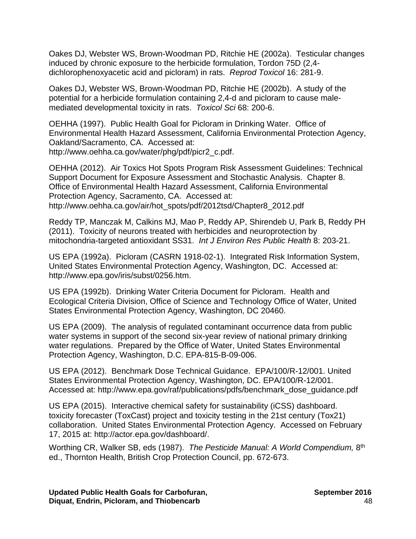Oakes DJ, Webster WS, Brown-Woodman PD, Ritchie HE (2002a). Testicular changes induced by chronic exposure to the herbicide formulation, Tordon 75D (2,4 dichlorophenoxyacetic acid and picloram) in rats. *Reprod Toxicol* 16: 281-9.

Oakes DJ, Webster WS, Brown-Woodman PD, Ritchie HE (2002b). A study of the potential for a herbicide formulation containing 2,4-d and picloram to cause malemediated developmental toxicity in rats. *Toxicol Sci* 68: 200-6.

OEHHA (1997). Public Health Goal for Picloram in Drinking Water. Office of Environmental Health Hazard Assessment, California Environmental Protection Agency, Oakland/Sacramento, CA. Accessed at: [http://www.oehha.ca.gov/water/phg/pdf/picr2\\_c.pdf.](http://www.oehha.ca.gov/water/phg/pdf/picr2_c.pdf.)

OEHHA (2012). Air Toxics Hot Spots Program Risk Assessment Guidelines: Technical Support Document for Exposure Assessment and Stochastic Analysis. Chapter 8. Office of Environmental Health Hazard Assessment, California Environmental Protection Agency, Sacramento, CA. Accessed at: [http://www.oehha.ca.gov/air/hot\\_spots/pdf/2012tsd/Chapter8\\_2012.pdf](http://www.oehha.ca.gov/air/hot_spots/pdf/2012tsd/Chapter8_2012.pdf)

Reddy TP, Manczak M, Calkins MJ, Mao P, Reddy AP, Shirendeb U, Park B, Reddy PH (2011). Toxicity of neurons treated with herbicides and neuroprotection by mitochondria-targeted antioxidant SS31. *Int J Environ Res Public Health* 8: 203-21.

US EPA (1992a). Picloram (CASRN 1918-02-1). Integrated Risk Information System, United States Environmental Protection Agency, Washington, DC. Accessed at: <http://www.epa.gov/iris/subst/0256.htm.>

US EPA (1992b). Drinking Water Criteria Document for Picloram. Health and Ecological Criteria Division, Office of Science and Technology Office of Water, United States Environmental Protection Agency, Washington, DC 20460.

US EPA (2009). The analysis of regulated contaminant occurrence data from public water systems in support of the second six-year review of national primary drinking water regulations. Prepared by the Office of Water, United States Environmental Protection Agency, Washington, D.C. EPA-815-B-09-006.

US EPA (2012). Benchmark Dose Technical Guidance. EPA/100/R-12/001. United States Environmental Protection Agency, Washington, DC. EPA/100/R-12/001. Accessed at: [http://www.epa.gov/raf/publications/pdfs/benchmark\\_dose\\_guidance.pdf](http://www.epa.gov/raf/publications/pdfs/benchmark_dose_guidance.pdf)

US EPA (2015). Interactive chemical safety for sustainability (iCSS) dashboard. toxicity forecaster (ToxCast) project and toxicity testing in the 21st century (Tox21) collaboration. United States Environmental Protection Agency. Accessed on February 17, 2015 at: <http://actor.epa.gov/dashboard/.>

Worthing CR, Walker SB, eds (1987). *The Pesticide Manual: A World Compendium,* 8th ed., Thornton Health, British Crop Protection Council, pp. 672-673.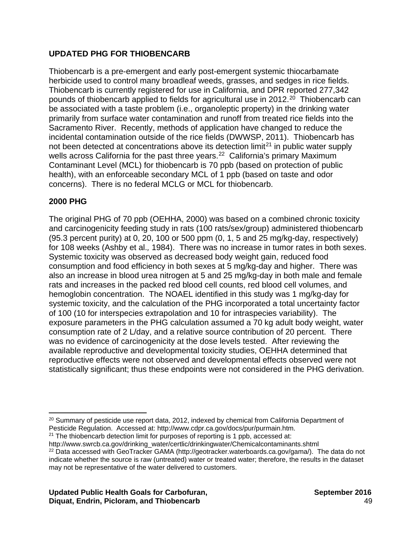# **UPDATED PHG FOR THIOBENCARB**

Thiobencarb is a pre-emergent and early post-emergent systemic thiocarbamate herbicide used to control many broadleaf weeds, grasses, and sedges in rice fields. Thiobencarb is currently registered for use in California, and DPR reported 277,342 pounds of thiobencarb applied to fields for agricultural use in [20](#page-53-0)12.<sup>20</sup> Thiobencarb can be associated with a taste problem (i.e., organoleptic property) in the drinking water primarily from surface water contamination and runoff from treated rice fields into the Sacramento River. Recently, methods of application have changed to reduce the incidental contamination outside of the rice fields (DWWSP, 2011). Thiobencarb has not been detected at concentrations above its detection  $\lim_{n \to \infty}$  in public water supply wells across California for the past three years.<sup>22</sup> California's primary Maximum Contaminant Level (MCL) for thiobencarb is 70 ppb (based on protection of public health), with an enforceable secondary MCL of 1 ppb (based on taste and odor concerns). There is no federal MCLG or MCL for thiobencarb.

# **2000 PHG**

The original PHG of 70 ppb (OEHHA, 2000) was based on a combined chronic toxicity and carcinogenicity feeding study in rats (100 rats/sex/group) administered thiobencarb (95.3 percent purity) at 0, 20, 100 or 500 ppm (0, 1, 5 and 25 mg/kg-day, respectively) for 108 weeks (Ashby et al.*,* 1984). There was no increase in tumor rates in both sexes. Systemic toxicity was observed as decreased body weight gain, reduced food consumption and food efficiency in both sexes at 5 mg/kg-day and higher. There was also an increase in blood urea nitrogen at 5 and 25 mg/kg-day in both male and female rats and increases in the packed red blood cell counts, red blood cell volumes, and hemoglobin concentration. The NOAEL identified in this study was 1 mg/kg-day for systemic toxicity, and the calculation of the PHG incorporated a total uncertainty factor of 100 (10 for interspecies extrapolation and 10 for intraspecies variability). The exposure parameters in the PHG calculation assumed a 70 kg adult body weight, water consumption rate of 2 L/day, and a relative source contribution of 20 percent. There was no evidence of carcinogenicity at the dose levels tested. After reviewing the available reproductive and developmental toxicity studies, OEHHA determined that reproductive effects were not observed and developmental effects observed were not statistically significant; thus these endpoints were not considered in the PHG derivation.

<span id="page-53-2"></span>[http://www.swrcb.ca.gov/drinking\\_water/certlic/drinkingwater/Chemicalcontaminants.shtml](http://www.swrcb.ca.gov/drinking_water/certlic/drinkingwater/Chemicalcontaminants.shtml) <sup>22</sup> Data accessed with GeoTracker GAMA (http://geotracker.waterboards.ca.gov/gama/). The data do not indicate whether the source is raw (untreated) water or treated water; therefore, the results in the dataset

<span id="page-53-0"></span> $\overline{\phantom{a}}$ <sup>20</sup> Summary of pesticide use report data, 2012, indexed by chemical from California Department of Pesticide Regulation. Accessed at: <http://www.cdpr.ca.gov/docs/pur/purmain.htm.>

<span id="page-53-1"></span> $21$  The thiobencarb detection limit for purposes of reporting is 1 ppb, accessed at:

may not be representative of the water delivered to customers.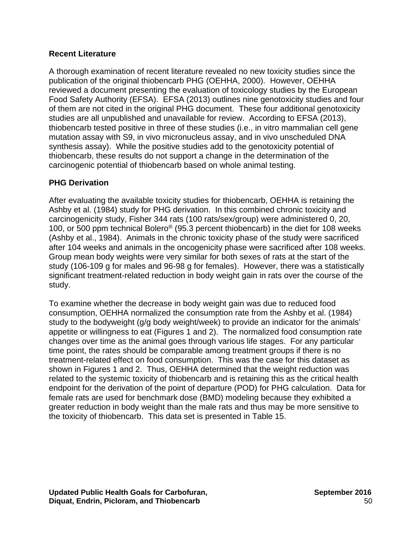## **Recent Literature**

A thorough examination of recent literature revealed no new toxicity studies since the publication of the original thiobencarb PHG (OEHHA, 2000). However, OEHHA reviewed a document presenting the evaluation of toxicology studies by the European Food Safety Authority (EFSA). EFSA (2013) outlines nine genotoxicity studies and four of them are not cited in the original PHG document. These four additional genotoxicity studies are all unpublished and unavailable for review. According to EFSA (2013), thiobencarb tested positive in three of these studies (i.e., in vitro mammalian cell gene mutation assay with S9, in vivo micronucleus assay, and in vivo unscheduled DNA synthesis assay). While the positive studies add to the genotoxicity potential of thiobencarb, these results do not support a change in the determination of the carcinogenic potential of thiobencarb based on whole animal testing.

# **PHG Derivation**

After evaluating the available toxicity studies for thiobencarb, OEHHA is retaining the Ashby et al. (1984) study for PHG derivation. In this combined chronic toxicity and carcinogenicity study, Fisher 344 rats (100 rats/sex/group) were administered 0, 20, 100, or 500 ppm technical Bolero® (95.3 percent thiobencarb) in the diet for 108 weeks (Ashby et al., 1984). Animals in the chronic toxicity phase of the study were sacrificed after 104 weeks and animals in the oncogenicity phase were sacrificed after 108 weeks. Group mean body weights were very similar for both sexes of rats at the start of the study (106-109 g for males and 96-98 g for females). However, there was a statistically significant treatment-related reduction in body weight gain in rats over the course of the study.

To examine whether the decrease in body weight gain was due to reduced food consumption, OEHHA normalized the consumption rate from the Ashby et al. (1984) study to the bodyweight (g/g body weight/week) to provide an indicator for the animals' appetite or willingness to eat (Figures 1 and 2). The normalized food consumption rate changes over time as the animal goes through various life stages. For any particular time point, the rates should be comparable among treatment groups if there is no treatment-related effect on food consumption. This was the case for this dataset as shown in Figures 1 and 2. Thus, OEHHA determined that the weight reduction was related to the systemic toxicity of thiobencarb and is retaining this as the critical health endpoint for the derivation of the point of departure (POD) for PHG calculation. Data for female rats are used for benchmark dose (BMD) modeling because they exhibited a greater reduction in body weight than the male rats and thus may be more sensitive to the toxicity of thiobencarb. This data set is presented in Table 15.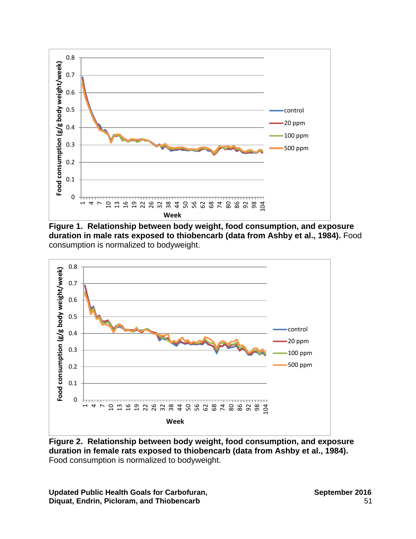

**Figure 1. Relationship between body weight, food consumption, and exposure duration in male rats exposed to thiobencarb (data from Ashby et al., 1984).** Food consumption is normalized to bodyweight.



**Figure 2. Relationship between body weight, food consumption, and exposure duration in female rats exposed to thiobencarb (data from Ashby et al., 1984).**  Food consumption is normalized to bodyweight.

Updated Public Health Goals for Carbofuran,<br>Diguat, Endrin, Picloram, and Thiobencarb **Diquat, Endrin, Picloram, and Thiobencarb**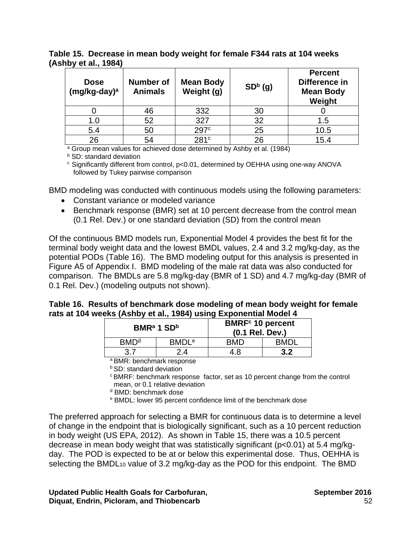**Table 15. Decrease in mean body weight for female F344 rats at 104 weeks (Ashby et al., 1984)**

| <b>Dose</b><br>$(mg/kg-day)a$ | <b>Number of</b><br><b>Animals</b> | <b>Mean Body</b><br>Weight (g) | SD <sup>b</sup> (g) | <b>Percent</b><br>Difference in<br><b>Mean Body</b><br>Weight |
|-------------------------------|------------------------------------|--------------------------------|---------------------|---------------------------------------------------------------|
|                               | 46                                 | 332                            | 30                  |                                                               |
| 1.0                           | 52                                 | 327                            | 32                  | 1.5                                                           |
| 5.4                           | 50                                 | 297 <sup>c</sup>               | 25                  | 10.5                                                          |
| 26                            | 54                                 | 281 <sup>c</sup>               | 26                  | 15.4                                                          |

<sup>a</sup> Group mean values for achieved dose determined by Ashby et al. (1984)

**b** SD: standard deviation

c Significantly different from control, p<0.01, determined by OEHHA using one-way ANOVA followed by Tukey pairwise comparison

BMD modeling was conducted with continuous models using the following parameters:

- Constant variance or modeled variance
- Benchmark response (BMR) set at 10 percent decrease from the control mean (0.1 Rel. Dev.) or one standard deviation (SD) from the control mean

Of the continuous BMD models run, Exponential Model 4 provides the best fit for the terminal body weight data and the lowest BMDL values, 2.4 and 3.2 mg/kg-day, as the potential PODs (Table 16). The BMD modeling output for this analysis is presented in Figure A5 of Appendix I. BMD modeling of the male rat data was also conducted for comparison. The BMDLs are 5.8 mg/kg-day (BMR of 1 SD) and 4.7 mg/kg-day (BMR of 0.1 Rel. Dev.) (modeling outputs not shown).

## **Table 16. Results of benchmark dose modeling of mean body weight for female rats at 104 weeks (Ashby et al., 1984) using Exponential Model 4**

| BMR <sup>a</sup> 1 SD <sup>b</sup>                 | <b>BMRF<sup>c</sup> 10 percent</b> |                                        |
|----------------------------------------------------|------------------------------------|----------------------------------------|
| <b>BMD<sup>d</sup></b><br><b>RMDL</b> <sup>e</sup> |                                    | <b>BMDL</b>                            |
| 37<br>24                                           |                                    | 3.2                                    |
|                                                    |                                    | $(0.1$ Rel. Dev.)<br><b>BMD</b><br>1 8 |

<sup>a</sup> BMR: benchmark response<br><sup>b</sup> SD: standard deviation

c BMRF: benchmark response factor, set as 10 percent change from the control mean, or 0.1 relative deviation

<sup>d</sup> BMD: benchmark dose

<sup>e</sup> BMDL: lower 95 percent confidence limit of the benchmark dose

The preferred approach for selecting a BMR for continuous data is to determine a level of change in the endpoint that is biologically significant, such as a 10 percent reduction in body weight (US EPA, 2012). As shown in Table 15, there was a 10.5 percent decrease in mean body weight that was statistically significant (p<0.01) at 5.4 mg/kgday. The POD is expected to be at or below this experimental dose. Thus, OEHHA is selecting the BMDL<sub>10</sub> value of 3.2 mg/kg-day as the POD for this endpoint. The BMD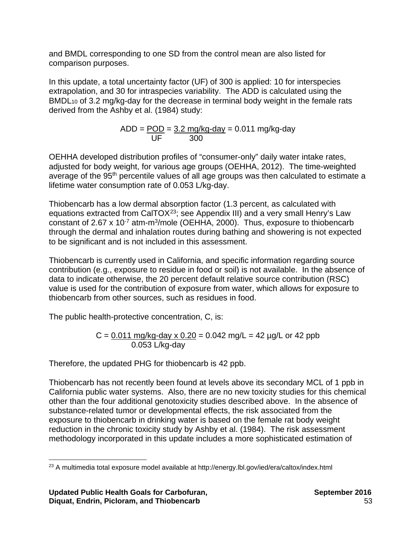and BMDL corresponding to one SD from the control mean are also listed for comparison purposes.

In this update, a total uncertainty factor (UF) of 300 is applied: 10 for interspecies extrapolation, and 30 for intraspecies variability. The ADD is calculated using the BMDL<sub>10</sub> of 3.2 mg/kg-day for the decrease in terminal body weight in the female rats derived from the Ashby et al. (1984) study:

$$
ADD = \frac{POD}{UF} = \frac{3.2 \text{ mg/kg-day}}{300} = 0.011 \text{ mg/kg-day}
$$

OEHHA developed distribution profiles of "consumer-only" daily water intake rates, adjusted for body weight, for various age groups (OEHHA, 2012). The time-weighted average of the 95<sup>th</sup> percentile values of all age groups was then calculated to estimate a lifetime water consumption rate of 0.053 L/kg-day.

Thiobencarb has a low dermal absorption factor (1.3 percent, as calculated with equations extracted from CalTOX $^{23}$  $^{23}$  $^{23}$ ; see Appendix III) and a very small Henry's Law constant of 2.67 x 10<sup>-7</sup> atm-m<sup>3</sup>/mole (OEHHA, 2000). Thus, exposure to thiobencarb through the dermal and inhalation routes during bathing and showering is not expected to be significant and is not included in this assessment.

Thiobencarb is currently used in California, and specific information regarding source contribution (e.g., exposure to residue in food or soil) is not available. In the absence of data to indicate otherwise, the 20 percent default relative source contribution (RSC) value is used for the contribution of exposure from water, which allows for exposure to thiobencarb from other sources, such as residues in food.

The public health-protective concentration, C, is:

$$
C = \frac{0.011 \text{ mg/kg-day} \times 0.20}{0.053 \text{ L/kg-day}} = 0.042 \text{ mg/L} = 42 \text{ µg/L or } 42 \text{ ppb}
$$

Therefore, the updated PHG for thiobencarb is 42 ppb.

Thiobencarb has not recently been found at levels above its secondary MCL of 1 ppb in California public water systems. Also, there are no new toxicity studies for this chemical other than the four additional genotoxicity studies described above. In the absence of substance-related tumor or developmental effects, the risk associated from the exposure to thiobencarb in drinking water is based on the female rat body weight reduction in the chronic toxicity study by Ashby et al. (1984). The risk assessment methodology incorporated in this update includes a more sophisticated estimation of

<span id="page-57-0"></span> $\overline{\phantom{a}}$ <sup>23</sup> A multimedia total exposure model available at <http://energy.lbl.gov/ied/era/caltox/index.html>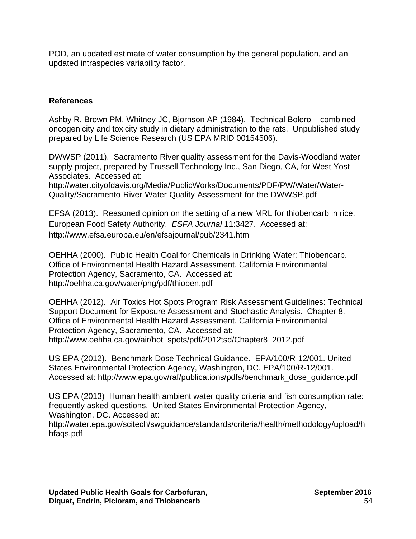POD, an updated estimate of water consumption by the general population, and an updated intraspecies variability factor.

## **References**

Ashby R, Brown PM, Whitney JC, Bjornson AP (1984). Technical Bolero – combined oncogenicity and toxicity study in dietary administration to the rats. Unpublished study prepared by Life Science Research (US EPA MRID 00154506).

DWWSP (2011). Sacramento River quality assessment for the Davis-Woodland water supply project, prepared by Trussell Technology Inc., San Diego, CA, for West Yost Associates. Accessed at:

[http://water.cityofdavis.org/Media/PublicWorks/Documents/PDF/PW/Water/Water-](http://water.cityofdavis.org/Media/PublicWorks/Documents/PDF/PW/Water/Water-Quality/Sacramento-River-Water-Quality-Assessment-for-the-DWWSP.pdf)Quality/Sacramento-River-Water-Quality-Assessment-for-the-DWWSP.pdf

EFSA (2013). Reasoned opinion on the setting of a new MRL for thiobencarb in rice. European Food Safety Authority. *ESFA Journal* 11:3427. Accessed at: <http://www.efsa.europa.eu/en/efsajournal/pub/2341.htm>

OEHHA (2000). Public Health Goal for Chemicals in Drinking Water: Thiobencarb. Office of Environmental Health Hazard Assessment, California Environmental Protection Agency, Sacramento, CA. Accessed at: <http://oehha.ca.gov/water/phg/pdf/thioben.pdf>

OEHHA (2012). Air Toxics Hot Spots Program Risk Assessment Guidelines: Technical Support Document for Exposure Assessment and Stochastic Analysis. Chapter 8. Office of Environmental Health Hazard Assessment, California Environmental Protection Agency, Sacramento, CA. Accessed at: [http://www.oehha.ca.gov/air/hot\\_spots/pdf/2012tsd/Chapter8\\_2012.pdf](http://www.oehha.ca.gov/air/hot_spots/pdf/2012tsd/Chapter8_2012.pdf) 

US EPA (2012). Benchmark Dose Technical Guidance. EPA/100/R-12/001. United States Environmental Protection Agency, Washington, DC. EPA/100/R-12/001. Accessed at: [http://www.epa.gov/raf/publications/pdfs/benchmark\\_dose\\_guidance.pdf](http://www.epa.gov/raf/publications/pdfs/benchmark_dose_guidance.pdf) 

US EPA (2013) Human health ambient water quality criteria and fish consumption rate: frequently asked questions. United States Environmental Protection Agency, Washington, DC. Accessed at:

[http://water.epa.gov/scitech/swguidance/standards/criteria/health/methodology/upload/h](http://water.epa.gov/scitech/swguidance/standards/criteria/health/methodology/upload/hhfaqs.pdf) hfaqs.pdf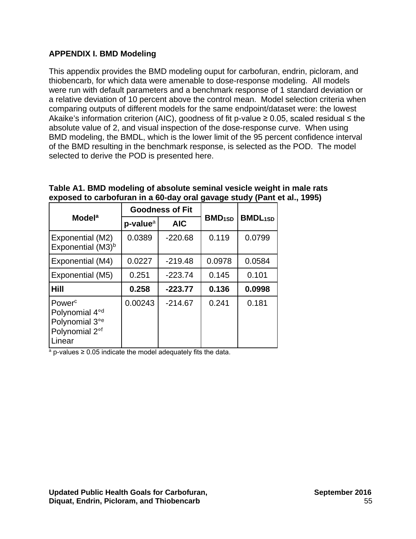# **APPENDIX I. BMD Modeling**

This appendix provides the BMD modeling ouput for carbofuran, endrin, picloram, and thiobencarb, for which data were amenable to dose-response modeling. All models were run with default parameters and a benchmark response of 1 standard deviation or a relative deviation of 10 percent above the control mean. Model selection criteria when comparing outputs of different models for the same endpoint/dataset were: the lowest Akaike's information criterion (AIC), goodness of fit p-value ≥ 0.05, scaled residual  $\leq$  the absolute value of 2, and visual inspection of the dose-response curve. When using BMD modeling, the BMDL, which is the lower limit of the 95 percent confidence interval of the BMD resulting in the benchmark response, is selected as the POD. The model selected to derive the POD is presented here.

| Table A1. BMD modeling of absolute seminal vesicle weight in male rats  |
|-------------------------------------------------------------------------|
| exposed to carbofuran in a 60-day oral gavage study (Pant et al., 1995) |

|                                                                                                                        | <b>Goodness of Fit</b> |            |                          |                           |  |
|------------------------------------------------------------------------------------------------------------------------|------------------------|------------|--------------------------|---------------------------|--|
| <b>Model<sup>a</sup></b>                                                                                               | $p$ -value $a$         | <b>AIC</b> | <b>BMD<sub>1SD</sub></b> | <b>BMDL<sub>1SD</sub></b> |  |
| Exponential (M2)<br>Exponential (M3) <sup>b</sup>                                                                      | 0.0389                 | $-220.68$  | 0.119                    | 0.0799                    |  |
| Exponential (M4)                                                                                                       | 0.0227                 | $-219.48$  | 0.0978                   | 0.0584                    |  |
| Exponential (M5)                                                                                                       | 0.251                  | $-223.74$  | 0.145                    | 0.101                     |  |
| Hill                                                                                                                   | 0.258                  | $-223.77$  | 0.136                    | 0.0998                    |  |
| Power <sup>c</sup><br>Polynomial 4 <sup>od</sup><br>Polynomial 3° <sup>e</sup><br>Polynomial 2 <sup>of</sup><br>Linear | 0.00243                | $-214.67$  | 0.241                    | 0.181                     |  |

a p-values ≥ 0.05 indicate the model adequately fits the data.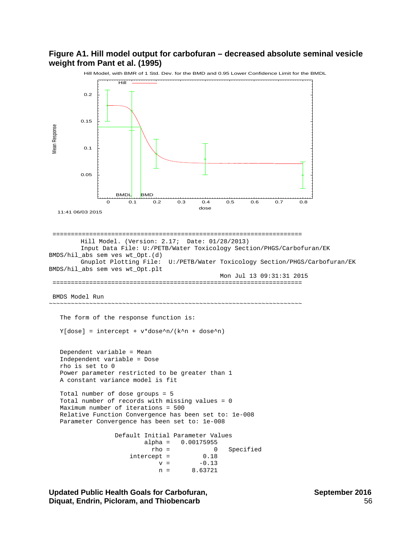### **Figure A1. Hill model output for carbofuran – decreased absolute seminal vesicle weight from Pant et al. (1995)**



Updated Public Health Goals for Carbofuran, September 2016 **Diquat, Endrin, Picloram, and Thiobencarb** 56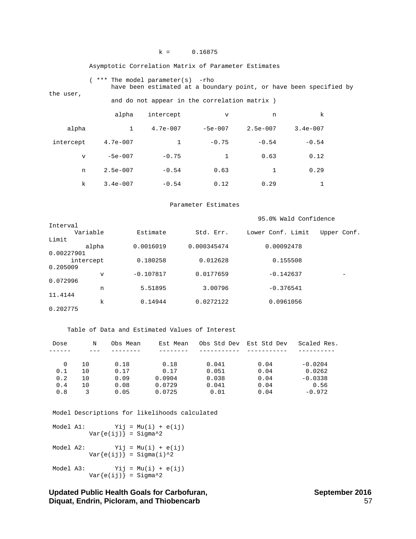### $k = 0.16875$

### Asymptotic Correlation Matrix of Parameter Estimates

|           |  |  | *** The model parameter(s) -rho                                    |  |  |  |  |  |
|-----------|--|--|--------------------------------------------------------------------|--|--|--|--|--|
|           |  |  | have been estimated at a boundary point, or have been specified by |  |  |  |  |  |
| the user. |  |  |                                                                    |  |  |  |  |  |

and do not appear in the correlation matrix )

| k          | n            | $\mathbf v$ | intercept    | alpha        |              |
|------------|--------------|-------------|--------------|--------------|--------------|
| $3.4e-007$ | $2.5e - 007$ | $-5e-007$   | $4.7e - 007$ | 1            | alpha        |
| $-0.54$    | $-0.54$      | $-0.75$     | $\mathbf{1}$ | $4.7e - 007$ | intercept    |
| 0.12       | 0.63         | 1           | $-0.75$      | $-5e-007$    | $\mathbf{v}$ |
| 0.29       | 1            | 0.63        | $-0.54$      | $2.5e-007$   | n            |
| 1          | 0.29         | 0.12        | $-0.54$      | $3.4e - 007$ | k            |

#### Parameter Estimates

95.0% Wald Confidence

| Interval    |             |             |                   |             |
|-------------|-------------|-------------|-------------------|-------------|
| Variable    | Estimate    | Std. Err.   | Lower Conf. Limit | Upper Conf. |
| Limit       |             |             |                   |             |
| alpha       | 0.0016019   | 0.000345474 | 0.00092478        |             |
| 0.00227901  |             |             |                   |             |
| intercept   | 0.180258    | 0.012628    | 0.155508          |             |
| 0.205009    |             |             |                   |             |
| $\mathbf v$ | $-0.107817$ | 0.0177659   | $-0.142637$       |             |
| 0.072996    |             |             |                   |             |
| n           | 5.51895     | 3.00796     | $-0.376541$       |             |
| 11.4144     |             |             |                   |             |
| k           | 0.14944     | 0.0272122   | 0.0961056         |             |
| 0.202775    |             |             |                   |             |

### Table of Data and Estimated Values of Interest

| Dose | N  | Obs Mean | Est Mean | Obs Std Dev | Est Std Dev | Scaled Res. |
|------|----|----------|----------|-------------|-------------|-------------|
|      |    |          |          |             |             |             |
| 0    | 10 | 0.18     | 0.18     | 0.041       | 0.04        | $-0.0204$   |
| 0.1  | 10 | 0.17     | 0.17     | 0.051       | 0.04        | 0.0262      |
| 0.2  | 10 | 0.09     | 0.0904   | 0.038       | 0.04        | $-0.0338$   |
| 0.4  | 10 | 0.08     | 0.0729   | 0.041       | 0.04        | 0.56        |
| 0.8  | 3  | 0.05     | 0.0725   | 0.01        | 0.04        | $-0.972$    |

Model Descriptions for likelihoods calculated

 $\texttt{Model A1:} \quad \texttt{Yij = Mu(i) + e(ij)}$  $Var{e(ij)} = Sigma^2$ Model A2:  $Yij = Mu(i) + e(ij)$  $\texttt{Var}\{e(ij)\}$  =  $\texttt{Sigma}(i)^{\texttt{2}}$ Model A3:  $Yij = Mu(i) + e(ij)$  $\texttt{Var}\{e(ij)\}$  = Sigma^2

Updated Public Health Goals for Carbofuran,<br>Diguat, Endrin, Picloram, and Thiobencarb **Diquat, Endrin, Picloram, and Thiobencarb** 57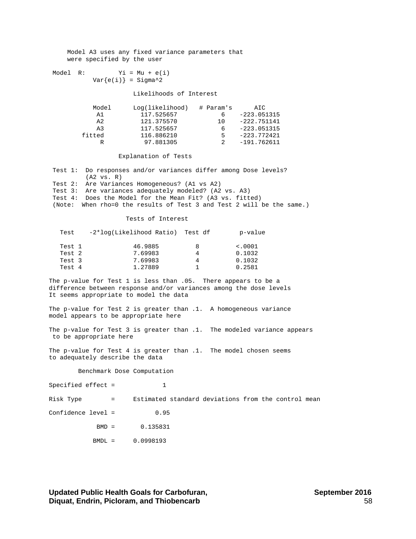Model A3 uses any fixed variance parameters that were specified by the user

Model  $R:$   $Yi = Mu + e(i)$  $Var{e(i)} = Signa^2$ 

Likelihoods of Interest

| Model  | Log(likelihood) | # Param's | AIC           |
|--------|-----------------|-----------|---------------|
| A 1    | 117.525657      |           | $-223.051315$ |
| $A$ 2. | 121.375570      | 1 O       | $-222.751141$ |
| $A$ 3  | 117.525657      | 6         | $-223.051315$ |
| fitted | 116.886210      | Б.        | $-223.772421$ |
|        | 97.881305       |           | $-191.762611$ |

Explanation of Tests

Test 1: Do responses and/or variances differ among Dose levels? (A2 vs. R) Test 2: Are Variances Homogeneous? (A1 vs A2) Test 3: Are variances adequately modeled? (A2 vs. A3) Test 4: Does the Model for the Mean Fit? (A3 vs. fitted) (Note: When rho=0 the results of Test 3 and Test 2 will be the same.)

Tests of Interest

| Test   | -2*log(Likelihood Ratio) | Test df | p-value |
|--------|--------------------------|---------|---------|
| Test 1 | 46.9885                  | 8       | < .0001 |
| Test 2 | 7.69983                  | 4       | 0.1032  |
| Test 3 | 7.69983                  | 4       | 0.1032  |
| Test 4 | 1.27889                  |         | 0.2581  |
|        |                          |         |         |

The p-value for Test 1 is less than .05. There appears to be a difference between response and/or variances among the dose levels It seems appropriate to model the data

The p-value for Test 2 is greater than .1. A homogeneous variance model appears to be appropriate here

The p-value for Test 3 is greater than .1. The modeled variance appears to be appropriate here

The p-value for Test 4 is greater than .1. The model chosen seems to adequately describe the data

Benchmark Dose Computation

Specified effect = 1

Risk Type = Estimated standard deviations from the control mean Confidence level = 0.95

 BMD = 0.135831 BMDL = 0.0998193

Updated Public Health Goals for Carbofuran, **September 2016** September 2016 **Diquat, Endrin, Picloram, and Thiobencarb** 58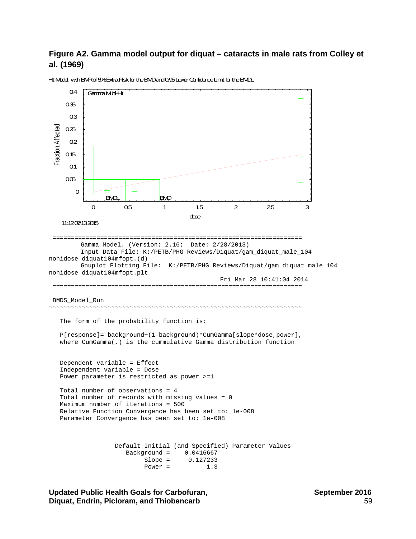## **Figure A2. Gamma model output for diquat – cataracts in male rats from Colley et al. (1969)**

```
0.4
           Gamma Multi-Hit
     0.35
      0.3
 Fraction Affected
 Fraction Affected
     0.25
      0.2
     0.15
      0.1
     0.05
       0
                 BMDL BMD
             0 0.5 1 1.5 2 25 3
                                          dose
   11:12 07/13 2015
  ==================================================================== 
         Gamma Model. (Version: 2.16; Date: 2/28/2013) 
          Input Data File: K:/PETB/PHG Reviews/Diquat/gam_diquat_male_104 
nohidose_diquat104mfopt.(d) 
          Gnuplot Plotting File: K:/PETB/PHG Reviews/Diquat/gam_diquat_male_104 
nohidose_diquat104mfopt.plt 
                                                    Fri Mar 28 10:41:04 2014 
 ==================================================================== 
BMDS_Model_Run
                         ~~~~~~~~~~~~~~~~~~~~~~~~~~~~~~~~~~~~~~~~~~~~~~~~~~~~~~~~~~~~~~~~~~~~~ 
   The form of the probability function is:
    P[response]= background+(1-background)*CumGamma[slope*dose,power], 
    where CumGamma(.) is the cummulative Gamma distribution function 
    Dependent variable = Effect 
    Independent variable = Dose 
    Power parameter is restricted as power >=1 
    Total number of observations = 4 
    Total number of records with missing values = 0 
    Maximum number of iterations = 500 
    Relative Function Convergence has been set to: 1e-008 
    Parameter Convergence has been set to: 1e-008 
                   Default Initial (and Specified) Parameter Values<br>Background = 0.0416667
                      Background =<br>Slope =
                                        0.127233<br>1 3
                            Power =
```
Hit Model, with BMR of 5% Extra Risk for the BMD and 0.95 Lower Confidence Limit for the BMDL

Updated Public Health Goals for Carbofuran, **September 2016** September 2016 **Diquat, Endrin, Picloram, and Thiobencarb** 59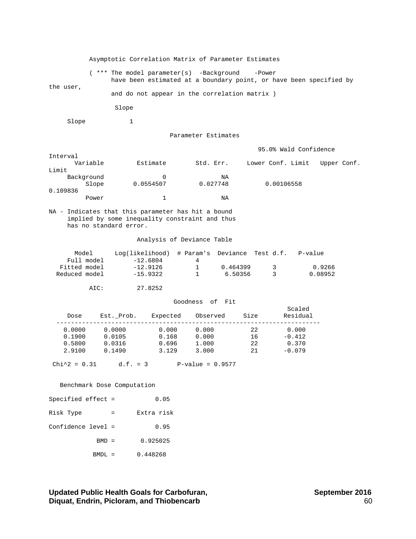Asymptotic Correlation Matrix of Parameter Estimates ( \*\*\* The model parameter(s) -Background -Power have been estimated at a boundary point, or have been specified by the user, and do not appear in the correlation matrix ) Slope Slope 1 Parameter Estimates 95.0% Wald Confidence Interval Std. Err. Lower Conf. Limit Upper Conf.  $I$ . i m i  $+$ Background 0 NA Slope 0.0554507 0.027748 0.00106558 0.109836 Power 1 NA NA - Indicates that this parameter has hit a bound implied by some inequality constraint and thus has no standard error. Analysis of Deviance Table  $-15.9322$ AIC: Model Log(likelihood) # Param's Deviance Test d.f. P-value Full model -12.6804 4 Fitted model -12.9126 1 0.464399 3 0.9266 Fitted model -12.9126 1 0.464399 3 0.9266<br>Reduced model -15.9322 1 6.50356 3 0.08952 AIC: 27.8252 Goodness of Fit Dose Est.\_Prob. Expected Observed Size Residual Scaled<br>Residual ------------------------------------------------------------------------  $0.0000$   $0.0000$   $0.000$   $0.000$   $0.000$   $22$   $0.000$  0.1900 0.0105 0.168 0.000 16 -0.412 0.5800 0.0316 0.696 1.000 22 0.370 2.9100 0.1490 3.129 3.000 21 -0.079  $Chi^2 = 0.31$  d.f. = 3 P-value = 0.9577 Benchmark Dose Computation Specified effect = 0.05 Risk Type = Extra risk Confidence level = 0.95 BMD = 0.925025

BMDL = 0.448268

Updated Public Health Goals for Carbofuran,<br>Diguat, Endrin, Picloram, and Thiobencarb<br><sup>60</sup> **Diquat, Endrin, Picloram, and Thiobencarb** 60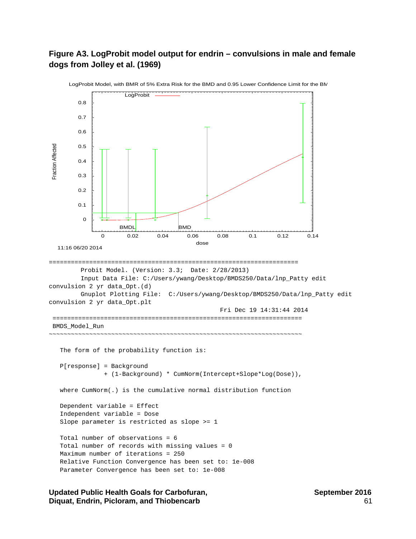## **Figure A3. LogProbit model output for endrin – convulsions in male and female dogs from Jolley et al. (1969)**

```
LogProbit
         0.8
         0.7
         0.6
         0.5
Fraction Affected
 Fraction Affected
         0.4
         0.3
         0.2
         0.1
          0
                    BMDLERMD
                0 0.02 0.04 0.06 0.08 0.1 0.12 0.14
                                          dose
  11:16 06/20 2014
==================================================================== 
         Probit Model. (Version: 3.3; Date: 2/28/2013) 
          Input Data File: C:/Users/ywang/Desktop/BMDS250/Data/lnp_Patty edit 
convulsion 2 yr data_Opt.(d) 
          Gnuplot Plotting File: C:/Users/ywang/Desktop/BMDS250/Data/lnp_Patty edit 
convulsion 2 yr data_Opt.plt 
                                                  Fri Dec 19 14:31:44 2014 
  ==================================================================== 
  BMDS_Model_Run 
~~~~~~~~~~~~~~~~~~~~~~~~~~~~~~~~~~~~~~~~~~~~~~~~~~~~~~~~~~~~~~~~~~~~~ 
   The form of the probability function is:
    P[response] = Background 
                 + (1-Background) * CumNorm(Intercept+Slope*Log(Dose)), 
    where CumNorm(.) is the cumulative normal distribution function 
    Dependent variable = Effect 
    Independent variable = Dose 
    Slope parameter is restricted as slope >= 1 
    Total number of observations = 6 
    Total number of records with missing values = 0 
    Maximum number of iterations = 250 
    Relative Function Convergence has been set to: 1e-008 
    Parameter Convergence has been set to: 1e-008
```
LogProbit Model, with BMR of 5% Extra Risk for the BMD and 0.95 Lower Confidence Limit for the BM

Updated Public Health Goals for Carbofuran, September 2016 **Diquat, Endrin, Picloram, and Thiobencarb** 61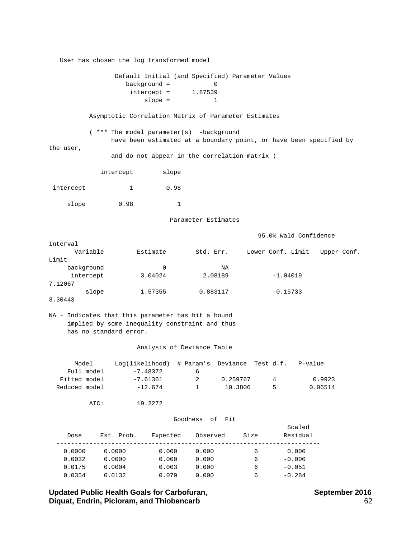User has chosen the log transformed model Default Initial (and Specified) Parameter Values  $background = 0$ <br>intercept =  $1.87539$ intercept =  $slope =$   $1$  Asymptotic Correlation Matrix of Parameter Estimates ( \*\*\* The model parameter(s) -background have been estimated at a boundary point, or have been specified by the user, and do not appear in the correlation matrix ) intercept slope intercept 1 0.98 slope 0.98 1 Parameter Estimates 95.0% Wald Confidence Interval Estimate Std. Err. Lower Conf. Limit Upper Conf. Limit background 0 NA<br>intercept 3.04024 2.08189 intercept 3.04024 2.08189 -1.04019 7.12067 slope 1.57355 0.883117 -0.15733 3.30443 NA - Indicates that this parameter has hit a bound implied by some inequality constraint and thus has no standard error. Analysis of Deviance Table Model Full model Log(likelihood) # Param's Deviance Test d.f. P-value -7.48372<br>-7.61361  $\begin{array}{c} 6 \\ 2 \end{array}$ Fitted model  $-7.61361$  2 0.259767 4 0.9923<br>Reduced model  $-12.674$  1 10.3806 5 0.06514 Reduced model AIC: 19.2272 Goodness of Fit Scaled<br>Residual Dose Est. Prob. Expected Observed Size

| ້      |        | <b>ANDCCCCC</b> | www⊥vuu | . <i>.</i> | --------- |  |
|--------|--------|-----------------|---------|------------|-----------|--|
|        |        |                 |         |            |           |  |
| 0.0000 | 0.0000 | 0.000           | 0.000   | b          | 0.000     |  |
| 0.0032 | 0.0000 | 0.000           | 0.000   | 6          | $-0.000$  |  |
| 0.0175 | 0.0004 | 0.003           | 0.000   | 6          | $-0.051$  |  |
| 0.0354 | 0.0132 | 0.079           | 0.000   | 6          | $-0.284$  |  |
|        |        |                 |         |            |           |  |

Updated Public Health Goals for Carbofuran,<br>Diguat, Endrin, Picloram, and Thiobencarb<br>62 **Diquat, Endrin, Picloram, and Thiobencarb**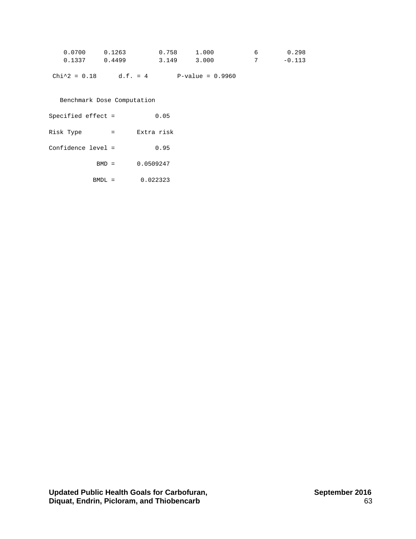| 0.0700 0.1263 | 0.758 1.000 | $6\overline{6}$ | 0.298    |
|---------------|-------------|-----------------|----------|
| 0.1337 0.4499 | 3.149 3.000 |                 | $-0.113$ |

 $Chi^2 = 0.18$  d.f. = 4 P-value = 0.9960

Benchmark Dose Computation

| Specified effect $=$ |     | 0.05       |
|----------------------|-----|------------|
| Risk Type            |     | Extra risk |
| $Confidence level =$ |     | 0.95       |
| $BMD =$              |     | 0.0509247  |
| BMDI.                | $=$ | 0.022323   |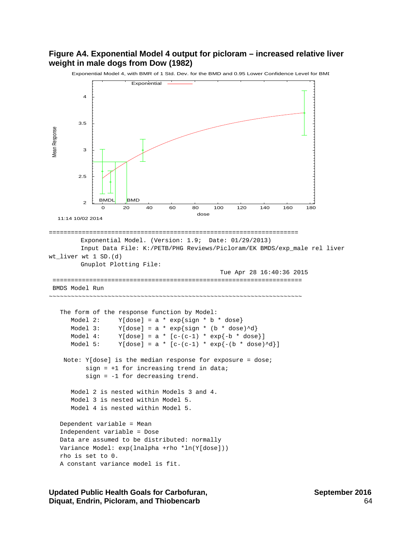### **Figure A4. Exponential Model 4 output for picloram – increased relative liver weight in male dogs from Dow (1982)**



Exponential Model 4, with BMR of 1 Std. Dev. for the BMD and 0.95 Lower Confidence Level for BMI

Updated Public Health Goals for Carbofuran, September 2016 **Diquat, Endrin, Picloram, and Thiobencarb** 64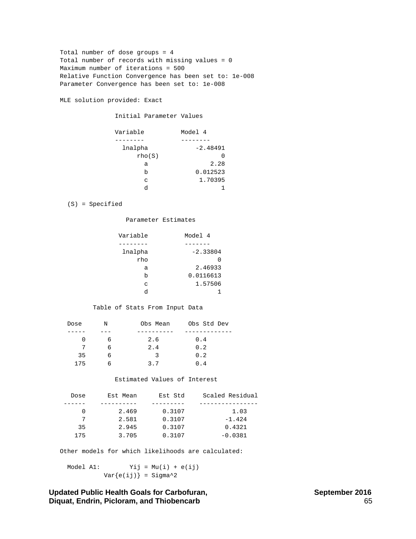Total number of dose groups = 4 Total number of records with missing values = 0 Maximum number of iterations = 500 Relative Function Convergence has been set to: 1e-008 Parameter Convergence has been set to: 1e-008

MLE solution provided: Exact

Initial Parameter Values

| Variable | Model 4    |
|----------|------------|
|          |            |
| lnalpha  | $-2.48491$ |
| rho(S)   | O          |
| a        | 2.28       |
| b        | 0.012523   |
| C        | 1.70395    |
| h        |            |

(S) = Specified

Parameter Estimates

| Variable | Model 4    |
|----------|------------|
|          |            |
| lnalpha  | $-2.33804$ |
| rho      | 0          |
| а        | 2.46933    |
| b        | 0.0116613  |
| C        | 1.57506    |
| d        |            |

### Table of Stats From Input Data

| Dose | N | Obs Mean      | Obs Std Dev |
|------|---|---------------|-------------|
|      |   |               |             |
|      | b | 2.6           | 0.4         |
| 7    | h | 2.4           | 0.2         |
| 35   | b | $\mathcal{R}$ | 0.2         |
| 175  |   | 3.7           | 0.4         |

### Estimated Values of Interest

| Dose | Est Mean | Est Std | Scaled Residual |
|------|----------|---------|-----------------|
|      |          |         |                 |
| 0    | 2.469    | 0.3107  | 1.03            |
|      | 2.581    | 0.3107  | $-1.424$        |
| 35   | 2.945    | 0.3107  | 0.4321          |
| 175  | 3.705    | 0.3107  | $-0.0381$       |

Other models for which likelihoods are calculated:

Model A1:  $Yij = Mu(i) + e(ij)$  $Var{e(ij)} = Sigma^2$ 

Updated Public Health Goals for Carbofuran,<br>Diguat, Endrin, Picloram, and Thiobencarb **Diquat, Endrin, Picloram, and Thiobencarb** 65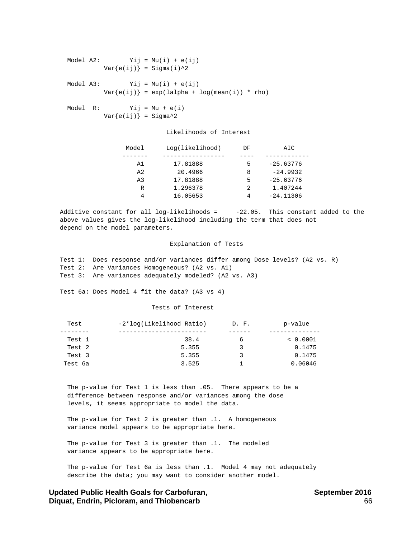```
Model A2: Yij = Mu(i) + e(ij)Var{e(ij)} = Signa(i)^2Model A3: Yij = Mu(i) + e(ij)Var{e(ij)} = exp(la1pha + log(mean(i)) * rho)Model R: Yij = Mu + e(i)
        Var{e(ij)} = Sigma^2
```
### Likelihoods of Interest

| Model          | Log(likelihood) | DF | AIC         |
|----------------|-----------------|----|-------------|
|                |                 |    |             |
| A1             | 17.81888        | 5  | $-25.63776$ |
| A <sub>2</sub> | 20.4966         | 8  | $-24.9932$  |
| A <sub>3</sub> | 17.81888        | 5  | $-25.63776$ |
| R              | 1.296378        | 2  | 1.407244    |
| 4              | 16.05653        | 4  | $-24.11306$ |
|                |                 |    |             |

Additive constant for all log-likelihoods =  $-22.05$ . This constant added to the above values gives the log-likelihood including the term that does not depend on the model parameters.

### Explanation of Tests

 Test 1: Does response and/or variances differ among Dose levels? (A2 vs. R) Test 2: Are Variances Homogeneous? (A2 vs. A1) Test 3: Are variances adequately modeled? (A2 vs. A3)

Test 6a: Does Model 4 fit the data? (A3 vs 4)

### Tests of Interest

| -2*log(Likelihood Ratio) | D. F. | p-value  |
|--------------------------|-------|----------|
|                          |       |          |
| 38.4                     | 6     | < 0.0001 |
| 5.355                    |       | 0.1475   |
| 5.355                    | 2     | 0.1475   |
| 3.525                    |       | 0.06046  |
|                          |       |          |

 The p-value for Test 1 is less than .05. There appears to be a difference between response and/or variances among the dose levels, it seems appropriate to model the data.

 The p-value for Test 2 is greater than .1. A homogeneous variance model appears to be appropriate here.

 The p-value for Test 3 is greater than .1. The modeled variance appears to be appropriate here.

 The p-value for Test 6a is less than .1. Model 4 may not adequately describe the data; you may want to consider another model.

Updated Public Health Goals for Carbofuran, September 2016<br>Diguat. Endrin. Picloram. and Thiobencarb **Diquat, Endrin, Picloram, and Thiobencarb** 66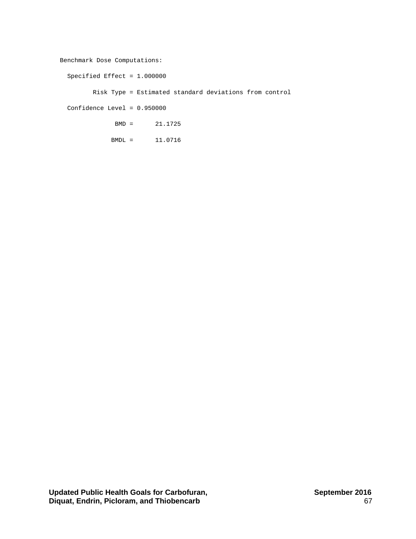Benchmark Dose Computations:

Specified Effect = 1.000000

Risk Type = Estimated standard deviations from control

Confidence Level = 0.950000

BMD = 21.1725

BMDL = 11.0716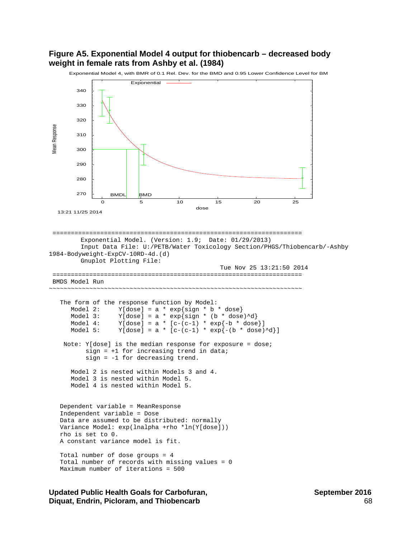### **Figure A5. Exponential Model 4 output for thiobencarb – decreased body weight in female rats from Ashby et al. (1984)**



Exponential Model 4, with BMR of 0.1 Rel. Dev. for the BMD and 0.95 Lower Confidence Level for BM

Updated Public Health Goals for Carbofuran, The Contemporary September 2016 **Diquat, Endrin, Picloram, and Thiobencarb** 68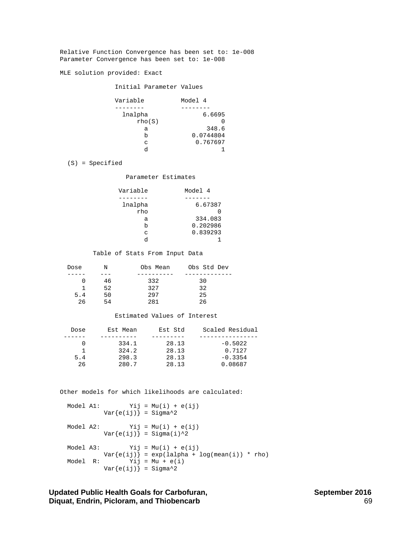Relative Function Convergence has been set to: 1e-008 Parameter Convergence has been set to: 1e-008

MLE solution provided: Exact

Initial Parameter Values

| Variable | Model 4   |
|----------|-----------|
|          |           |
| lnalpha  | 6.6695    |
| rho(S)   |           |
| а        | 348.6     |
| b        | 0.0744804 |
| C        | 0.767697  |
| d        |           |

(S) = Specified

Parameter Estimates

| Variable | Model 4  |
|----------|----------|
|          |          |
| lnalpha  | 6.67387  |
| rho      |          |
| а        | 334.083  |
| b        | 0.202986 |
| С        | 0.839293 |
| പ        |          |

#### Table of Stats From Input Data

| Dose | N  | Obs Mean | Obs Std Dev |
|------|----|----------|-------------|
|      |    |          |             |
|      | 46 | 332      | 30          |
|      | 52 | 327      | 32          |
| 5.4  | 50 | 297      | 25          |
| 26   | 54 | 281      | 26          |

### Estimated Values of Interest

| Dose | Est Mean | Est Std | Scaled Residual |
|------|----------|---------|-----------------|
|      |          |         |                 |
|      | 334.1    | 28.13   | $-0.5022$       |
|      | 324.2    | 28.13   | 0.7127          |
| 5.4  | 298.3    | 28.13   | $-0.3354$       |
| 26   | 280.7    | 28.13   | 0.08687         |

Other models for which likelihoods are calculated:

Model A1:  $Yij = Mu(i) + e(ij)$ Var ${e(ij)} = Sigma^2$ Model A2:  $Yij = Mu(i) + e(ij)$  $Var{e(ij)} = Signa(i)^2$ Model A3:  $Yij = Mu(i) + e(ij)$  $Var{e(ij)} = exp(la1pha + log(mean(i)) * rho)$ Model R:  $Yij = Mu + e(i)$ Var ${e(ij)} = Sigma^2$ 

Updated Public Health Goals for Carbofuran,<br>Diguat, Endrin, Picloram, and Thiobencarb<br>69 **Diquat, Endrin, Picloram, and Thiobencarb**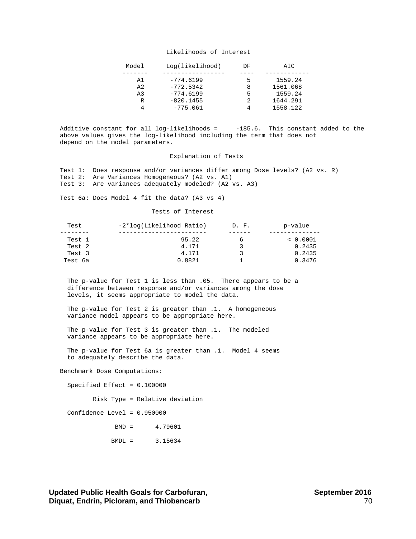### Likelihoods of Interest

| Model  | Log(likelihood) | DЕ | AIC      |
|--------|-----------------|----|----------|
|        |                 |    |          |
| A 1    | $-774.6199$     | 5  | 1559.24  |
| $A$ 2. | $-772.5342$     | 8  | 1561.068 |
| $A$ 3  | $-774.6199$     | 5  | 1559.24  |
| R      | $-820.1455$     | 2  | 1644.291 |
|        | $-775.061$      |    | 1558.122 |

Additive constant for all log-likelihoods =  $-185.6$ . This constant added to the above values gives the log-likelihood including the term that does not depend on the model parameters.

### Explanation of Tests

 Test 1: Does response and/or variances differ among Dose levels? (A2 vs. R) Test 2: Are Variances Homogeneous? (A2 vs. A1) Test 3: Are variances adequately modeled? (A2 vs. A3)

Test 6a: Does Model 4 fit the data? (A3 vs 4)

### Tests of Interest

| Test    | -2*log(Likelihood Ratio) | D. F. | p-value  |
|---------|--------------------------|-------|----------|
|         |                          |       |          |
| Test 1  | 95.22                    |       | < 0.0001 |
| Test 2  | 4.171                    |       | 0.2435   |
| Test 3  | 4.171                    |       | 0.2435   |
| Test 6a | 0.8821                   |       | 0.3476   |

 The p-value for Test 1 is less than .05. There appears to be a difference between response and/or variances among the dose levels, it seems appropriate to model the data.

 The p-value for Test 2 is greater than .1. A homogeneous variance model appears to be appropriate here.

 The p-value for Test 3 is greater than .1. The modeled variance appears to be appropriate here.

 The p-value for Test 6a is greater than .1. Model 4 seems to adequately describe the data.

Benchmark Dose Computations:

Specified Effect = 0.100000

Risk Type = Relative deviation

Confidence Level = 0.950000

 $BMD = 4.79601$ 

 $BMDL = 3.15634$ 

Updated Public Health Goals for Carbofuran,<br>Diguat, Endrin, Picloram, and Thiobencarb<br>70 **Diquat, Endrin, Picloram, and Thiobencarb**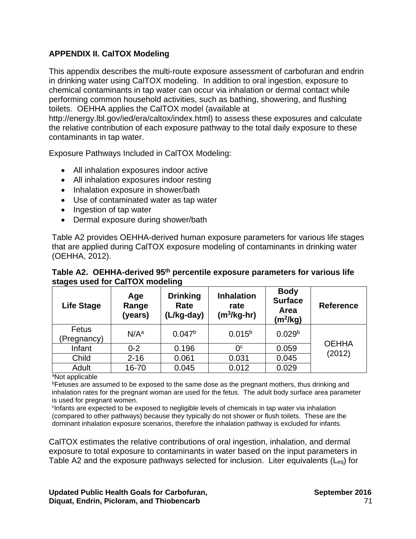## **APPENDIX II. CalTOX Modeling**

This appendix describes the multi-route exposure assessment of carbofuran and endrin in drinking water using CalTOX modeling. In addition to oral ingestion, exposure to chemical contaminants in tap water can occur via inhalation or dermal contact while performing common household activities, such as bathing, showering, and flushing toilets. OEHHA applies the CalTOX model (available at

http://energy.lbl.gov/ied/era/caltox/index.html) to assess these exposures and calculate the relative contribution of each exposure pathway to the total daily exposure to these contaminants in tap water.

Exposure Pathways Included in CalTOX Modeling:

- All inhalation exposures indoor active
- All inhalation exposures indoor resting
- Inhalation exposure in shower/bath
- Use of contaminated water as tap water
- Ingestion of tap water
- Dermal exposure during shower/bath

Table A2 provides OEHHA-derived human exposure parameters for various life stages that are applied during CalTOX exposure modeling of contaminants in drinking water (OEHHA, 2012).

## **Table A2. OEHHA-derived 95th percentile exposure parameters for various life stages used for CalTOX modeling**

| <b>Life Stage</b>    | Age<br>Range<br>(years) | <b>Drinking</b><br>Rate<br>(L/kg-day) | <b>Inhalation</b><br>rate<br>$(m^3/kg-hr)$ | <b>Body</b><br><b>Surface</b><br>Area<br>$(m^2/kg)$ | <b>Reference</b>       |
|----------------------|-------------------------|---------------------------------------|--------------------------------------------|-----------------------------------------------------|------------------------|
| Fetus<br>(Pregnancy) | N/A <sup>a</sup>        | 0.047 <sup>b</sup>                    | $0.015^{b}$                                | 0.029 <sup>b</sup>                                  |                        |
| Infant               | $0 - 2$                 | 0.196                                 | 0 <sup>c</sup>                             | 0.059                                               | <b>OEHHA</b><br>(2012) |
| Child                | $2 - 16$                | 0.061                                 | 0.031                                      | 0.045                                               |                        |
| Adult                | 16-70                   | 0.045                                 | 0.012                                      | 0.029                                               |                        |

aNot applicable

<sup>b</sup>Fetuses are assumed to be exposed to the same dose as the pregnant mothers, thus drinking and inhalation rates for the pregnant woman are used for the fetus. The adult body surface area parameter is used for pregnant women.

<sup>c</sup>Infants are expected to be exposed to negligible levels of chemicals in tap water via inhalation (compared to other pathways) because they typically do not shower or flush toilets. These are the dominant inhalation exposure scenarios, therefore the inhalation pathway is excluded for infants.

CalTOX estimates the relative contributions of oral ingestion, inhalation, and dermal exposure to total exposure to contaminants in water based on the input parameters in Table A2 and the exposure pathways selected for inclusion. Liter equivalents ( $L_{eq}$ ) for

Updated Public Health Goals for Carbofuran, Network September 2016 **Diquat, Endrin, Picloram, and Thiobencarb** 71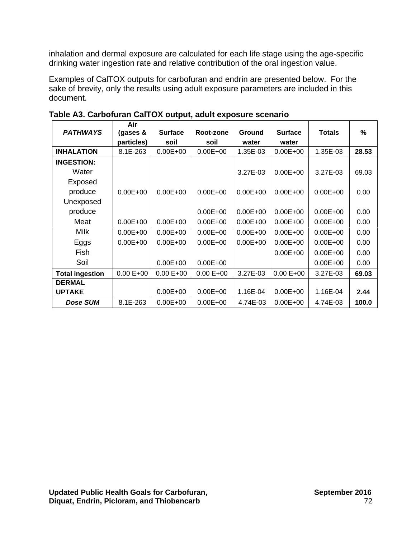inhalation and dermal exposure are calculated for each life stage using the age-specific drinking water ingestion rate and relative contribution of the oral ingestion value.

Examples of CalTOX outputs for carbofuran and endrin are presented below. For the sake of brevity, only the results using adult exposure parameters are included in this document.

| <b>PATHWAYS</b>        | Air<br>(gases & | <b>Surface</b> | Root-zone     | Ground       | <b>Surface</b> | <b>Totals</b> | $\frac{0}{0}$ |
|------------------------|-----------------|----------------|---------------|--------------|----------------|---------------|---------------|
|                        | particles)      | soil           | soil          | water        | water          |               |               |
| <b>INHALATION</b>      | 8.1E-263        | $0.00E + 00$   | $0.00E + 00$  | 1.35E-03     | $0.00E + 00$   | 1.35E-03      | 28.53         |
| <b>INGESTION:</b>      |                 |                |               |              |                |               |               |
| Water                  |                 |                |               | 3.27E-03     | $0.00E + 00$   | 3.27E-03      | 69.03         |
| Exposed                |                 |                |               |              |                |               |               |
| produce                | $0.00E + 00$    | $0.00E + 00$   | $0.00E + 00$  | $0.00E + 00$ | $0.00E + 00$   | $0.00E + 00$  | 0.00          |
| Unexposed              |                 |                |               |              |                |               |               |
| produce                |                 |                | $0.00E + 00$  | $0.00E + 00$ | $0.00E + 00$   | $0.00E + 00$  | 0.00          |
| Meat                   | $0.00E + 00$    | $0.00E + 00$   | $0.00E + 00$  | $0.00E + 00$ | $0.00E + 00$   | $0.00E + 00$  | 0.00          |
| <b>Milk</b>            | $0.00E + 00$    | $0.00E + 00$   | $0.00E + 00$  | $0.00E + 00$ | $0.00E + 00$   | $0.00E + 00$  | 0.00          |
| Eggs                   | $0.00E + 00$    | $0.00E + 00$   | $0.00E + 00$  | $0.00E + 00$ | $0.00E + 00$   | $0.00E + 00$  | 0.00          |
| <b>Fish</b>            |                 |                |               |              | $0.00E + 00$   | $0.00E + 00$  | 0.00          |
| Soil                   |                 | $0.00E + 00$   | $0.00E + 00$  |              |                | $0.00E + 00$  | 0.00          |
| <b>Total ingestion</b> | $0.00 E + 00$   | $0.00 E + 00$  | $0.00 E + 00$ | 3.27E-03     | $0.00 E + 00$  | 3.27E-03      | 69.03         |
| <b>DERMAL</b>          |                 |                |               |              |                |               |               |
| <b>UPTAKE</b>          |                 | $0.00E + 00$   | $0.00E + 00$  | 1.16E-04     | $0.00E + 00$   | 1.16E-04      | 2.44          |
| <b>Dose SUM</b>        | 8.1E-263        | $0.00E + 00$   | $0.00E + 00$  | 4.74E-03     | $0.00E + 00$   | 4.74E-03      | 100.0         |

**Table A3. Carbofuran CalTOX output, adult exposure scenario**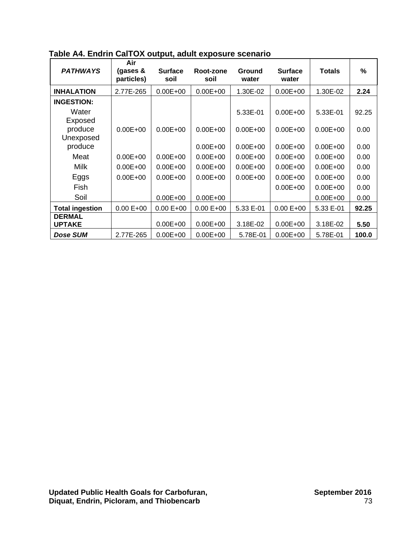| <b>PATHWAYS</b>                | Air<br>(gases &<br>particles) | <b>Surface</b><br>soil | Root-zone<br>soil | Ground<br>water | <b>Surface</b><br>water | <b>Totals</b> | %     |
|--------------------------------|-------------------------------|------------------------|-------------------|-----------------|-------------------------|---------------|-------|
| <b>INHALATION</b>              | 2.77E-265                     | $0.00E + 00$           | $0.00E + 00$      | 1.30E-02        | $0.00E + 00$            | 1.30E-02      | 2.24  |
| <b>INGESTION:</b>              |                               |                        |                   |                 |                         |               |       |
| Water                          |                               |                        |                   | 5.33E-01        | $0.00E + 00$            | 5.33E-01      | 92.25 |
| Exposed                        |                               |                        |                   |                 |                         |               |       |
| produce                        | $0.00E + 00$                  | $0.00E + 00$           | $0.00E + 00$      | $0.00E + 00$    | $0.00E + 00$            | $0.00E + 00$  | 0.00  |
| Unexposed                      |                               |                        |                   |                 |                         |               |       |
| produce                        |                               |                        | $0.00E + 00$      | $0.00E + 00$    | $0.00E + 00$            | $0.00E + 00$  | 0.00  |
| Meat                           | $0.00E + 00$                  | $0.00E + 00$           | $0.00E + 00$      | $0.00E + 00$    | $0.00E + 00$            | $0.00E + 00$  | 0.00  |
| <b>Milk</b>                    | $0.00E + 00$                  | $0.00E + 00$           | $0.00E + 00$      | $0.00E + 00$    | $0.00E + 00$            | $0.00E + 00$  | 0.00  |
| Eggs                           | $0.00E + 00$                  | $0.00E + 00$           | $0.00E + 00$      | $0.00E + 00$    | $0.00E + 00$            | $0.00E + 00$  | 0.00  |
| Fish                           |                               |                        |                   |                 | $0.00E + 00$            | $0.00E + 00$  | 0.00  |
| Soil                           |                               | $0.00E + 00$           | $0.00E + 00$      |                 |                         | $0.00E + 00$  | 0.00  |
| <b>Total ingestion</b>         | $0.00 E + 00$                 | $0.00 E + 00$          | $0.00 E + 00$     | 5.33 E-01       | $0.00 E + 00$           | 5.33 E-01     | 92.25 |
| <b>DERMAL</b><br><b>UPTAKE</b> |                               | $0.00E + 00$           | $0.00E + 00$      | 3.18E-02        | $0.00E + 00$            | 3.18E-02      | 5.50  |
| <b>Dose SUM</b>                | 2.77E-265                     | $0.00E + 00$           | $0.00E + 00$      | 5.78E-01        | $0.00E + 00$            | 5.78E-01      | 100.0 |

# **Table A4. Endrin CalTOX output, adult exposure scenario**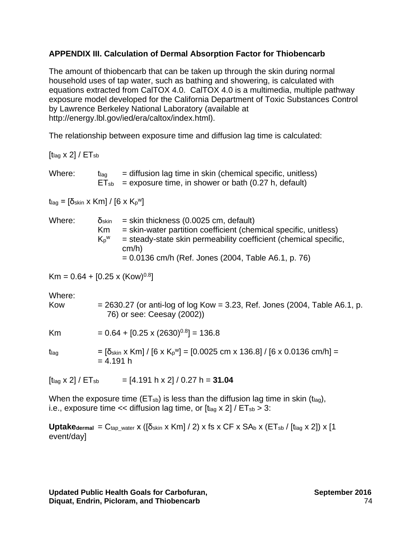## **APPENDIX III. Calculation of Dermal Absorption Factor for Thiobencarb**

The amount of thiobencarb that can be taken up through the skin during normal household uses of tap water, such as bathing and showering, is calculated with equations extracted from CalTOX 4.0. CalTOX 4.0 is a multimedia, multiple pathway exposure model developed for the California Department of Toxic Substances Control by Lawrence Berkeley National Laboratory (available at http://energy.lbl.gov/ied/era/caltox/index.html).

The relationship between exposure time and diffusion lag time is calculated:

 $[t<sub>lag</sub> x 2] / ET<sub>sb</sub>$ Where:  $t<sub>laq</sub>$  = diffusion lag time in skin (chemical specific, unitless)  $ET_{sb}$  = exposure time, in shower or bath (0.27 h, default) t<sub>lag</sub> = [δ<sub>skin</sub> x Km] / [6 x K<sub>p</sub><sup>w</sup>] Where:  $\delta_{skin}$  = skin thickness (0.0025 cm, default)  $Km =$  skin-water partition coefficient (chemical specific, unitless)  $\mathsf{K}_\mathsf{D}{}^\mathsf{w}$  $=$  steady-state skin permeability coefficient (chemical specific, cm/h) = 0.0136 cm/h (Ref. Jones (2004, Table A6.1, p. 76)  $\text{Km} = 0.64 + [0.25 \times (\text{Kow})^{0.8}]$ Where: Kow  $= 2630.27$  (or anti-log of log Kow = 3.23, Ref. Jones (2004, Table A6.1, p. 76) or see: Ceesay (2002)) Km  $= 0.64 + [0.25 \times (2630)^{0.8}] = 136.8$  $t_{\text{lag}}$  = [δ<sub>skin</sub> x Km] / [6 x K<sub>p</sub>ʷ] = [0.0025 cm x 136.8] / [6 x 0.0136 cm/h] =  $= 4.191 h$  $[t_{lag} \times 2] / ET_{sb}$  = [4.191 h x 2] / 0.27 h = **31.04** 

When the exposure time (ET<sub>sb</sub>) is less than the diffusion lag time in skin (t<sub>lag</sub>), i.e., exposure time  $<<$  diffusion lag time, or  $[t<sub>la</sub> \times 2]/ET<sub>sb</sub> > 3$ :

**Uptakedermal** =  $C_{\text{tap water}}$  x ( $[ $\delta$ skin x$  Km $]/$  2) x fs x CF x SA<sub>b</sub> x (ET<sub>sb</sub> /  $[t_{\text{lag}}$  x 2 $]$ ) x  $[1]$ event/day]

Updated Public Health Goals for Carbofuran, The Contemporary September 2016 **Diquat, Endrin, Picloram, and Thiobencarb** 74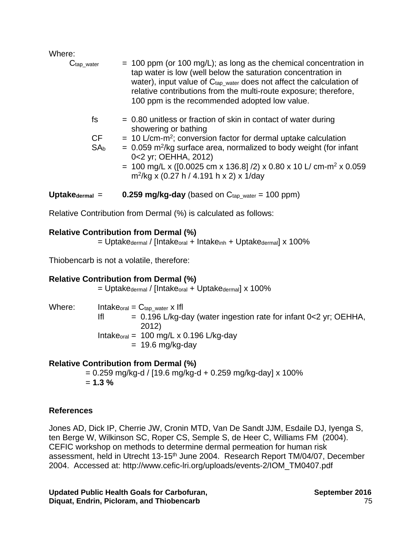Where:

| $C_{\text{tap\_water}}$    | $=$ 100 ppm (or 100 mg/L); as long as the chemical concentration in<br>tap water is low (well below the saturation concentration in<br>water), input value of $C_{\text{tap\_water}}$ does not affect the calculation of<br>relative contributions from the multi-route exposure; therefore,<br>100 ppm is the recommended adopted low value. |
|----------------------------|-----------------------------------------------------------------------------------------------------------------------------------------------------------------------------------------------------------------------------------------------------------------------------------------------------------------------------------------------|
| fs                         | $= 0.80$ unitless or fraction of skin in contact of water during<br>showering or bathing                                                                                                                                                                                                                                                      |
| <b>CF</b>                  | $= 10$ L/cm-m <sup>2</sup> ; conversion factor for dermal uptake calculation                                                                                                                                                                                                                                                                  |
| SA <sub>b</sub>            | $= 0.059$ m <sup>2</sup> /kg surface area, normalized to body weight (for infant<br>0<2 yr; OEHHA, 2012)                                                                                                                                                                                                                                      |
|                            | = 100 mg/L x ([0.0025 cm x 136.8] /2) x 0.80 x 10 L/ cm-m <sup>2</sup> x 0.059<br>$m^2$ /kg x (0.27 h / 4.191 h x 2) x 1/day                                                                                                                                                                                                                  |
| $Uptake_{\text{dermal}} =$ | <b>0.259 mg/kg-day</b> (based on $C_{\text{tap\_water}} = 100$ ppm)                                                                                                                                                                                                                                                                           |

Relative Contribution from Dermal (%) is calculated as follows:

## **Relative Contribution from Dermal (%)**

 $=$  Uptakedermal / [Intake<sub>oral</sub> + Intake<sub>inh</sub> + Uptakedermal] x 100%

Thiobencarb is not a volatile, therefore:

## **Relative Contribution from Dermal (%)**

 $=$  Uptakedermal / [Intake<sub>oral</sub> + Uptakedermal] x 100%

Where: Intake<sub>oral</sub> =  $C_{tap\_water}$  x Ifl If  $= 0.196$  L/kg-day (water ingestion rate for infant  $0 < 2$  yr; OEHHA, 2012) Intake<sub>oral</sub> =  $100 \text{ mg/L} \times 0.196 \text{ L/kg-day}$  $= 19.6$  mg/kg-day

## **Relative Contribution from Dermal (%)**

 $= 0.259$  mg/kg-d / [19.6 mg/kg-d + 0.259 mg/kg-day] x 100% = **1.3 %**

## **References**

Jones AD, Dick IP, Cherrie JW, Cronin MTD, Van De Sandt JJM, Esdaile DJ, Iyenga S, ten Berge W, Wilkinson SC, Roper CS, Semple S, de Heer C, Williams FM (2004). CEFIC workshop on methods to determine dermal permeation for human risk assessment, held in Utrecht 13-15<sup>th</sup> June 2004. Research Report TM/04/07, December 2004. Accessed at: [http://www.cefic-lri.org/uploads/events-2/IOM\\_TM0407.pdf](http://www.cefic-lri.org/uploads/events-2/IOM_TM0407.pdf)

Updated Public Health Goals for Carbofuran, The Contemporary September 2016 **Diquat, Endrin, Picloram, and Thiobencarb** 75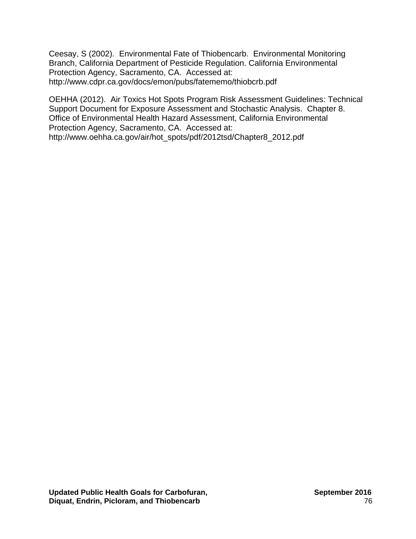Ceesay, S (2002). Environmental Fate of Thiobencarb. Environmental Monitoring Branch, California Department of Pesticide Regulation. California Environmental Protection Agency, Sacramento, CA. Accessed at: <http://www.cdpr.ca.gov/docs/emon/pubs/fatememo/thiobcrb.pdf>

OEHHA (2012). Air Toxics Hot Spots Program Risk Assessment Guidelines: Technical Support Document for Exposure Assessment and Stochastic Analysis. Chapter 8. Office of Environmental Health Hazard Assessment, California Environmental Protection Agency, Sacramento, CA. Accessed at: [http://www.oehha.ca.gov/air/hot\\_spots/pdf/2012tsd/Chapter8\\_2012.pdf](http://www.oehha.ca.gov/air/hot_spots/pdf/2012tsd/Chapter8_2012.pdf)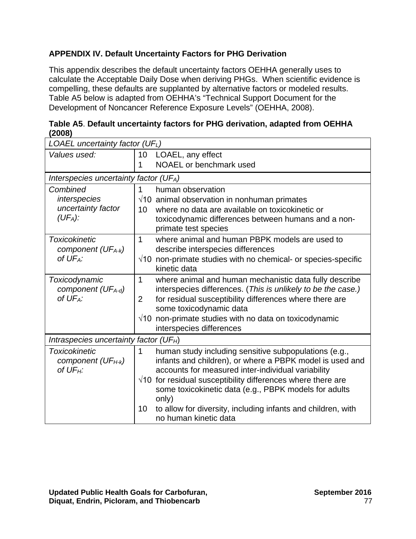## **APPENDIX IV. Default Uncertainty Factors for PHG Derivation**

This appendix describes the default uncertainty factors OEHHA generally uses to calculate the Acceptable Daily Dose when deriving PHGs. When scientific evidence is compelling, these defaults are supplanted by alternative factors or modeled results. Table A5 below is adapted from OEHHA's "Technical Support Document for the Development of Noncancer Reference Exposure Levels" (OEHHA, 2008).

| <b>LUVU</b>                                                           |                                |                                                                                                                                                                                                                                                                                                                                                                                                           |
|-----------------------------------------------------------------------|--------------------------------|-----------------------------------------------------------------------------------------------------------------------------------------------------------------------------------------------------------------------------------------------------------------------------------------------------------------------------------------------------------------------------------------------------------|
| LOAEL uncertainty factor (UFL)                                        |                                |                                                                                                                                                                                                                                                                                                                                                                                                           |
| Values used:                                                          | 10 <sub>1</sub>                | LOAEL, any effect                                                                                                                                                                                                                                                                                                                                                                                         |
|                                                                       | 1                              | NOAEL or benchmark used                                                                                                                                                                                                                                                                                                                                                                                   |
| Interspecies uncertainty factor (UFA)                                 |                                |                                                                                                                                                                                                                                                                                                                                                                                                           |
| Combined<br>interspecies<br>uncertainty factor<br>$(UF_A)$ :          | 1<br>10                        | human observation<br>$\sqrt{10}$ animal observation in nonhuman primates<br>where no data are available on toxicokinetic or<br>toxicodynamic differences between humans and a non-<br>primate test species                                                                                                                                                                                                |
| <b>Toxicokinetic</b><br>component (UFA-k)<br>of $UF_A$ :              | 1                              | where animal and human PBPK models are used to<br>describe interspecies differences<br>$\sqrt{10}$ non-primate studies with no chemical- or species-specific<br>kinetic data                                                                                                                                                                                                                              |
| Toxicodynamic<br>component ( $UF_{A-d}$ )<br>of $UF_A$ :              | $\mathbf{1}$<br>$\overline{2}$ | where animal and human mechanistic data fully describe<br>interspecies differences. (This is unlikely to be the case.)<br>for residual susceptibility differences where there are<br>some toxicodynamic data<br>$\sqrt{10}$ non-primate studies with no data on toxicodynamic<br>interspecies differences                                                                                                 |
| Intraspecies uncertainty factor (UF $_H$ )                            |                                |                                                                                                                                                                                                                                                                                                                                                                                                           |
| <b>Toxicokinetic</b><br>component (UF <sub>H-k</sub> )<br>of $UF_H$ : | 1<br>10                        | human study including sensitive subpopulations (e.g.,<br>infants and children), or where a PBPK model is used and<br>accounts for measured inter-individual variability<br>$\sqrt{10}$ for residual susceptibility differences where there are<br>some toxicokinetic data (e.g., PBPK models for adults<br>only)<br>to allow for diversity, including infants and children, with<br>no human kinetic data |

|        | Table A5. Default uncertainty factors for PHG derivation, adapted from OEHHA |
|--------|------------------------------------------------------------------------------|
| (2008) |                                                                              |